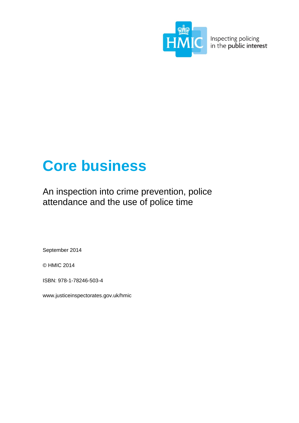

**WIC** Inspecting policing

# **Core business**

An inspection into crime prevention, police attendance and the use of police time

September 2014

© HMIC 2014

ISBN: 978-1-78246-503-4

[www.justiceinspectorates.gov.uk/hmic](http://www.justiceinspectorates.gov.uk/hmic)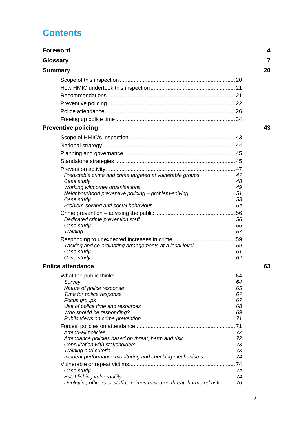# **Contents**

| <b>Foreword</b>                                                           | 4        |
|---------------------------------------------------------------------------|----------|
| <b>Glossary</b>                                                           |          |
| <b>Summary</b>                                                            | 20       |
|                                                                           |          |
|                                                                           |          |
|                                                                           |          |
|                                                                           |          |
|                                                                           |          |
|                                                                           |          |
| <b>Preventive policing</b>                                                | 43       |
|                                                                           |          |
|                                                                           |          |
|                                                                           |          |
|                                                                           |          |
|                                                                           |          |
| Predictable crime and crime targeted at vulnerable groups                 | 47       |
| Case study                                                                | 48       |
| Working with other organisations                                          | 49       |
| Neighbourhood preventive policing - problem-solving<br>Case study         | 51<br>53 |
| Problem-solving anti-social behaviour                                     | 54       |
|                                                                           |          |
| Dedicated crime prevention staff                                          | 56       |
| Case study                                                                | 56       |
| Training                                                                  | 57       |
|                                                                           |          |
| Tasking and co-ordinating arrangements at a local level                   | 59       |
| Case study                                                                | 61       |
| Case study<br><b>Police attendance</b>                                    | 62<br>63 |
|                                                                           |          |
|                                                                           |          |
| Survey<br>Nature of police response                                       | 64<br>65 |
| Time for police response                                                  | 67       |
| Focus groups                                                              | 67       |
| Use of police time and resources                                          | 68       |
| Who should be responding?                                                 | 69       |
| Public views on crime prevention                                          | 71       |
|                                                                           |          |
| Attend-all policies<br>Attendance policies based on threat, harm and risk | 72<br>72 |
| Consultation with stakeholders                                            | 73       |
| Training and criteria                                                     | 73       |
| Incident performance monitoring and checking mechanisms                   | 74       |
|                                                                           |          |
| Case study                                                                | 74       |
| Establishing vulnerability                                                | 74<br>76 |
| Deploying officers or staff to crimes based on threat, harm and risk      |          |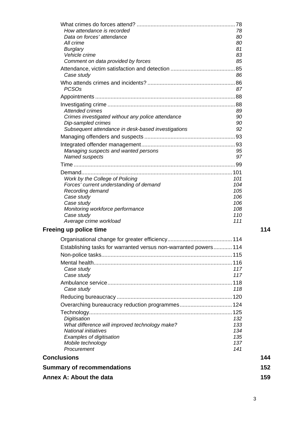| How attendance is recorded                                                    | 78         |
|-------------------------------------------------------------------------------|------------|
| Data on forces' attendance                                                    | 80         |
| All crime                                                                     | 80<br>81   |
| <b>Burglary</b><br>Vehicle crime                                              | 83         |
| Comment on data provided by forces                                            | 85         |
|                                                                               |            |
| Case study                                                                    | 86         |
| <b>PCSOs</b>                                                                  | 87         |
|                                                                               |            |
|                                                                               |            |
| <b>Attended crimes</b>                                                        | 89         |
| Crimes investigated without any police attendance                             | 90         |
| Dip-sampled crimes                                                            | 90         |
| Subsequent attendance in desk-based investigations                            | 92         |
|                                                                               |            |
|                                                                               |            |
| Managing suspects and wanted persons                                          | 95         |
| Named suspects                                                                | 97         |
|                                                                               |            |
|                                                                               |            |
| Work by the College of Policing                                               | 101        |
| Forces' current understanding of demand<br>Recording demand                   | 104<br>105 |
| Case study                                                                    | 106        |
| Case study                                                                    | 106        |
| Monitoring workforce performance                                              | 108        |
| Case study                                                                    | 110        |
| Average crime workload                                                        | 111        |
| <b>Freeing up police time</b>                                                 | 114        |
|                                                                               |            |
| Establishing tasks for warranted versus non-warranted powers 114              |            |
|                                                                               |            |
|                                                                               |            |
| Case study                                                                    | 117        |
| Case study                                                                    | 117        |
|                                                                               |            |
| Case study                                                                    | 118        |
|                                                                               |            |
|                                                                               |            |
|                                                                               |            |
| Digitisation                                                                  | 132        |
| What difference will improved technology make?<br><b>National initiatives</b> | 133<br>134 |
| Examples of digitisation                                                      | 135        |
| Mobile technology                                                             | 137        |
| Procurement                                                                   | 141        |
| <b>Conclusions</b>                                                            | 144        |
| <b>Summary of recommendations</b>                                             | 152        |
| <b>Annex A: About the data</b>                                                | 159        |
|                                                                               |            |

What crimes do forces attend? [................................................................78](#page-77-0)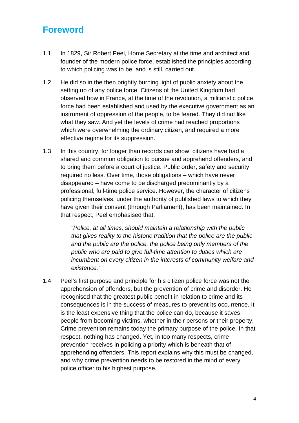# <span id="page-3-0"></span>**Foreword**

- 1.1 In 1829, Sir Robert Peel, Home Secretary at the time and architect and founder of the modern police force, established the principles according to which policing was to be, and is still, carried out.
- 1.2 He did so in the then brightly burning light of public anxiety about the setting up of any police force. Citizens of the United Kingdom had observed how in France, at the time of the revolution, a militaristic police force had been established and used by the executive government as an instrument of oppression of the people, to be feared. They did not like what they saw. And yet the levels of crime had reached proportions which were overwhelming the ordinary citizen, and required a more effective regime for its suppression.
- 1.3 In this country, for longer than records can show, citizens have had a shared and common obligation to pursue and apprehend offenders, and to bring them before a court of justice. Public order, safety and security required no less. Over time, those obligations – which have never disappeared – have come to be discharged predominantly by a professional, full-time police service. However, the character of citizens policing themselves, under the authority of published laws to which they have given their consent (through Parliament), has been maintained. In that respect, Peel emphasised that:

*"Police, at all times, should maintain a relationship with the public that gives reality to the historic tradition that the police are the public and the public are the police, the police being only members of the public who are paid to give full-time attention to duties which are incumbent on every citizen in the interests of community welfare and existence."*

1.4 Peel's first purpose and principle for his citizen police force was not the apprehension of offenders, but the prevention of crime and disorder. He recognised that the greatest public benefit in relation to crime and its consequences is in the success of measures to prevent its occurrence. It is the least expensive thing that the police can do, because it saves people from becoming victims, whether in their persons or their property. Crime prevention remains today the primary purpose of the police. In that respect, nothing has changed. Yet, in too many respects, crime prevention receives in policing a priority which is beneath that of apprehending offenders. This report explains why this must be changed, and why crime prevention needs to be restored in the mind of every police officer to his highest purpose.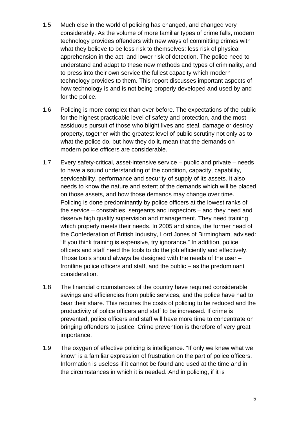- 1.5 Much else in the world of policing has changed, and changed very considerably. As the volume of more familiar types of crime falls, modern technology provides offenders with new ways of committing crimes with what they believe to be less risk to themselves: less risk of physical apprehension in the act, and lower risk of detection. The police need to understand and adapt to these new methods and types of criminality, and to press into their own service the fullest capacity which modern technology provides to them. This report discusses important aspects of how technology is and is not being properly developed and used by and for the police.
- 1.6 Policing is more complex than ever before. The expectations of the public for the highest practicable level of safety and protection, and the most assiduous pursuit of those who blight lives and steal, damage or destroy property, together with the greatest level of public scrutiny not only as to what the police do, but how they do it, mean that the demands on modern police officers are considerable.
- 1.7 Every safety-critical, asset-intensive service public and private needs to have a sound understanding of the condition, capacity, capability, serviceability, performance and security of supply of its assets. It also needs to know the nature and extent of the demands which will be placed on those assets, and how those demands may change over time. Policing is done predominantly by police officers at the lowest ranks of the service – constables, sergeants and inspectors – and they need and deserve high quality supervision and management. They need training which properly meets their needs. In 2005 and since, the former head of the Confederation of British Industry, Lord Jones of Birmingham, advised: "If you think training is expensive, try ignorance." In addition, police officers and staff need the tools to do the job efficiently and effectively. Those tools should always be designed with the needs of the user – frontline police officers and staff, and the public – as the predominant consideration.
- 1.8 The financial circumstances of the country have required considerable savings and efficiencies from public services, and the police have had to bear their share. This requires the costs of policing to be reduced and the productivity of police officers and staff to be increased. If crime is prevented, police officers and staff will have more time to concentrate on bringing offenders to justice. Crime prevention is therefore of very great importance.
- 1.9 The oxygen of effective policing is intelligence. "If only we knew what we know" is a familiar expression of frustration on the part of police officers. Information is useless if it cannot be found and used at the time and in the circumstances in which it is needed. And in policing, if it is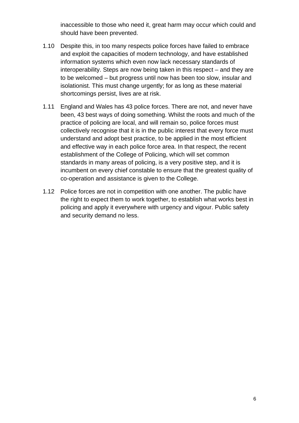inaccessible to those who need it, great harm may occur which could and should have been prevented.

- 1.10 Despite this, in too many respects police forces have failed to embrace and exploit the capacities of modern technology, and have established information systems which even now lack necessary standards of interoperability. Steps are now being taken in this respect – and they are to be welcomed – but progress until now has been too slow, insular and isolationist. This must change urgently; for as long as these material shortcomings persist, lives are at risk.
- 1.11 England and Wales has 43 police forces. There are not, and never have been, 43 best ways of doing something. Whilst the roots and much of the practice of policing are local, and will remain so, police forces must collectively recognise that it is in the public interest that every force must understand and adopt best practice, to be applied in the most efficient and effective way in each police force area. In that respect, the recent establishment of the College of Policing, which will set common standards in many areas of policing, is a very positive step, and it is incumbent on every chief constable to ensure that the greatest quality of co-operation and assistance is given to the College.
- 1.12 Police forces are not in competition with one another. The public have the right to expect them to work together, to establish what works best in policing and apply it everywhere with urgency and vigour. Public safety and security demand no less.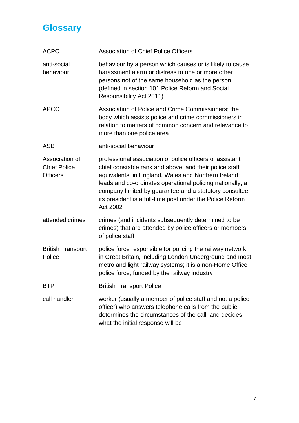# <span id="page-6-0"></span>**Glossary**

| <b>ACPO</b>                                              | <b>Association of Chief Police Officers</b>                                                                                                                                                                                                                                                                                                                                 |
|----------------------------------------------------------|-----------------------------------------------------------------------------------------------------------------------------------------------------------------------------------------------------------------------------------------------------------------------------------------------------------------------------------------------------------------------------|
| anti-social<br>behaviour                                 | behaviour by a person which causes or is likely to cause<br>harassment alarm or distress to one or more other<br>persons not of the same household as the person<br>(defined in section 101 Police Reform and Social<br>Responsibility Act 2011)                                                                                                                            |
| <b>APCC</b>                                              | Association of Police and Crime Commissioners; the<br>body which assists police and crime commissioners in<br>relation to matters of common concern and relevance to<br>more than one police area                                                                                                                                                                           |
| <b>ASB</b>                                               | anti-social behaviour                                                                                                                                                                                                                                                                                                                                                       |
| Association of<br><b>Chief Police</b><br><b>Officers</b> | professional association of police officers of assistant<br>chief constable rank and above, and their police staff<br>equivalents, in England, Wales and Northern Ireland;<br>leads and co-ordinates operational policing nationally; a<br>company limited by guarantee and a statutory consultee;<br>its president is a full-time post under the Police Reform<br>Act 2002 |
| attended crimes                                          | crimes (and incidents subsequently determined to be<br>crimes) that are attended by police officers or members<br>of police staff                                                                                                                                                                                                                                           |
| <b>British Transport</b><br>Police                       | police force responsible for policing the railway network<br>in Great Britain, including London Underground and most<br>metro and light railway systems; it is a non-Home Office<br>police force, funded by the railway industry                                                                                                                                            |
| <b>BTP</b>                                               | <b>British Transport Police</b>                                                                                                                                                                                                                                                                                                                                             |
| call handler                                             | worker (usually a member of police staff and not a police<br>officer) who answers telephone calls from the public,<br>determines the circumstances of the call, and decides<br>what the initial response will be                                                                                                                                                            |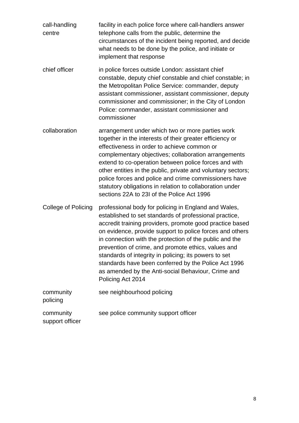| call-handling<br>centre      | facility in each police force where call-handlers answer<br>telephone calls from the public, determine the<br>circumstances of the incident being reported, and decide<br>what needs to be done by the police, and initiate or<br>implement that response                                                                                                                                                                                                                                                                                            |
|------------------------------|------------------------------------------------------------------------------------------------------------------------------------------------------------------------------------------------------------------------------------------------------------------------------------------------------------------------------------------------------------------------------------------------------------------------------------------------------------------------------------------------------------------------------------------------------|
| chief officer                | in police forces outside London: assistant chief<br>constable, deputy chief constable and chief constable; in<br>the Metropolitan Police Service: commander, deputy<br>assistant commissioner, assistant commissioner, deputy<br>commissioner and commissioner; in the City of London<br>Police: commander, assistant commissioner and<br>commissioner                                                                                                                                                                                               |
| collaboration                | arrangement under which two or more parties work<br>together in the interests of their greater efficiency or<br>effectiveness in order to achieve common or<br>complementary objectives; collaboration arrangements<br>extend to co-operation between police forces and with<br>other entities in the public, private and voluntary sectors;<br>police forces and police and crime commissioners have<br>statutory obligations in relation to collaboration under<br>sections 22A to 23I of the Police Act 1996                                      |
| <b>College of Policing</b>   | professional body for policing in England and Wales,<br>established to set standards of professional practice,<br>accredit training providers, promote good practice based<br>on evidence, provide support to police forces and others<br>in connection with the protection of the public and the<br>prevention of crime, and promote ethics, values and<br>standards of integrity in policing; its powers to set<br>standards have been conferred by the Police Act 1996<br>as amended by the Anti-social Behaviour, Crime and<br>Policing Act 2014 |
| community<br>policing        | see neighbourhood policing                                                                                                                                                                                                                                                                                                                                                                                                                                                                                                                           |
| community<br>support officer | see police community support officer                                                                                                                                                                                                                                                                                                                                                                                                                                                                                                                 |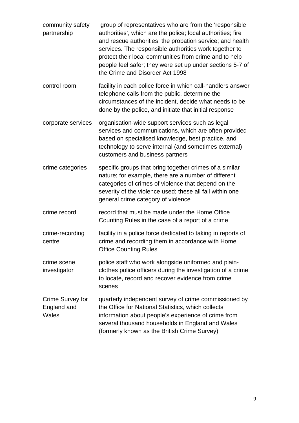community safety partnership group of representatives who are from the 'responsible authorities', which are the police; local authorities; fire and rescue authorities; the probation service; and health services. The responsible authorities work together to protect their local communities from crime and to help people feel safer; they were set up under sections 5-7 of the Crime and Disorder Act 1998 control room facility in each police force in which call-handlers answer telephone calls from the public, determine the circumstances of the incident, decide what needs to be done by the police, and initiate that initial response corporate services organisation-wide support services such as legal services and communications, which are often provided based on specialised knowledge, best practice, and technology to serve internal (and sometimes external) customers and business partners crime categories specific groups that bring together crimes of a similar nature; for example, there are a number of different categories of crimes of violence that depend on the severity of the violence used; these all fall within one general crime category of violence crime record record that must be made under the Home Office Counting Rules in the case of a report of a crime crime-recording centre facility in a police force dedicated to taking in reports of crime and recording them in accordance with Home Office Counting Rules crime scene investigator police staff who work alongside uniformed and plainclothes police officers during the investigation of a crime to locate, record and recover evidence from crime scenes Crime Survey for England and **Wales** quarterly independent survey of crime commissioned by the Office for National Statistics, which collects information about people's experience of crime from several thousand households in England and Wales (formerly known as the British Crime Survey)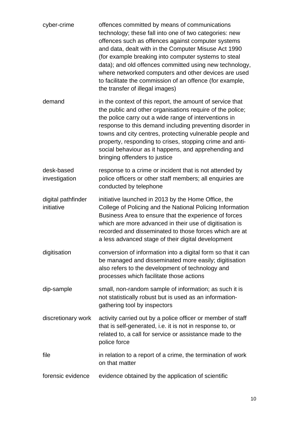| cyber-crime                      | offences committed by means of communications<br>technology; these fall into one of two categories: new<br>offences such as offences against computer systems<br>and data, dealt with in the Computer Misuse Act 1990<br>(for example breaking into computer systems to steal<br>data); and old offences committed using new technology,<br>where networked computers and other devices are used<br>to facilitate the commission of an offence (for example,<br>the transfer of illegal images) |
|----------------------------------|-------------------------------------------------------------------------------------------------------------------------------------------------------------------------------------------------------------------------------------------------------------------------------------------------------------------------------------------------------------------------------------------------------------------------------------------------------------------------------------------------|
| demand                           | in the context of this report, the amount of service that<br>the public and other organisations require of the police;<br>the police carry out a wide range of interventions in<br>response to this demand including preventing disorder in<br>towns and city centres, protecting vulnerable people and<br>property, responding to crises, stopping crime and anti-<br>social behaviour as it happens, and apprehending and<br>bringing offenders to justice                                    |
| desk-based<br>investigation      | response to a crime or incident that is not attended by<br>police officers or other staff members; all enquiries are<br>conducted by telephone                                                                                                                                                                                                                                                                                                                                                  |
| digital pathfinder<br>initiative | initiative launched in 2013 by the Home Office, the<br>College of Policing and the National Policing Information<br>Business Area to ensure that the experience of forces<br>which are more advanced in their use of digitisation is<br>recorded and disseminated to those forces which are at<br>a less advanced stage of their digital development                                                                                                                                            |
| digitisation                     | conversion of information into a digital form so that it can<br>be managed and disseminated more easily; digitisation<br>also refers to the development of technology and<br>processes which facilitate those actions                                                                                                                                                                                                                                                                           |
| dip-sample                       | small, non-random sample of information; as such it is<br>not statistically robust but is used as an information-<br>gathering tool by inspectors                                                                                                                                                                                                                                                                                                                                               |
| discretionary work               | activity carried out by a police officer or member of staff<br>that is self-generated, i.e. it is not in response to, or<br>related to, a call for service or assistance made to the<br>police force                                                                                                                                                                                                                                                                                            |
| file                             | in relation to a report of a crime, the termination of work<br>on that matter                                                                                                                                                                                                                                                                                                                                                                                                                   |
| forensic evidence                | evidence obtained by the application of scientific                                                                                                                                                                                                                                                                                                                                                                                                                                              |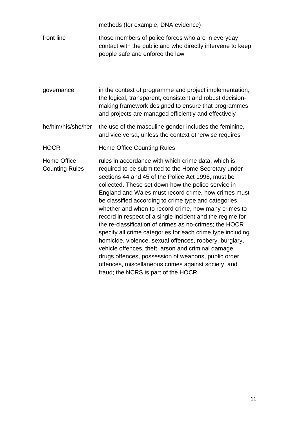methods (for example, DNA evidence) front line those members of police forces who are in everyday contact with the public and who directly intervene to keep people safe and enforce the law

governance in the context of programme and project implementation, the logical, transparent, consistent and robust decisionmaking framework designed to ensure that programmes and projects are managed efficiently and effectively

he/him/his/she/her the use of the masculine gender includes the feminine, and vice versa, unless the context otherwise requires

HOCR Home Office Counting Rules

Home Office Counting Rules rules in accordance with which crime data, which is required to be submitted to the Home Secretary under sections 44 and 45 of the Police Act 1996, must be collected. These set down how the police service in England and Wales must record crime, how crimes must be classified according to crime type and categories, whether and when to record crime, how many crimes to record in respect of a single incident and the regime for the re-classification of crimes as no-crimes; the HOCR specify all crime categories for each crime type including homicide, violence, sexual offences, robbery, burglary, vehicle offences, theft, arson and criminal damage, drugs offences, possession of weapons, public order offences, miscellaneous crimes against society, and fraud; the NCRS is part of the HOCR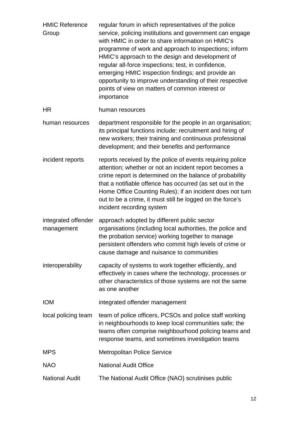| <b>HMIC Reference</b><br>Group    | regular forum in which representatives of the police<br>service, policing institutions and government can engage<br>with HMIC in order to share information on HMIC's<br>programme of work and approach to inspections; inform<br>HMIC's approach to the design and development of<br>regular all-force inspections; test, in confidence,<br>emerging HMIC inspection findings; and provide an<br>opportunity to improve understanding of their respective<br>points of view on matters of common interest or<br>importance |
|-----------------------------------|-----------------------------------------------------------------------------------------------------------------------------------------------------------------------------------------------------------------------------------------------------------------------------------------------------------------------------------------------------------------------------------------------------------------------------------------------------------------------------------------------------------------------------|
| <b>HR</b>                         | human resources                                                                                                                                                                                                                                                                                                                                                                                                                                                                                                             |
| human resources                   | department responsible for the people in an organisation;<br>its principal functions include: recruitment and hiring of<br>new workers; their training and continuous professional<br>development; and their benefits and performance                                                                                                                                                                                                                                                                                       |
| incident reports                  | reports received by the police of events requiring police<br>attention; whether or not an incident report becomes a<br>crime report is determined on the balance of probability<br>that a notifiable offence has occurred (as set out in the<br>Home Office Counting Rules); if an incident does not turn<br>out to be a crime, it must still be logged on the force's<br>incident recording system                                                                                                                         |
| integrated offender<br>management | approach adopted by different public sector<br>organisations (including local authorities, the police and<br>the probation service) working together to manage<br>persistent offenders who commit high levels of crime or<br>cause damage and nuisance to communities                                                                                                                                                                                                                                                       |
| interoperability                  | capacity of systems to work together efficiently, and<br>effectively in cases where the technology, processes or<br>other characteristics of those systems are not the same<br>as one another                                                                                                                                                                                                                                                                                                                               |
| <b>IOM</b>                        | integrated offender management                                                                                                                                                                                                                                                                                                                                                                                                                                                                                              |
| local policing team               | team of police officers, PCSOs and police staff working<br>in neighbourhoods to keep local communities safe; the<br>teams often comprise neighbourhood policing teams and<br>response teams, and sometimes investigation teams                                                                                                                                                                                                                                                                                              |
| <b>MPS</b>                        | <b>Metropolitan Police Service</b>                                                                                                                                                                                                                                                                                                                                                                                                                                                                                          |
| <b>NAO</b>                        | <b>National Audit Office</b>                                                                                                                                                                                                                                                                                                                                                                                                                                                                                                |
| <b>National Audit</b>             | The National Audit Office (NAO) scrutinises public                                                                                                                                                                                                                                                                                                                                                                                                                                                                          |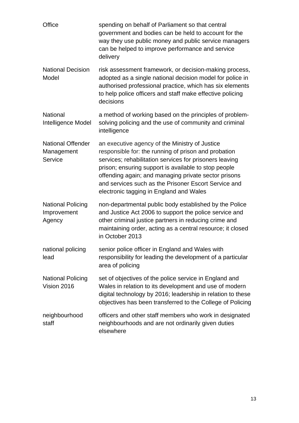| Office                                            | spending on behalf of Parliament so that central<br>government and bodies can be held to account for the<br>way they use public money and public service managers<br>can be helped to improve performance and service<br>delivery                                                                                                                                                    |
|---------------------------------------------------|--------------------------------------------------------------------------------------------------------------------------------------------------------------------------------------------------------------------------------------------------------------------------------------------------------------------------------------------------------------------------------------|
| <b>National Decision</b><br>Model                 | risk assessment framework, or decision-making process,<br>adopted as a single national decision model for police in<br>authorised professional practice, which has six elements<br>to help police officers and staff make effective policing<br>decisions                                                                                                                            |
| <b>National</b><br>Intelligence Model             | a method of working based on the principles of problem-<br>solving policing and the use of community and criminal<br>intelligence                                                                                                                                                                                                                                                    |
| <b>National Offender</b><br>Management<br>Service | an executive agency of the Ministry of Justice<br>responsible for: the running of prison and probation<br>services; rehabilitation services for prisoners leaving<br>prison; ensuring support is available to stop people<br>offending again; and managing private sector prisons<br>and services such as the Prisoner Escort Service and<br>electronic tagging in England and Wales |
| <b>National Policing</b><br>Improvement<br>Agency | non-departmental public body established by the Police<br>and Justice Act 2006 to support the police service and<br>other criminal justice partners in reducing crime and<br>maintaining order, acting as a central resource; it closed<br>in October 2013                                                                                                                           |
| national policing<br>lead                         | senior police officer in England and Wales with<br>responsibility for leading the development of a particular<br>area of policing                                                                                                                                                                                                                                                    |
| <b>National Policing</b><br>Vision 2016           | set of objectives of the police service in England and<br>Wales in relation to its development and use of modern<br>digital technology by 2016; leadership in relation to these<br>objectives has been transferred to the College of Policing                                                                                                                                        |
| neighbourhood<br>staff                            | officers and other staff members who work in designated<br>neighbourhoods and are not ordinarily given duties<br>elsewhere                                                                                                                                                                                                                                                           |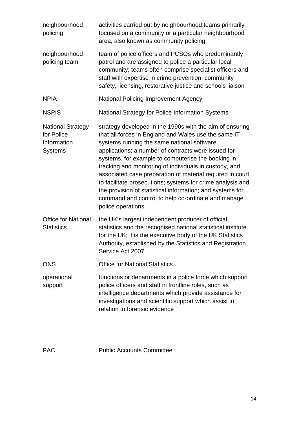| neighbourhood<br>policing                                               | activities carried out by neighbourhood teams primarily<br>focused on a community or a particular neighbourhood<br>area, also known as community policing                                                                                                                                                                                                                                                                                                                                                                                                                                                 |
|-------------------------------------------------------------------------|-----------------------------------------------------------------------------------------------------------------------------------------------------------------------------------------------------------------------------------------------------------------------------------------------------------------------------------------------------------------------------------------------------------------------------------------------------------------------------------------------------------------------------------------------------------------------------------------------------------|
| neighbourhood<br>policing team                                          | team of police officers and PCSOs who predominantly<br>patrol and are assigned to police a particular local<br>community; teams often comprise specialist officers and<br>staff with expertise in crime prevention, community<br>safety, licensing, restorative justice and schools liaison                                                                                                                                                                                                                                                                                                               |
| <b>NPIA</b>                                                             | <b>National Policing Improvement Agency</b>                                                                                                                                                                                                                                                                                                                                                                                                                                                                                                                                                               |
| <b>NSPIS</b>                                                            | National Strategy for Police Information Systems                                                                                                                                                                                                                                                                                                                                                                                                                                                                                                                                                          |
| <b>National Strategy</b><br>for Police<br>Information<br><b>Systems</b> | strategy developed in the 1990s with the aim of ensuring<br>that all forces in England and Wales use the same IT<br>systems running the same national software<br>applications; a number of contracts were issued for<br>systems, for example to computerise the booking in,<br>tracking and monitoring of individuals in custody, and<br>associated case preparation of material required in court<br>to facilitate prosecutions; systems for crime analysis and<br>the provision of statistical information; and systems for<br>command and control to help co-ordinate and manage<br>police operations |
| <b>Office for National</b><br><b>Statistics</b>                         | the UK's largest independent producer of official<br>statistics and the recognised national statistical institute<br>for the UK; it is the executive body of the UK Statistics<br>Authority, established by the Statistics and Registration<br>Service Act 2007                                                                                                                                                                                                                                                                                                                                           |
| <b>ONS</b>                                                              | <b>Office for National Statistics</b>                                                                                                                                                                                                                                                                                                                                                                                                                                                                                                                                                                     |
| operational<br>support                                                  | functions or departments in a police force which support<br>police officers and staff in frontline roles, such as<br>intelligence departments which provide assistance for<br>investigations and scientific support which assist in<br>relation to forensic evidence                                                                                                                                                                                                                                                                                                                                      |

PAC Public Accounts Committee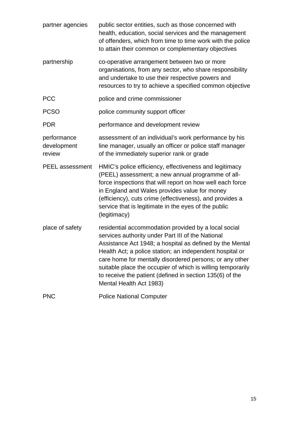| partner agencies                     | public sector entities, such as those concerned with<br>health, education, social services and the management<br>of offenders, which from time to time work with the police<br>to attain their common or complementary objectives                                                                                                                                                                                                                  |
|--------------------------------------|----------------------------------------------------------------------------------------------------------------------------------------------------------------------------------------------------------------------------------------------------------------------------------------------------------------------------------------------------------------------------------------------------------------------------------------------------|
| partnership                          | co-operative arrangement between two or more<br>organisations, from any sector, who share responsibility<br>and undertake to use their respective powers and<br>resources to try to achieve a specified common objective                                                                                                                                                                                                                           |
| <b>PCC</b>                           | police and crime commissioner                                                                                                                                                                                                                                                                                                                                                                                                                      |
| <b>PCSO</b>                          | police community support officer                                                                                                                                                                                                                                                                                                                                                                                                                   |
| <b>PDR</b>                           | performance and development review                                                                                                                                                                                                                                                                                                                                                                                                                 |
| performance<br>development<br>review | assessment of an individual's work performance by his<br>line manager, usually an officer or police staff manager<br>of the immediately superior rank or grade                                                                                                                                                                                                                                                                                     |
| <b>PEEL</b> assessment               | HMIC's police efficiency, effectiveness and legitimacy<br>(PEEL) assessment; a new annual programme of all-<br>force inspections that will report on how well each force<br>in England and Wales provides value for money<br>(efficiency), cuts crime (effectiveness), and provides a<br>service that is legitimate in the eyes of the public<br>(legitimacy)                                                                                      |
| place of safety                      | residential accommodation provided by a local social<br>services authority under Part III of the National<br>Assistance Act 1948; a hospital as defined by the Mental<br>Health Act; a police station; an independent hospital or<br>care home for mentally disordered persons; or any other<br>suitable place the occupier of which is willing temporarily<br>to receive the patient (defined in section 135(6) of the<br>Mental Health Act 1983) |
| <b>PNC</b>                           | <b>Police National Computer</b>                                                                                                                                                                                                                                                                                                                                                                                                                    |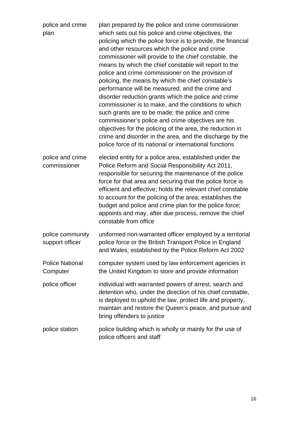| police and crime<br>plan            | plan prepared by the police and crime commissioner<br>which sets out his police and crime objectives, the<br>policing which the police force is to provide, the financial<br>and other resources which the police and crime<br>commissioner will provide to the chief constable, the<br>means by which the chief constable will report to the<br>police and crime commissioner on the provision of<br>policing, the means by which the chief constable's<br>performance will be measured, and the crime and<br>disorder reduction grants which the police and crime<br>commissioner is to make, and the conditions to which<br>such grants are to be made; the police and crime<br>commissioner's police and crime objectives are his<br>objectives for the policing of the area, the reduction in<br>crime and disorder in the area, and the discharge by the<br>police force of its national or international functions |
|-------------------------------------|---------------------------------------------------------------------------------------------------------------------------------------------------------------------------------------------------------------------------------------------------------------------------------------------------------------------------------------------------------------------------------------------------------------------------------------------------------------------------------------------------------------------------------------------------------------------------------------------------------------------------------------------------------------------------------------------------------------------------------------------------------------------------------------------------------------------------------------------------------------------------------------------------------------------------|
| police and crime<br>commissioner    | elected entity for a police area, established under the<br>Police Reform and Social Responsibility Act 2011,<br>responsible for securing the maintenance of the police<br>force for that area and securing that the police force is<br>efficient and effective; holds the relevant chief constable<br>to account for the policing of the area; establishes the<br>budget and police and crime plan for the police force;<br>appoints and may, after due process, remove the chief<br>constable from office                                                                                                                                                                                                                                                                                                                                                                                                                |
| police community<br>support officer | uniformed non-warranted officer employed by a territorial<br>police force or the British Transport Police in England<br>and Wales; established by the Police Reform Act 2002                                                                                                                                                                                                                                                                                                                                                                                                                                                                                                                                                                                                                                                                                                                                              |
| <b>Police National</b><br>Computer  | computer system used by law enforcement agencies in<br>the United Kingdom to store and provide information                                                                                                                                                                                                                                                                                                                                                                                                                                                                                                                                                                                                                                                                                                                                                                                                                |
| police officer                      | individual with warranted powers of arrest, search and<br>detention who, under the direction of his chief constable,<br>is deployed to uphold the law, protect life and property,<br>maintain and restore the Queen's peace, and pursue and<br>bring offenders to justice                                                                                                                                                                                                                                                                                                                                                                                                                                                                                                                                                                                                                                                 |
| police station                      | police building which is wholly or mainly for the use of<br>police officers and staff                                                                                                                                                                                                                                                                                                                                                                                                                                                                                                                                                                                                                                                                                                                                                                                                                                     |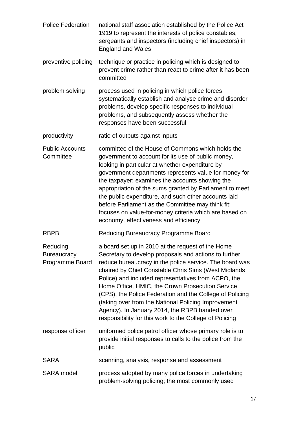| <b>Police Federation</b>                          | national staff association established by the Police Act<br>1919 to represent the interests of police constables,<br>sergeants and inspectors (including chief inspectors) in<br><b>England and Wales</b>                                                                                                                                                                                                                                                                                                                                                                |
|---------------------------------------------------|--------------------------------------------------------------------------------------------------------------------------------------------------------------------------------------------------------------------------------------------------------------------------------------------------------------------------------------------------------------------------------------------------------------------------------------------------------------------------------------------------------------------------------------------------------------------------|
| preventive policing                               | technique or practice in policing which is designed to<br>prevent crime rather than react to crime after it has been<br>committed                                                                                                                                                                                                                                                                                                                                                                                                                                        |
| problem solving                                   | process used in policing in which police forces<br>systematically establish and analyse crime and disorder<br>problems, develop specific responses to individual<br>problems, and subsequently assess whether the<br>responses have been successful                                                                                                                                                                                                                                                                                                                      |
| productivity                                      | ratio of outputs against inputs                                                                                                                                                                                                                                                                                                                                                                                                                                                                                                                                          |
| <b>Public Accounts</b><br>Committee               | committee of the House of Commons which holds the<br>government to account for its use of public money,<br>looking in particular at whether expenditure by<br>government departments represents value for money for<br>the taxpayer; examines the accounts showing the<br>appropriation of the sums granted by Parliament to meet<br>the public expenditure, and such other accounts laid<br>before Parliament as the Committee may think fit;<br>focuses on value-for-money criteria which are based on<br>economy, effectiveness and efficiency                        |
| <b>RBPB</b>                                       | Reducing Bureaucracy Programme Board                                                                                                                                                                                                                                                                                                                                                                                                                                                                                                                                     |
| Reducing<br><b>Bureaucracy</b><br>Programme Board | a board set up in 2010 at the request of the Home<br>Secretary to develop proposals and actions to further<br>reduce bureaucracy in the police service. The board was<br>chaired by Chief Constable Chris Sims (West Midlands<br>Police) and included representatives from ACPO, the<br>Home Office, HMIC, the Crown Prosecution Service<br>(CPS), the Police Federation and the College of Policing<br>(taking over from the National Policing Improvement<br>Agency). In January 2014, the RBPB handed over<br>responsibility for this work to the College of Policing |
| response officer                                  | uniformed police patrol officer whose primary role is to<br>provide initial responses to calls to the police from the<br>public                                                                                                                                                                                                                                                                                                                                                                                                                                          |
| <b>SARA</b>                                       | scanning, analysis, response and assessment                                                                                                                                                                                                                                                                                                                                                                                                                                                                                                                              |
| <b>SARA</b> model                                 | process adopted by many police forces in undertaking<br>problem-solving policing; the most commonly used                                                                                                                                                                                                                                                                                                                                                                                                                                                                 |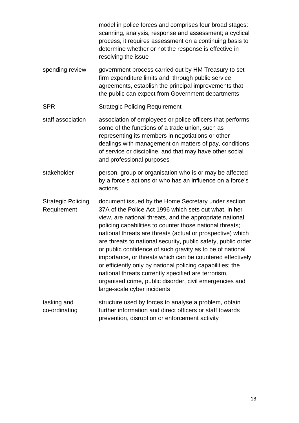model in police forces and comprises four broad stages: scanning, analysis, response and assessment; a cyclical process, it requires assessment on a continuing basis to determine whether or not the response is effective in resolving the issue

spending review government process carried out by HM Treasury to set firm expenditure limits and, through public service agreements, establish the principal improvements that the public can expect from Government departments

#### SPR Strategic Policing Requirement

- staff association association of employees or police officers that performs some of the functions of a trade union, such as representing its members in negotiations or other dealings with management on matters of pay, conditions of service or discipline, and that may have other social and professional purposes
- stakeholder person, group or organisation who is or may be affected by a force's actions or who has an influence on a force's actions

Strategic Policing Requirement document issued by the Home Secretary under section 37A of the Police Act 1996 which sets out what, in her view, are national threats, and the appropriate national policing capabilities to counter those national threats; national threats are threats (actual or prospective) which are threats to national security, public safety, public order or public confidence of such gravity as to be of national importance, or threats which can be countered effectively or efficiently only by national policing capabilities; the national threats currently specified are terrorism, organised crime, public disorder, civil emergencies and large-scale cyber incidents

tasking and co-ordinating structure used by forces to analyse a problem, obtain further information and direct officers or staff towards prevention, disruption or enforcement activity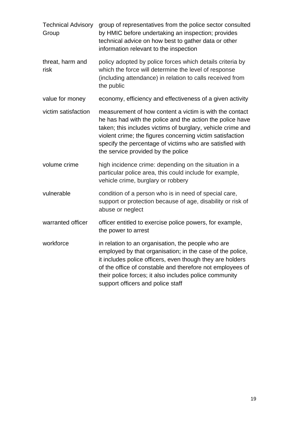| <b>Technical Advisory</b><br>Group | group of representatives from the police sector consulted<br>by HMIC before undertaking an inspection; provides<br>technical advice on how best to gather data or other<br>information relevant to the inspection                                                                                                                                  |
|------------------------------------|----------------------------------------------------------------------------------------------------------------------------------------------------------------------------------------------------------------------------------------------------------------------------------------------------------------------------------------------------|
| threat, harm and<br>risk           | policy adopted by police forces which details criteria by<br>which the force will determine the level of response<br>(including attendance) in relation to calls received from<br>the public                                                                                                                                                       |
| value for money                    | economy, efficiency and effectiveness of a given activity                                                                                                                                                                                                                                                                                          |
| victim satisfaction                | measurement of how content a victim is with the contact<br>he has had with the police and the action the police have<br>taken; this includes victims of burglary, vehicle crime and<br>violent crime; the figures concerning victim satisfaction<br>specify the percentage of victims who are satisfied with<br>the service provided by the police |
| volume crime                       | high incidence crime: depending on the situation in a<br>particular police area, this could include for example,<br>vehicle crime, burglary or robbery                                                                                                                                                                                             |
| vulnerable                         | condition of a person who is in need of special care,<br>support or protection because of age, disability or risk of<br>abuse or neglect                                                                                                                                                                                                           |
| warranted officer                  | officer entitled to exercise police powers, for example,<br>the power to arrest                                                                                                                                                                                                                                                                    |
| workforce                          | in relation to an organisation, the people who are<br>employed by that organisation; in the case of the police,<br>it includes police officers, even though they are holders<br>of the office of constable and therefore not employees of<br>their police forces; it also includes police community<br>support officers and police staff           |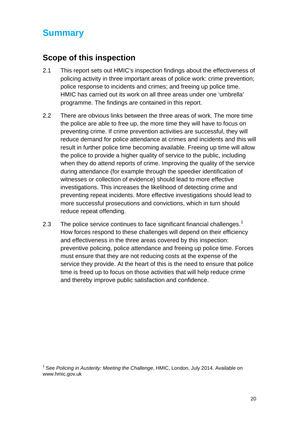# <span id="page-19-0"></span>**Summary**

### <span id="page-19-1"></span>**Scope of this inspection**

- 2.1 This report sets out HMIC's inspection findings about the effectiveness of policing activity in three important areas of police work: crime prevention; police response to incidents and crimes; and freeing up police time. HMIC has carried out its work on all three areas under one 'umbrella' programme. The findings are contained in this report.
- 2.2 There are obvious links between the three areas of work. The more time the police are able to free up, the more time they will have to focus on preventing crime. If crime prevention activities are successful, they will reduce demand for police attendance at crimes and incidents and this will result in further police time becoming available. Freeing up time will allow the police to provide a higher quality of service to the public, including when they do attend reports of crime. Improving the quality of the service during attendance (for example through the speedier identification of witnesses or collection of evidence) should lead to more effective investigations. This increases the likelihood of detecting crime and preventing repeat incidents. More effective investigations should lead to more successful prosecutions and convictions, which in turn should reduce repeat offending.
- 2.3 The police service continues to face significant financial challenges.<sup>[1](#page-19-2)</sup> How forces respond to these challenges will depend on their efficiency and effectiveness in the three areas covered by this inspection: preventive policing, police attendance and freeing up police time. Forces must ensure that they are not reducing costs at the expense of the service they provide. At the heart of this is the need to ensure that police time is freed up to focus on those activities that will help reduce crime and thereby improve public satisfaction and confidence.

<span id="page-19-2"></span><sup>1</sup> See *Policing in Austerity: Meeting the Challenge*, HMIC, London, July 2014. Available on www.hmic.gov.uk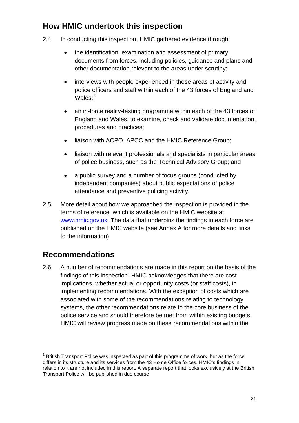### <span id="page-20-0"></span>**How HMIC undertook this inspection**

- 2.4 In conducting this inspection, HMIC gathered evidence through:
	- the identification, examination and assessment of primary documents from forces, including policies, guidance and plans and other documentation relevant to the areas under scrutiny;
	- interviews with people experienced in these areas of activity and police officers and staff within each of the 43 forces of England and Wales;<sup>[2](#page-20-2)</sup>
	- an in-force reality-testing programme within each of the 43 forces of England and Wales, to examine, check and validate documentation, procedures and practices;
	- liaison with ACPO, APCC and the HMIC Reference Group;
	- liaison with relevant professionals and specialists in particular areas of police business, such as the Technical Advisory Group; and
	- a public survey and a number of focus groups (conducted by independent companies) about public expectations of police attendance and preventive policing activity.
- 2.5 More detail about how we approached the inspection is provided in the terms of reference, which is available on the HMIC website at [www.hmic.gov.uk.](http://www.hmic.gov.uk/) The data that underpins the findings in each force are published on the HMIC website (see Annex A for more details and links to the information).

### <span id="page-20-1"></span>**Recommendations**

2.6 A number of recommendations are made in this report on the basis of the findings of this inspection. HMIC acknowledges that there are cost implications, whether actual or opportunity costs (or staff costs), in implementing recommendations. With the exception of costs which are associated with some of the recommendations relating to technology systems, the other recommendations relate to the core business of the police service and should therefore be met from within existing budgets. HMIC will review progress made on these recommendations within the

<span id="page-20-2"></span> $2$  British Transport Police was inspected as part of this programme of work, but as the force differs in its structure and its services from the 43 Home Office forces, HMIC's findings in relation to it are not included in this report. A separate report that looks exclusively at the British Transport Police will be published in due course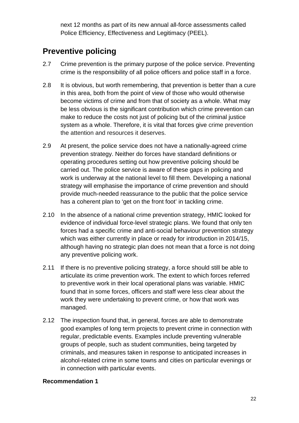next 12 months as part of its new annual all-force assessments called Police Efficiency, Effectiveness and Legitimacy (PEEL).

## <span id="page-21-0"></span>**Preventive policing**

- 2.7 Crime prevention is the primary purpose of the police service. Preventing crime is the responsibility of all police officers and police staff in a force.
- 2.8 It is obvious, but worth remembering, that prevention is better than a cure in this area, both from the point of view of those who would otherwise become victims of crime and from that of society as a whole. What may be less obvious is the significant contribution which crime prevention can make to reduce the costs not just of policing but of the criminal justice system as a whole. Therefore, it is vital that forces give crime prevention the attention and resources it deserves.
- 2.9 At present, the police service does not have a nationally-agreed crime prevention strategy. Neither do forces have standard definitions or operating procedures setting out how preventive policing should be carried out. The police service is aware of these gaps in policing and work is underway at the national level to fill them. Developing a national strategy will emphasise the importance of crime prevention and should provide much-needed reassurance to the public that the police service has a coherent plan to 'get on the front foot' in tackling crime.
- 2.10 In the absence of a national crime prevention strategy, HMIC looked for evidence of individual force-level strategic plans. We found that only ten forces had a specific crime and anti-social behaviour prevention strategy which was either currently in place or ready for introduction in 2014/15, although having no strategic plan does not mean that a force is not doing any preventive policing work.
- 2.11 If there is no preventive policing strategy, a force should still be able to articulate its crime prevention work. The extent to which forces referred to preventive work in their local operational plans was variable. HMIC found that in some forces, officers and staff were less clear about the work they were undertaking to prevent crime, or how that work was managed.
- 2.12 The inspection found that, in general, forces are able to demonstrate good examples of long term projects to prevent crime in connection with regular, predictable events. Examples include preventing vulnerable groups of people, such as student communities, being targeted by criminals, and measures taken in response to anticipated increases in alcohol-related crime in some towns and cities on particular evenings or in connection with particular events.

#### **Recommendation 1**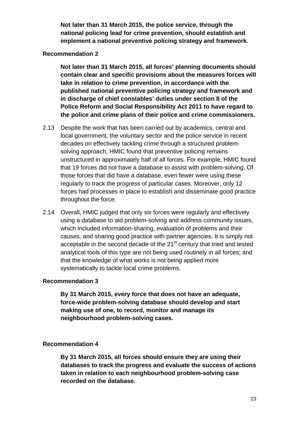**Not later than 31 March 2015, the police service, through the national policing lead for crime prevention, should establish and implement a national preventive policing strategy and framework.**

#### **Recommendation 2**

**Not later than 31 March 2015, all forces' planning documents should contain clear and specific provisions about the measures forces will take in relation to crime prevention, in accordance with the published national preventive policing strategy and framework and in discharge of chief constables' duties under section 8 of the Police Reform and Social Responsibility Act 2011 to have regard to the police and crime plans of their police and crime commissioners.**

- 2.13 Despite the work that has been carried out by academics, central and local government, the voluntary sector and the police service in recent decades on effectively tackling crime through a structured problemsolving approach, HMIC found that preventive policing remains unstructured in approximately half of all forces. For example, HMIC found that 19 forces did not have a database to assist with problem-solving. Of those forces that did have a database, even fewer were using these regularly to track the progress of particular cases. Moreover, only 12 forces had processes in place to establish and disseminate good practice throughout the force.
- 2.14 Overall, HMIC judged that only six forces were regularly and effectively using a database to aid problem-solving and address community issues, which included information-sharing, evaluation of problems and their causes, and sharing good practice with partner agencies. It is simply not acceptable in the second decade of the 21<sup>st</sup> century that tried and tested analytical tools of this type are not being used routinely in all forces; and that the knowledge of what works is not being applied more systematically to tackle local crime problems.

#### **Recommendation 3**

**By 31 March 2015, every force that does not have an adequate, force-wide problem-solving database should develop and start making use of one, to record, monitor and manage its neighbourhood problem-solving cases.**

#### **Recommendation 4**

**By 31 March 2015, all forces should ensure they are using their databases to track the progress and evaluate the success of actions taken in relation to each neighbourhood problem-solving case recorded on the database.**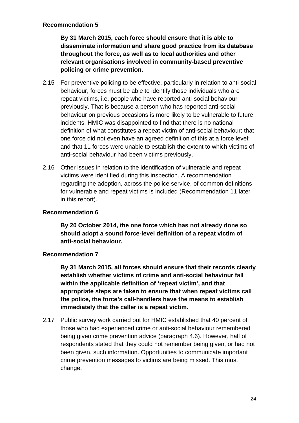#### **Recommendation 5**

**By 31 March 2015, each force should ensure that it is able to disseminate information and share good practice from its database throughout the force, as well as to local authorities and other relevant organisations involved in community-based preventive policing or crime prevention.**

- 2.15 For preventive policing to be effective, particularly in relation to anti-social behaviour, forces must be able to identify those individuals who are repeat victims, i.e. people who have reported anti-social behaviour previously. That is because a person who has reported anti-social behaviour on previous occasions is more likely to be vulnerable to future incidents. HMIC was disappointed to find that there is no national definition of what constitutes a repeat victim of anti-social behaviour; that one force did not even have an agreed definition of this at a force level; and that 11 forces were unable to establish the extent to which victims of anti-social behaviour had been victims previously.
- 2.16 Other issues in relation to the identification of vulnerable and repeat victims were identified during this inspection. A recommendation regarding the adoption, across the police service, of common definitions for vulnerable and repeat victims is included (Recommendation 11 later in this report).

#### **Recommendation 6**

**By 20 October 2014, the one force which has not already done so should adopt a sound force-level definition of a repeat victim of anti-social behaviour.**

#### **Recommendation 7**

**By 31 March 2015, all forces should ensure that their records clearly establish whether victims of crime and anti-social behaviour fall within the applicable definition of 'repeat victim', and that appropriate steps are taken to ensure that when repeat victims call the police, the force's call-handlers have the means to establish immediately that the caller is a repeat victim.**

2.17 Public survey work carried out for HMIC established that 40 percent of those who had experienced crime or anti-social behaviour remembered being given crime prevention advice (paragraph 4.6). However, half of respondents stated that they could not remember being given, or had not been given, such information. Opportunities to communicate important crime prevention messages to victims are being missed. This must change.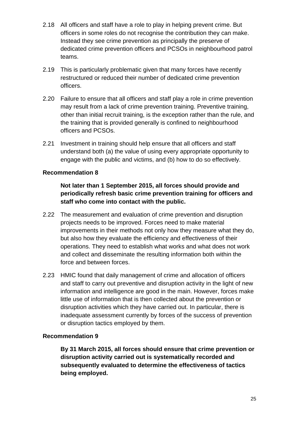- 2.18 All officers and staff have a role to play in helping prevent crime. But officers in some roles do not recognise the contribution they can make. Instead they see crime prevention as principally the preserve of dedicated crime prevention officers and PCSOs in neighbourhood patrol teams.
- 2.19 This is particularly problematic given that many forces have recently restructured or reduced their number of dedicated crime prevention officers.
- 2.20 Failure to ensure that all officers and staff play a role in crime prevention may result from a lack of crime prevention training. Preventive training, other than initial recruit training, is the exception rather than the rule, and the training that is provided generally is confined to neighbourhood officers and PCSOs.
- 2.21 Investment in training should help ensure that all officers and staff understand both (a) the value of using every appropriate opportunity to engage with the public and victims, and (b) how to do so effectively.

#### **Recommendation 8**

#### **Not later than 1 September 2015, all forces should provide and periodically refresh basic crime prevention training for officers and staff who come into contact with the public.**

- 2.22 The measurement and evaluation of crime prevention and disruption projects needs to be improved. Forces need to make material improvements in their methods not only how they measure what they do, but also how they evaluate the efficiency and effectiveness of their operations. They need to establish what works and what does not work and collect and disseminate the resulting information both within the force and between forces.
- 2.23 HMIC found that daily management of crime and allocation of officers and staff to carry out preventive and disruption activity in the light of new information and intelligence are good in the main. However, forces make little use of information that is then collected about the prevention or disruption activities which they have carried out. In particular, there is inadequate assessment currently by forces of the success of prevention or disruption tactics employed by them.

#### **Recommendation 9**

**By 31 March 2015, all forces should ensure that crime prevention or disruption activity carried out is systematically recorded and subsequently evaluated to determine the effectiveness of tactics being employed.**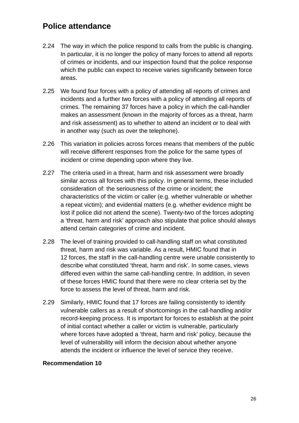### <span id="page-25-0"></span>**Police attendance**

- 2.24 The way in which the police respond to calls from the public is changing. In particular, it is no longer the policy of many forces to attend all reports of crimes or incidents, and our inspection found that the police response which the public can expect to receive varies significantly between force areas.
- 2.25 We found four forces with a policy of attending all reports of crimes and incidents and a further two forces with a policy of attending all reports of crimes. The remaining 37 forces have a policy in which the call-handler makes an assessment (known in the majority of forces as a threat, harm and risk assessment) as to whether to attend an incident or to deal with in another way (such as over the telephone).
- 2.26 This variation in policies across forces means that members of the public will receive different responses from the police for the same types of incident or crime depending upon where they live.
- 2.27 The criteria used in a threat, harm and risk assessment were broadly similar across all forces with this policy. In general terms, these included consideration of: the seriousness of the crime or incident; the characteristics of the victim or caller (e.g. whether vulnerable or whether a repeat victim); and evidential matters (e.g. whether evidence might be lost if police did not attend the scene). Twenty-two of the forces adopting a 'threat, harm and risk' approach also stipulate that police should always attend certain categories of crime and incident.
- 2.28 The level of training provided to call-handling staff on what constituted threat, harm and risk was variable. As a result, HMIC found that in 12 forces, the staff in the call-handling centre were unable consistently to describe what constituted 'threat, harm and risk'. In some cases, views differed even within the same call-handling centre. In addition, in seven of these forces HMIC found that there were no clear criteria set by the force to assess the level of threat, harm and risk.
- 2.29 Similarly, HMIC found that 17 forces are failing consistently to identify vulnerable callers as a result of shortcomings in the call-handling and/or record-keeping process. It is important for forces to establish at the point of initial contact whether a caller or victim is vulnerable, particularly where forces have adopted a 'threat, harm and risk' policy, because the level of vulnerability will inform the decision about whether anyone attends the incident or influence the level of service they receive.

#### **Recommendation 10**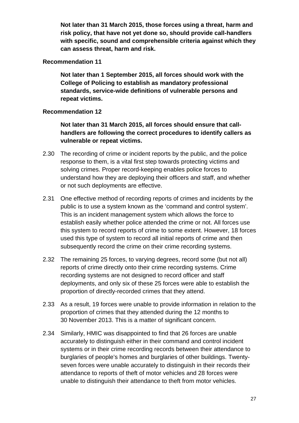**Not later than 31 March 2015, those forces using a threat, harm and risk policy, that have not yet done so, should provide call-handlers with specific, sound and comprehensible criteria against which they can assess threat, harm and risk.**

#### **Recommendation 11**

**Not later than 1 September 2015, all forces should work with the College of Policing to establish as mandatory professional standards, service-wide definitions of vulnerable persons and repeat victims.**

#### **Recommendation 12**

**Not later than 31 March 2015, all forces should ensure that callhandlers are following the correct procedures to identify callers as vulnerable or repeat victims.** 

- 2.30 The recording of crime or incident reports by the public, and the police response to them, is a vital first step towards protecting victims and solving crimes. Proper record-keeping enables police forces to understand how they are deploying their officers and staff, and whether or not such deployments are effective.
- 2.31 One effective method of recording reports of crimes and incidents by the public is to use a system known as the 'command and control system'. This is an incident management system which allows the force to establish easily whether police attended the crime or not. All forces use this system to record reports of crime to some extent. However, 18 forces used this type of system to record all initial reports of crime and then subsequently record the crime on their crime recording systems.
- 2.32 The remaining 25 forces, to varying degrees, record some (but not all) reports of crime directly onto their crime recording systems. Crime recording systems are not designed to record officer and staff deployments, and only six of these 25 forces were able to establish the proportion of directly-recorded crimes that they attend.
- 2.33 As a result, 19 forces were unable to provide information in relation to the proportion of crimes that they attended during the 12 months to 30 November 2013. This is a matter of significant concern.
- 2.34 Similarly, HMIC was disappointed to find that 26 forces are unable accurately to distinguish either in their command and control incident systems or in their crime recording records between their attendance to burglaries of people's homes and burglaries of other buildings. Twentyseven forces were unable accurately to distinguish in their records their attendance to reports of theft of motor vehicles and 28 forces were unable to distinguish their attendance to theft from motor vehicles.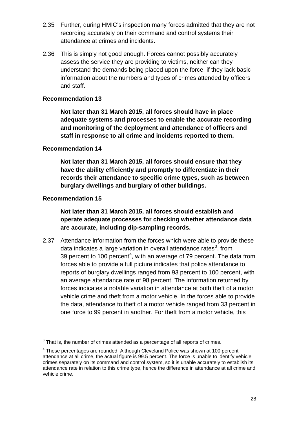- 2.35 Further, during HMIC's inspection many forces admitted that they are not recording accurately on their command and control systems their attendance at crimes and incidents.
- 2.36 This is simply not good enough. Forces cannot possibly accurately assess the service they are providing to victims, neither can they understand the demands being placed upon the force, if they lack basic information about the numbers and types of crimes attended by officers and staff.

#### **Recommendation 13**

**Not later than 31 March 2015, all forces should have in place adequate systems and processes to enable the accurate recording and monitoring of the deployment and attendance of officers and staff in response to all crime and incidents reported to them.** 

#### **Recommendation 14**

**Not later than 31 March 2015, all forces should ensure that they have the ability efficiently and promptly to differentiate in their records their attendance to specific crime types, such as between burglary dwellings and burglary of other buildings.**

#### **Recommendation 15**

**Not later than 31 March 2015, all forces should establish and operate adequate processes for checking whether attendance data are accurate, including dip-sampling records.**

2.37 Attendance information from the forces which were able to provide these data indicates a large variation in overall attendance rates<sup>[3](#page-27-0)</sup>, from 39 percent to 100 percent<sup>[4](#page-27-1)</sup>, with an average of 79 percent. The data from forces able to provide a full picture indicates that police attendance to reports of burglary dwellings ranged from 93 percent to 100 percent, with an average attendance rate of 98 percent. The information returned by forces indicates a notable variation in attendance at both theft of a motor vehicle crime and theft from a motor vehicle. In the forces able to provide the data, attendance to theft of a motor vehicle ranged from 33 percent in one force to 99 percent in another. For theft from a motor vehicle, this

<span id="page-27-0"></span> $3$  That is, the number of crimes attended as a percentage of all reports of crimes.

<span id="page-27-1"></span><sup>4</sup> These percentages are rounded. Although Cleveland Police was shown at 100 percent attendance at all crime, the actual figure is 99.5 percent. The force is unable to identify vehicle crimes separately on its command and control system, so it is unable accurately to establish its attendance rate in relation to this crime type, hence the difference in attendance at all crime and vehicle crime.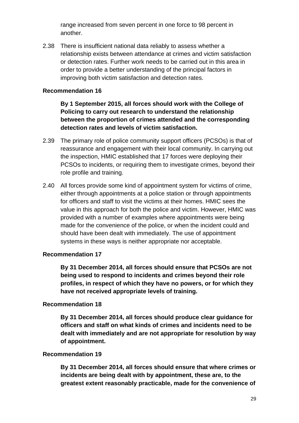range increased from seven percent in one force to 98 percent in another.

2.38 There is insufficient national data reliably to assess whether a relationship exists between attendance at crimes and victim satisfaction or detection rates. Further work needs to be carried out in this area in order to provide a better understanding of the principal factors in improving both victim satisfaction and detection rates.

#### **Recommendation 16**

**By 1 September 2015, all forces should work with the College of Policing to carry out research to understand the relationship between the proportion of crimes attended and the corresponding detection rates and levels of victim satisfaction.** 

- 2.39 The primary role of police community support officers (PCSOs) is that of reassurance and engagement with their local community. In carrying out the inspection, HMIC established that 17 forces were deploying their PCSOs to incidents, or requiring them to investigate crimes, beyond their role profile and training.
- 2.40 All forces provide some kind of appointment system for victims of crime, either through appointments at a police station or through appointments for officers and staff to visit the victims at their homes. HMIC sees the value in this approach for both the police and victim. However, HMIC was provided with a number of examples where appointments were being made for the convenience of the police, or when the incident could and should have been dealt with immediately. The use of appointment systems in these ways is neither appropriate nor acceptable.

#### **Recommendation 17**

**By 31 December 2014, all forces should ensure that PCSOs are not being used to respond to incidents and crimes beyond their role profiles, in respect of which they have no powers, or for which they have not received appropriate levels of training.**

#### **Recommendation 18**

**By 31 December 2014, all forces should produce clear guidance for officers and staff on what kinds of crimes and incidents need to be dealt with immediately and are not appropriate for resolution by way of appointment.**

#### **Recommendation 19**

**By 31 December 2014, all forces should ensure that where crimes or incidents are being dealt with by appointment, these are, to the greatest extent reasonably practicable, made for the convenience of**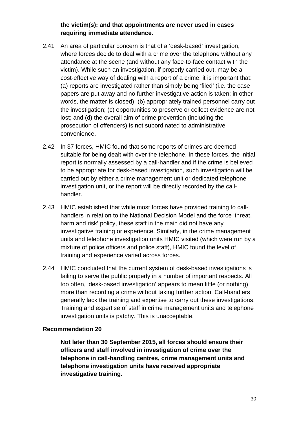#### **the victim(s); and that appointments are never used in cases requiring immediate attendance.**

- 2.41 An area of particular concern is that of a 'desk-based' investigation, where forces decide to deal with a crime over the telephone without any attendance at the scene (and without any face-to-face contact with the victim). While such an investigation, if properly carried out, may be a cost-effective way of dealing with a report of a crime, it is important that: (a) reports are investigated rather than simply being 'filed' (i.e. the case papers are put away and no further investigative action is taken; in other words, the matter is closed); (b) appropriately trained personnel carry out the investigation; (c) opportunities to preserve or collect evidence are not lost; and (d) the overall aim of crime prevention (including the prosecution of offenders) is not subordinated to administrative convenience.
- 2.42 In 37 forces, HMIC found that some reports of crimes are deemed suitable for being dealt with over the telephone. In these forces, the initial report is normally assessed by a call-handler and if the crime is believed to be appropriate for desk-based investigation, such investigation will be carried out by either a crime management unit or dedicated telephone investigation unit, or the report will be directly recorded by the callhandler.
- 2.43 HMIC established that while most forces have provided training to callhandlers in relation to the National Decision Model and the force 'threat, harm and risk' policy, these staff in the main did not have any investigative training or experience. Similarly, in the crime management units and telephone investigation units HMIC visited (which were run by a mixture of police officers and police staff), HMIC found the level of training and experience varied across forces.
- 2.44 HMIC concluded that the current system of desk-based investigations is failing to serve the public properly in a number of important respects. All too often, 'desk-based investigation' appears to mean little (or nothing) more than recording a crime without taking further action. Call-handlers generally lack the training and expertise to carry out these investigations. Training and expertise of staff in crime management units and telephone investigation units is patchy. This is unacceptable.

#### **Recommendation 20**

**Not later than 30 September 2015, all forces should ensure their officers and staff involved in investigation of crime over the telephone in call-handling centres, crime management units and telephone investigation units have received appropriate investigative training.**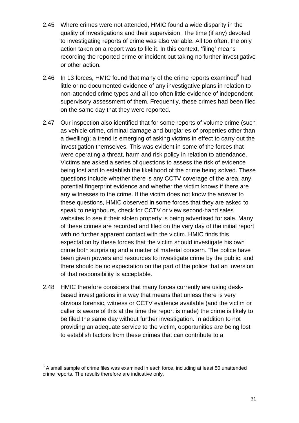- 2.45 Where crimes were not attended, HMIC found a wide disparity in the quality of investigations and their supervision. The time (if any) devoted to investigating reports of crime was also variable. All too often, the only action taken on a report was to file it. In this context, 'filing' means recording the reported crime or incident but taking no further investigative or other action.
- 2.46 In 13 forces, HMIC found that many of the crime reports examined<sup>[5](#page-30-0)</sup> had little or no documented evidence of any investigative plans in relation to non-attended crime types and all too often little evidence of independent supervisory assessment of them. Frequently, these crimes had been filed on the same day that they were reported.
- 2.47 Our inspection also identified that for some reports of volume crime (such as vehicle crime, criminal damage and burglaries of properties other than a dwelling); a trend is emerging of asking victims in effect to carry out the investigation themselves. This was evident in some of the forces that were operating a threat, harm and risk policy in relation to attendance. Victims are asked a series of questions to assess the risk of evidence being lost and to establish the likelihood of the crime being solved. These questions include whether there is any CCTV coverage of the area, any potential fingerprint evidence and whether the victim knows if there are any witnesses to the crime. If the victim does not know the answer to these questions, HMIC observed in some forces that they are asked to speak to neighbours, check for CCTV or view second-hand sales websites to see if their stolen property is being advertised for sale. Many of these crimes are recorded and filed on the very day of the initial report with no further apparent contact with the victim. HMIC finds this expectation by these forces that the victim should investigate his own crime both surprising and a matter of material concern. The police have been given powers and resources to investigate crime by the public, and there should be no expectation on the part of the police that an inversion of that responsibility is acceptable.
- 2.48 HMIC therefore considers that many forces currently are using deskbased investigations in a way that means that unless there is very obvious forensic, witness or CCTV evidence available (and the victim or caller is aware of this at the time the report is made) the crime is likely to be filed the same day without further investigation. In addition to not providing an adequate service to the victim, opportunities are being lost to establish factors from these crimes that can contribute to a

<span id="page-30-0"></span> $5$  A small sample of crime files was examined in each force, including at least 50 unattended crime reports. The results therefore are indicative only.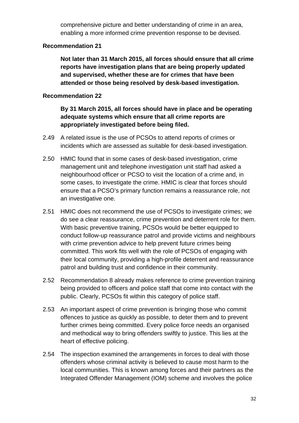comprehensive picture and better understanding of crime in an area, enabling a more informed crime prevention response to be devised.

#### **Recommendation 21**

**Not later than 31 March 2015, all forces should ensure that all crime reports have investigation plans that are being properly updated and supervised, whether these are for crimes that have been attended or those being resolved by desk-based investigation.**

#### **Recommendation 22**

**By 31 March 2015, all forces should have in place and be operating adequate systems which ensure that all crime reports are appropriately investigated before being filed.**

- 2.49 A related issue is the use of PCSOs to attend reports of crimes or incidents which are assessed as suitable for desk-based investigation.
- 2.50 HMIC found that in some cases of desk-based investigation, crime management unit and telephone investigation unit staff had asked a neighbourhood officer or PCSO to visit the location of a crime and, in some cases, to investigate the crime. HMIC is clear that forces should ensure that a PCSO's primary function remains a reassurance role, not an investigative one.
- 2.51 HMIC does not recommend the use of PCSOs to investigate crimes; we do see a clear reassurance, crime prevention and deterrent role for them. With basic preventive training, PCSOs would be better equipped to conduct follow-up reassurance patrol and provide victims and neighbours with crime prevention advice to help prevent future crimes being committed. This work fits well with the role of PCSOs of engaging with their local community, providing a high-profile deterrent and reassurance patrol and building trust and confidence in their community.
- 2.52 Recommendation 8 already makes reference to crime prevention training being provided to officers and police staff that come into contact with the public. Clearly, PCSOs fit within this category of police staff.
- 2.53 An important aspect of crime prevention is bringing those who commit offences to justice as quickly as possible, to deter them and to prevent further crimes being committed. Every police force needs an organised and methodical way to bring offenders swiftly to justice. This lies at the heart of effective policing.
- 2.54 The inspection examined the arrangements in forces to deal with those offenders whose criminal activity is believed to cause most harm to the local communities. This is known among forces and their partners as the Integrated Offender Management (IOM) scheme and involves the police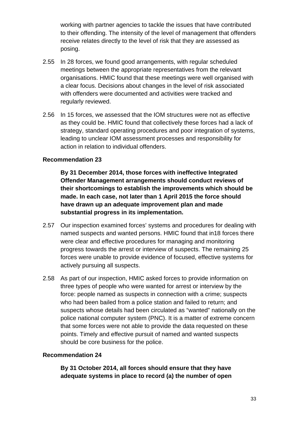working with partner agencies to tackle the issues that have contributed to their offending. The intensity of the level of management that offenders receive relates directly to the level of risk that they are assessed as posing.

- 2.55 In 28 forces, we found good arrangements, with regular scheduled meetings between the appropriate representatives from the relevant organisations. HMIC found that these meetings were well organised with a clear focus. Decisions about changes in the level of risk associated with offenders were documented and activities were tracked and regularly reviewed.
- 2.56 In 15 forces, we assessed that the IOM structures were not as effective as they could be. HMIC found that collectively these forces had a lack of strategy, standard operating procedures and poor integration of systems, leading to unclear IOM assessment processes and responsibility for action in relation to individual offenders.

#### **Recommendation 23**

**By 31 December 2014, those forces with ineffective Integrated Offender Management arrangements should conduct reviews of their shortcomings to establish the improvements which should be made. In each case, not later than 1 April 2015 the force should have drawn up an adequate improvement plan and made substantial progress in its implementation.**

- 2.57 Our inspection examined forces' systems and procedures for dealing with named suspects and wanted persons. HMIC found that in18 forces there were clear and effective procedures for managing and monitoring progress towards the arrest or interview of suspects. The remaining 25 forces were unable to provide evidence of focused, effective systems for actively pursuing all suspects.
- 2.58 As part of our inspection, HMIC asked forces to provide information on three types of people who were wanted for arrest or interview by the force: people named as suspects in connection with a crime; suspects who had been bailed from a police station and failed to return; and suspects whose details had been circulated as "wanted" nationally on the police national computer system (PNC). It is a matter of extreme concern that some forces were not able to provide the data requested on these points. Timely and effective pursuit of named and wanted suspects should be core business for the police.

#### **Recommendation 24**

**By 31 October 2014, all forces should ensure that they have adequate systems in place to record (a) the number of open**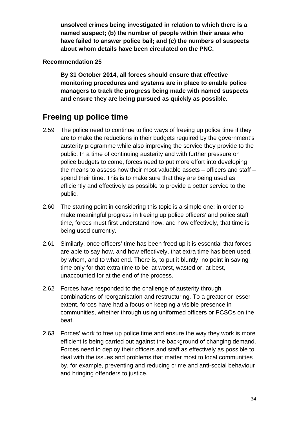**unsolved crimes being investigated in relation to which there is a named suspect; (b) the number of people within their areas who have failed to answer police bail; and (c) the numbers of suspects about whom details have been circulated on the PNC.**

#### **Recommendation 25**

**By 31 October 2014, all forces should ensure that effective monitoring procedures and systems are in place to enable police managers to track the progress being made with named suspects and ensure they are being pursued as quickly as possible.** 

### <span id="page-33-0"></span>**Freeing up police time**

- 2.59 The police need to continue to find ways of freeing up police time if they are to make the reductions in their budgets required by the government's austerity programme while also improving the service they provide to the public. In a time of continuing austerity and with further pressure on police budgets to come, forces need to put more effort into developing the means to assess how their most valuable assets – officers and staff – spend their time. This is to make sure that they are being used as efficiently and effectively as possible to provide a better service to the public.
- 2.60 The starting point in considering this topic is a simple one: in order to make meaningful progress in freeing up police officers' and police staff time, forces must first understand how, and how effectively, that time is being used currently.
- 2.61 Similarly, once officers' time has been freed up it is essential that forces are able to say how, and how effectively, that extra time has been used, by whom, and to what end. There is, to put it bluntly, no point in saving time only for that extra time to be, at worst, wasted or, at best, unaccounted for at the end of the process.
- 2.62 Forces have responded to the challenge of austerity through combinations of reorganisation and restructuring. To a greater or lesser extent, forces have had a focus on keeping a visible presence in communities, whether through using uniformed officers or PCSOs on the beat.
- 2.63 Forces' work to free up police time and ensure the way they work is more efficient is being carried out against the background of changing demand. Forces need to deploy their officers and staff as effectively as possible to deal with the issues and problems that matter most to local communities by, for example, preventing and reducing crime and anti-social behaviour and bringing offenders to justice.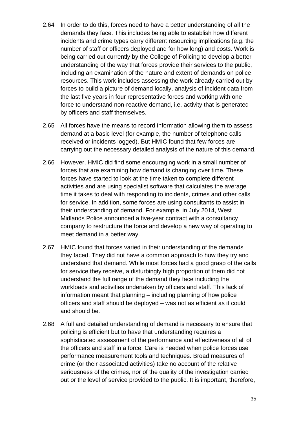- 2.64 In order to do this, forces need to have a better understanding of all the demands they face. This includes being able to establish how different incidents and crime types carry different resourcing implications (e.g. the number of staff or officers deployed and for how long) and costs. Work is being carried out currently by the College of Policing to develop a better understanding of the way that forces provide their services to the public, including an examination of the nature and extent of demands on police resources. This work includes assessing the work already carried out by forces to build a picture of demand locally, analysis of incident data from the last five years in four representative forces and working with one force to understand non-reactive demand, i.e. activity that is generated by officers and staff themselves.
- 2.65 All forces have the means to record information allowing them to assess demand at a basic level (for example, the number of telephone calls received or incidents logged). But HMIC found that few forces are carrying out the necessary detailed analysis of the nature of this demand.
- 2.66 However, HMIC did find some encouraging work in a small number of forces that are examining how demand is changing over time. These forces have started to look at the time taken to complete different activities and are using specialist software that calculates the average time it takes to deal with responding to incidents, crimes and other calls for service. In addition, some forces are using consultants to assist in their understanding of demand. For example, in July 2014, West Midlands Police announced a five-year contract with a consultancy company to restructure the force and develop a new way of operating to meet demand in a better way.
- 2.67 HMIC found that forces varied in their understanding of the demands they faced. They did not have a common approach to how they try and understand that demand. While most forces had a good grasp of the calls for service they receive, a disturbingly high proportion of them did not understand the full range of the demand they face including the workloads and activities undertaken by officers and staff. This lack of information meant that planning – including planning of how police officers and staff should be deployed – was not as efficient as it could and should be.
- 2.68 A full and detailed understanding of demand is necessary to ensure that policing is efficient but to have that understanding requires a sophisticated assessment of the performance and effectiveness of all of the officers and staff in a force. Care is needed when police forces use performance measurement tools and techniques. Broad measures of crime (or their associated activities) take no account of the relative seriousness of the crimes, nor of the quality of the investigation carried out or the level of service provided to the public. It is important, therefore,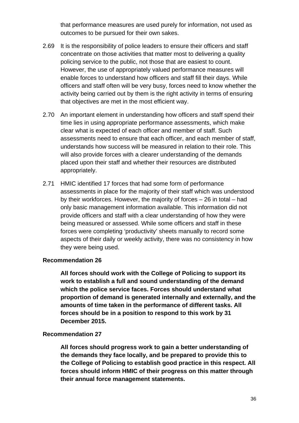that performance measures are used purely for information, not used as outcomes to be pursued for their own sakes.

- 2.69 It is the responsibility of police leaders to ensure their officers and staff concentrate on those activities that matter most to delivering a quality policing service to the public, not those that are easiest to count. However, the use of appropriately valued performance measures will enable forces to understand how officers and staff fill their days. While officers and staff often will be very busy, forces need to know whether the activity being carried out by them is the right activity in terms of ensuring that objectives are met in the most efficient way.
- 2.70 An important element in understanding how officers and staff spend their time lies in using appropriate performance assessments, which make clear what is expected of each officer and member of staff. Such assessments need to ensure that each officer, and each member of staff, understands how success will be measured in relation to their role. This will also provide forces with a clearer understanding of the demands placed upon their staff and whether their resources are distributed appropriately.
- 2.71 HMIC identified 17 forces that had some form of performance assessments in place for the majority of their staff which was understood by their workforces. However, the majority of forces – 26 in total – had only basic management information available. This information did not provide officers and staff with a clear understanding of how they were being measured or assessed. While some officers and staff in these forces were completing 'productivity' sheets manually to record some aspects of their daily or weekly activity, there was no consistency in how they were being used.

#### **Recommendation 26**

**All forces should work with the College of Policing to support its work to establish a full and sound understanding of the demand which the police service faces. Forces should understand what proportion of demand is generated internally and externally, and the amounts of time taken in the performance of different tasks. All forces should be in a position to respond to this work by 31 December 2015.**

#### **Recommendation 27**

**All forces should progress work to gain a better understanding of the demands they face locally, and be prepared to provide this to the College of Policing to establish good practice in this respect. All forces should inform HMIC of their progress on this matter through their annual force management statements.**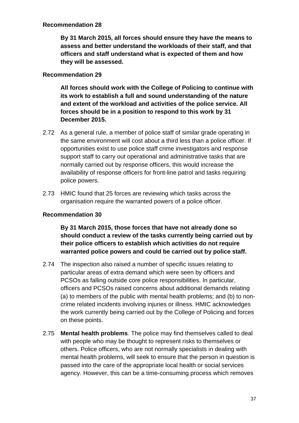#### **Recommendation 28**

**By 31 March 2015, all forces should ensure they have the means to assess and better understand the workloads of their staff, and that officers and staff understand what is expected of them and how they will be assessed.** 

#### **Recommendation 29**

**All forces should work with the College of Policing to continue with its work to establish a full and sound understanding of the nature and extent of the workload and activities of the police service. All forces should be in a position to respond to this work by 31 December 2015.** 

- 2.72 As a general rule, a member of police staff of similar grade operating in the same environment will cost about a third less than a police officer. If opportunities exist to use police staff crime investigators and response support staff to carry out operational and administrative tasks that are normally carried out by response officers, this would increase the availability of response officers for front-line patrol and tasks requiring police powers.
- 2.73 HMIC found that 25 forces are reviewing which tasks across the organisation require the warranted powers of a police officer.

#### **Recommendation 30**

**By 31 March 2015, those forces that have not already done so should conduct a review of the tasks currently being carried out by their police officers to establish which activities do not require warranted police powers and could be carried out by police staff.**

- 2.74 The inspection also raised a number of specific issues relating to particular areas of extra demand which were seen by officers and PCSOs as falling outside core police responsibilities. In particular, officers and PCSOs raised concerns about additional demands relating (a) to members of the public with mental health problems; and (b) to noncrime related incidents involving injuries or illness. HMIC acknowledges the work currently being carried out by the College of Policing and forces on these points.
- 2.75 **Mental health problems**. The police may find themselves called to deal with people who may be thought to represent risks to themselves or others. Police officers, who are not normally specialists in dealing with mental health problems, will seek to ensure that the person in question is passed into the care of the appropriate local health or social services agency. However, this can be a time-consuming process which removes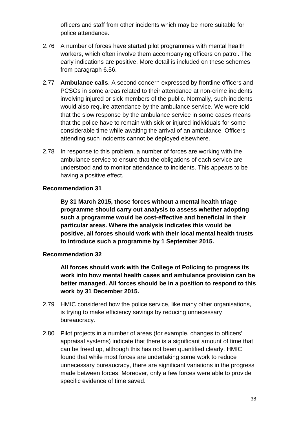officers and staff from other incidents which may be more suitable for police attendance.

- 2.76 A number of forces have started pilot programmes with mental health workers, which often involve them accompanying officers on patrol. The early indications are positive. More detail is included on these schemes from paragraph 6.56.
- 2.77 **Ambulance calls**. A second concern expressed by frontline officers and PCSOs in some areas related to their attendance at non-crime incidents involving injured or sick members of the public. Normally, such incidents would also require attendance by the ambulance service. We were told that the slow response by the ambulance service in some cases means that the police have to remain with sick or injured individuals for some considerable time while awaiting the arrival of an ambulance. Officers attending such incidents cannot be deployed elsewhere.
- 2.78 In response to this problem, a number of forces are working with the ambulance service to ensure that the obligations of each service are understood and to monitor attendance to incidents. This appears to be having a positive effect.

#### **Recommendation 31**

**By 31 March 2015, those forces without a mental health triage programme should carry out analysis to assess whether adopting such a programme would be cost-effective and beneficial in their particular areas. Where the analysis indicates this would be positive, all forces should work with their local mental health trusts to introduce such a programme by 1 September 2015.** 

#### **Recommendation 32**

**All forces should work with the College of Policing to progress its work into how mental health cases and ambulance provision can be better managed. All forces should be in a position to respond to this work by 31 December 2015.** 

- 2.79 HMIC considered how the police service, like many other organisations, is trying to make efficiency savings by reducing unnecessary bureaucracy.
- 2.80 Pilot projects in a number of areas (for example, changes to officers' appraisal systems) indicate that there is a significant amount of time that can be freed up, although this has not been quantified clearly. HMIC found that while most forces are undertaking some work to reduce unnecessary bureaucracy, there are significant variations in the progress made between forces. Moreover, only a few forces were able to provide specific evidence of time saved.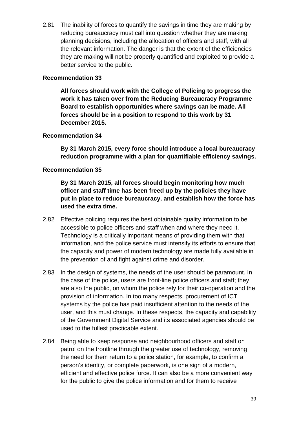2.81 The inability of forces to quantify the savings in time they are making by reducing bureaucracy must call into question whether they are making planning decisions, including the allocation of officers and staff, with all the relevant information. The danger is that the extent of the efficiencies they are making will not be properly quantified and exploited to provide a better service to the public.

#### **Recommendation 33**

**All forces should work with the College of Policing to progress the work it has taken over from the Reducing Bureaucracy Programme Board to establish opportunities where savings can be made. All forces should be in a position to respond to this work by 31 December 2015.**

#### **Recommendation 34**

**By 31 March 2015, every force should introduce a local bureaucracy reduction programme with a plan for quantifiable efficiency savings.**

#### **Recommendation 35**

**By 31 March 2015, all forces should begin monitoring how much officer and staff time has been freed up by the policies they have put in place to reduce bureaucracy, and establish how the force has used the extra time.** 

- 2.82 Effective policing requires the best obtainable quality information to be accessible to police officers and staff when and where they need it. Technology is a critically important means of providing them with that information, and the police service must intensify its efforts to ensure that the capacity and power of modern technology are made fully available in the prevention of and fight against crime and disorder.
- 2.83 In the design of systems, the needs of the user should be paramount. In the case of the police, users are front-line police officers and staff; they are also the public, on whom the police rely for their co-operation and the provision of information. In too many respects, procurement of ICT systems by the police has paid insufficient attention to the needs of the user, and this must change. In these respects, the capacity and capability of the Government Digital Service and its associated agencies should be used to the fullest practicable extent.
- 2.84 Being able to keep response and neighbourhood officers and staff on patrol on the frontline through the greater use of technology, removing the need for them return to a police station, for example, to confirm a person's identity, or complete paperwork, is one sign of a modern, efficient and effective police force. It can also be a more convenient way for the public to give the police information and for them to receive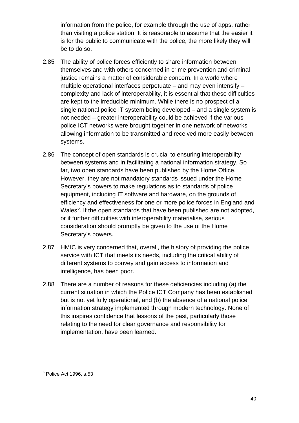information from the police, for example through the use of apps, rather than visiting a police station. It is reasonable to assume that the easier it is for the public to communicate with the police, the more likely they will be to do so.

- 2.85 The ability of police forces efficiently to share information between themselves and with others concerned in crime prevention and criminal justice remains a matter of considerable concern. In a world where multiple operational interfaces perpetuate – and may even intensify – complexity and lack of interoperability, it is essential that these difficulties are kept to the irreducible minimum. While there is no prospect of a single national police IT system being developed – and a single system is not needed – greater interoperability could be achieved if the various police ICT networks were brought together in one network of networks allowing information to be transmitted and received more easily between systems.
- 2.86 The concept of open standards is crucial to ensuring interoperability between systems and in facilitating a national information strategy. So far, two open standards have been published by the Home Office. However, they are not mandatory standards issued under the Home Secretary's powers to make regulations as to standards of police equipment, including IT software and hardware, on the grounds of efficiency and effectiveness for one or more police forces in England and Wales<sup>[6](#page-39-0)</sup>. If the open standards that have been published are not adopted, or if further difficulties with interoperability materialise, serious consideration should promptly be given to the use of the Home Secretary's powers.
- 2.87 HMIC is very concerned that, overall, the history of providing the police service with ICT that meets its needs, including the critical ability of different systems to convey and gain access to information and intelligence, has been poor.
- <span id="page-39-0"></span>2.88 There are a number of reasons for these deficiencies including (a) the current situation in which the Police ICT Company has been established but is not yet fully operational, and (b) the absence of a national police information strategy implemented through modern technology. None of this inspires confidence that lessons of the past, particularly those relating to the need for clear governance and responsibility for implementation, have been learned.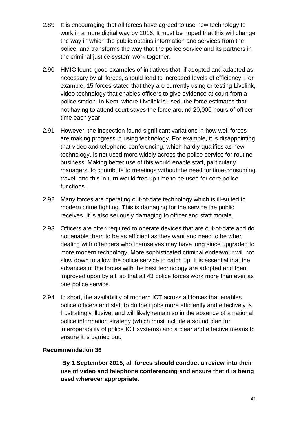- 2.89 It is encouraging that all forces have agreed to use new technology to work in a more digital way by 2016. It must be hoped that this will change the way in which the public obtains information and services from the police, and transforms the way that the police service and its partners in the criminal justice system work together.
- 2.90 HMIC found good examples of initiatives that, if adopted and adapted as necessary by all forces, should lead to increased levels of efficiency. For example, 15 forces stated that they are currently using or testing Livelink, video technology that enables officers to give evidence at court from a police station. In Kent, where Livelink is used, the force estimates that not having to attend court saves the force around 20,000 hours of officer time each year.
- 2.91 However, the inspection found significant variations in how well forces are making progress in using technology. For example, it is disappointing that video and telephone-conferencing, which hardly qualifies as new technology, is not used more widely across the police service for routine business. Making better use of this would enable staff, particularly managers, to contribute to meetings without the need for time-consuming travel, and this in turn would free up time to be used for core police functions.
- 2.92 Many forces are operating out-of-date technology which is ill-suited to modern crime fighting. This is damaging for the service the public receives. It is also seriously damaging to officer and staff morale.
- 2.93 Officers are often required to operate devices that are out-of-date and do not enable them to be as efficient as they want and need to be when dealing with offenders who themselves may have long since upgraded to more modern technology. More sophisticated criminal endeavour will not slow down to allow the police service to catch up. It is essential that the advances of the forces with the best technology are adopted and then improved upon by all, so that all 43 police forces work more than ever as one police service.
- 2.94 In short, the availability of modern ICT across all forces that enables police officers and staff to do their jobs more efficiently and effectively is frustratingly illusive, and will likely remain so in the absence of a national police information strategy (which must include a sound plan for interoperability of police ICT systems) and a clear and effective means to ensure it is carried out.

#### **Recommendation 36**

**By 1 September 2015, all forces should conduct a review into their use of video and telephone conferencing and ensure that it is being used wherever appropriate.**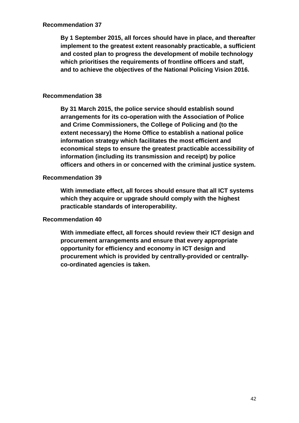#### **Recommendation 37**

**By 1 September 2015, all forces should have in place, and thereafter implement to the greatest extent reasonably practicable, a sufficient and costed plan to progress the development of mobile technology which prioritises the requirements of frontline officers and staff, and to achieve the objectives of the National Policing Vision 2016.**

#### **Recommendation 38**

**By 31 March 2015, the police service should establish sound arrangements for its co-operation with the Association of Police and Crime Commissioners, the College of Policing and (to the extent necessary) the Home Office to establish a national police information strategy which facilitates the most efficient and economical steps to ensure the greatest practicable accessibility of information (including its transmission and receipt) by police officers and others in or concerned with the criminal justice system.**

#### **Recommendation 39**

**With immediate effect, all forces should ensure that all ICT systems which they acquire or upgrade should comply with the highest practicable standards of interoperability.**

#### **Recommendation 40**

**With immediate effect, all forces should review their ICT design and procurement arrangements and ensure that every appropriate opportunity for efficiency and economy in ICT design and procurement which is provided by centrally-provided or centrallyco-ordinated agencies is taken.**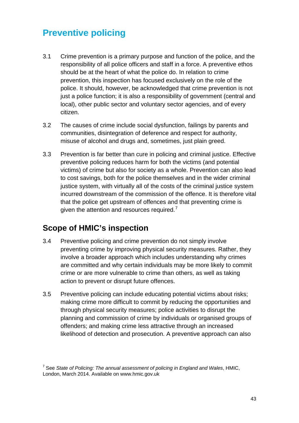# **Preventive policing**

- 3.1 Crime prevention is a primary purpose and function of the police, and the responsibility of all police officers and staff in a force. A preventive ethos should be at the heart of what the police do. In relation to crime prevention, this inspection has focused exclusively on the role of the police. It should, however, be acknowledged that crime prevention is not just a police function; it is also a responsibility of government (central and local), other public sector and voluntary sector agencies, and of every citizen.
- 3.2 The causes of crime include social dysfunction, failings by parents and communities, disintegration of deference and respect for authority, misuse of alcohol and drugs and, sometimes, just plain greed.
- 3.3 Prevention is far better than cure in policing and criminal justice. Effective preventive policing reduces harm for both the victims (and potential victims) of crime but also for society as a whole. Prevention can also lead to cost savings, both for the police themselves and in the wider criminal justice system, with virtually all of the costs of the criminal justice system incurred downstream of the commission of the offence. It is therefore vital that the police get upstream of offences and that preventing crime is given the attention and resources required.<sup>[7](#page-42-0)</sup>

## **Scope of HMIC's inspection**

- 3.4 Preventive policing and crime prevention do not simply involve preventing crime by improving physical security measures. Rather, they involve a broader approach which includes understanding why crimes are committed and why certain individuals may be more likely to commit crime or are more vulnerable to crime than others, as well as taking action to prevent or disrupt future offences.
- 3.5 Preventive policing can include educating potential victims about risks; making crime more difficult to commit by reducing the opportunities and through physical security measures; police activities to disrupt the planning and commission of crime by individuals or organised groups of offenders; and making crime less attractive through an increased likelihood of detection and prosecution. A preventive approach can also

<span id="page-42-0"></span><sup>7</sup> See *State of Policing: The annual assessment of policing in England and Wales*, HMIC, London, March 2014. Available on www.hmic.gov.uk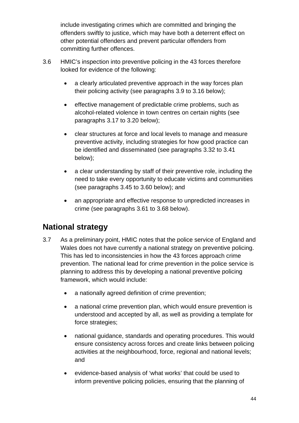include investigating crimes which are committed and bringing the offenders swiftly to justice, which may have both a deterrent effect on other potential offenders and prevent particular offenders from committing further offences.

- 3.6 HMIC's inspection into preventive policing in the 43 forces therefore looked for evidence of the following:
	- a clearly articulated preventive approach in the way forces plan their policing activity (see paragraphs [3.9](#page-44-0) to [3.16](#page-45-0) below);
	- effective management of predictable crime problems, such as alcohol-related violence in town centres on certain nights (see paragraphs [3.17](#page-46-0) to [3.20](#page-48-0) below);
	- clear structures at force and local levels to manage and measure preventive activity, including strategies for how good practice can be identified and disseminated (see paragraphs [3.32](#page-50-0) to 3.41 below);
	- a clear understanding by staff of their preventive role, including the need to take every opportunity to educate victims and communities (see paragraphs [3.45](#page-55-0) to [3.60](#page-58-0) below); and
	- an appropriate and effective response to unpredicted increases in crime (see paragraphs [3.61](#page-58-1) to [3.68](#page-61-0) below).

# **National strategy**

- 3.7 As a preliminary point, HMIC notes that the police service of England and Wales does not have currently a national strategy on preventive policing. This has led to inconsistencies in how the 43 forces approach crime prevention. The national lead for crime prevention in the police service is planning to address this by developing a national preventive policing framework, which would include:
	- a nationally agreed definition of crime prevention;
	- a national crime prevention plan, which would ensure prevention is understood and accepted by all, as well as providing a template for force strategies;
	- national guidance, standards and operating procedures. This would ensure consistency across forces and create links between policing activities at the neighbourhood, force, regional and national levels; and
	- evidence-based analysis of 'what works' that could be used to inform preventive policing policies, ensuring that the planning of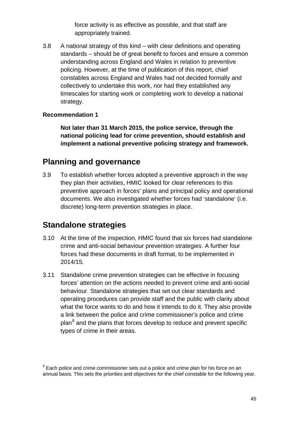force activity is as effective as possible, and that staff are appropriately trained.

3.8 A national strategy of this kind – with clear definitions and operating standards – should be of great benefit to forces and ensure a common understanding across England and Wales in relation to preventive policing. However, at the time of publication of this report, chief constables across England and Wales had not decided formally and collectively to undertake this work, nor had they established any timescales for starting work or completing work to develop a national strategy.

#### **Recommendation 1**

**Not later than 31 March 2015, the police service, through the national policing lead for crime prevention, should establish and implement a national preventive policing strategy and framework.**

### **Planning and governance**

<span id="page-44-0"></span>3.9 To establish whether forces adopted a preventive approach in the way they plan their activities, HMIC looked for clear references to this preventive approach in forces' plans and principal policy and operational documents. We also investigated whether forces had 'standalone' (i.e. discrete) long-term prevention strategies in place.

### **Standalone strategies**

- 3.10 At the time of the inspection, HMIC found that six forces had standalone crime and anti-social behaviour prevention strategies. A further four forces had these documents in draft format, to be implemented in 2014/15.
- 3.11 Standalone crime prevention strategies can be effective in focusing forces' attention on the actions needed to prevent crime and anti-social behaviour. Standalone strategies that set out clear standards and operating procedures can provide staff and the public with clarity about what the force wants to do and how it intends to do it. They also provide a link between the police and crime commissioner's police and crime plan<sup>[8](#page-44-1)</sup> and the plans that forces develop to reduce and prevent specific types of crime in their areas.

<span id="page-44-1"></span> $8$  Each police and crime commissioner sets out a police and crime plan for his force on an annual basis. This sets the priorities and objectives for the chief constable for the following year.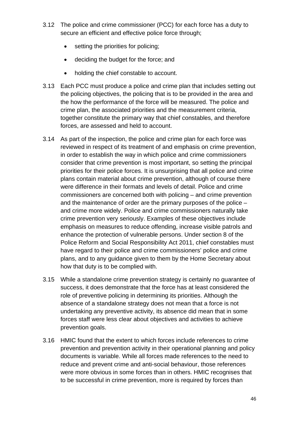- 3.12 The police and crime commissioner (PCC) for each force has a duty to secure an efficient and effective police force through;
	- setting the priorities for policing;
	- deciding the budget for the force; and
	- holding the chief constable to account.
- 3.13 Each PCC must produce a police and crime plan that includes setting out the policing objectives, the policing that is to be provided in the area and the how the performance of the force will be measured. The police and crime plan, the associated priorities and the measurement criteria, together constitute the primary way that chief constables, and therefore forces, are assessed and held to account.
- 3.14 As part of the inspection, the police and crime plan for each force was reviewed in respect of its treatment of and emphasis on crime prevention, in order to establish the way in which police and crime commissioners consider that crime prevention is most important, so setting the principal priorities for their police forces. It is unsurprising that all police and crime plans contain material about crime prevention, although of course there were difference in their formats and levels of detail. Police and crime commissioners are concerned both with policing – and crime prevention and the maintenance of order are the primary purposes of the police – and crime more widely. Police and crime commissioners naturally take crime prevention very seriously. Examples of these objectives include emphasis on measures to reduce offending, increase visible patrols and enhance the protection of vulnerable persons. Under section 8 of the Police Reform and Social Responsibility Act 2011, chief constables must have regard to their police and crime commissioners' police and crime plans, and to any guidance given to them by the Home Secretary about how that duty is to be complied with.
- 3.15 While a standalone crime prevention strategy is certainly no guarantee of success, it does demonstrate that the force has at least considered the role of preventive policing in determining its priorities. Although the absence of a standalone strategy does not mean that a force is not undertaking any preventive activity, its absence did mean that in some forces staff were less clear about objectives and activities to achieve prevention goals.
- <span id="page-45-0"></span>3.16 HMIC found that the extent to which forces include references to crime prevention and prevention activity in their operational planning and policy documents is variable. While all forces made references to the need to reduce and prevent crime and anti-social behaviour, those references were more obvious in some forces than in others. HMIC recognises that to be successful in crime prevention, more is required by forces than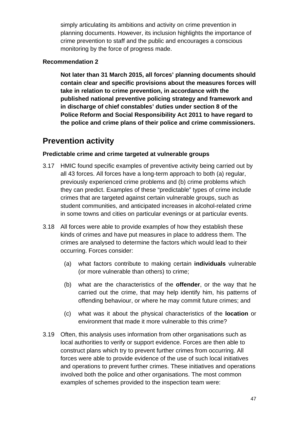simply articulating its ambitions and activity on crime prevention in planning documents. However, its inclusion highlights the importance of crime prevention to staff and the public and encourages a conscious monitoring by the force of progress made.

#### **Recommendation 2**

**Not later than 31 March 2015, all forces' planning documents should contain clear and specific provisions about the measures forces will take in relation to crime prevention, in accordance with the published national preventive policing strategy and framework and in discharge of chief constables' duties under section 8 of the Police Reform and Social Responsibility Act 2011 to have regard to the police and crime plans of their police and crime commissioners.**

## **Prevention activity**

#### **Predictable crime and crime targeted at vulnerable groups**

- <span id="page-46-0"></span>3.17 HMIC found specific examples of preventive activity being carried out by all 43 forces. All forces have a long-term approach to both (a) regular, previously experienced crime problems and (b) crime problems which they can predict. Examples of these "predictable" types of crime include crimes that are targeted against certain vulnerable groups, such as student communities, and anticipated increases in alcohol-related crime in some towns and cities on particular evenings or at particular events.
- 3.18 All forces were able to provide examples of how they establish these kinds of crimes and have put measures in place to address them. The crimes are analysed to determine the factors which would lead to their occurring. Forces consider:
	- (a) what factors contribute to making certain **individuals** vulnerable (or more vulnerable than others) to crime;
	- (b) what are the characteristics of the **offender**, or the way that he carried out the crime, that may help identify him, his patterns of offending behaviour, or where he may commit future crimes; and
	- (c) what was it about the physical characteristics of the **location** or environment that made it more vulnerable to this crime?
- 3.19 Often, this analysis uses information from other organisations such as local authorities to verify or support evidence. Forces are then able to construct plans which try to prevent further crimes from occurring. All forces were able to provide evidence of the use of such local initiatives and operations to prevent further crimes. These initiatives and operations involved both the police and other organisations. The most common examples of schemes provided to the inspection team were: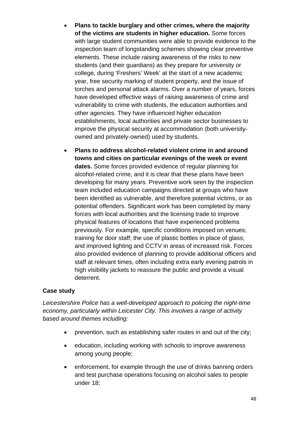- **Plans to tackle burglary and other crimes, where the majority of the victims are students in higher education.** Some forces with large student communities were able to provide evidence to the inspection team of longstanding schemes showing clear preventive elements. These include raising awareness of the risks to new students (and their guardians) as they prepare for university or college, during 'Freshers' Week' at the start of a new academic year, free security marking of student property, and the issue of torches and personal attack alarms. Over a number of years, forces have developed effective ways of raising awareness of crime and vulnerability to crime with students, the education authorities and other agencies. They have influenced higher education establishments, local authorities and private sector businesses to improve the physical security at accommodation (both universityowned and privately-owned) used by students.
- **Plans to address alcohol-related violent crime in and around towns and cities on particular evenings of the week or event dates.** Some forces provided evidence of regular planning for alcohol-related crime, and it is clear that these plans have been developing for many years. Preventive work seen by the inspection team included education campaigns directed at groups who have been identified as vulnerable, and therefore potential victims, or as potential offenders. Significant work has been completed by many forces with local authorities and the licensing trade to improve physical features of locations that have experienced problems previously. For example, specific conditions imposed on venues; training for door staff; the use of plastic bottles in place of glass; and improved lighting and CCTV in areas of increased risk. Forces also provided evidence of planning to provide additional officers and staff at relevant times, often including extra early evening patrols in high visibility jackets to reassure the public and provide a visual deterrent.

#### **Case study**

*Leicestershire Police has a well-developed approach to policing the night-time economy, particularly within Leicester City. This involves a range of activity based around themes including:*

- prevention, such as establishing safer routes in and out of the city;
- education, including working with schools to improve awareness among young people;
- enforcement, for example through the use of drinks banning orders and test purchase operations focusing on alcohol sales to people under 18;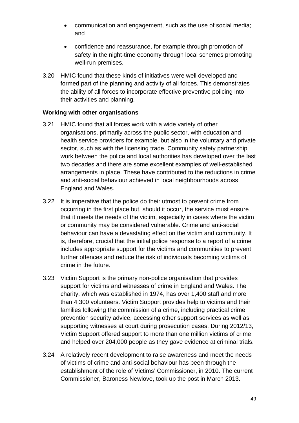- communication and engagement, such as the use of social media; and
- confidence and reassurance, for example through promotion of safety in the night-time economy through local schemes promoting well-run premises.
- <span id="page-48-0"></span>3.20 HMIC found that these kinds of initiatives were well developed and formed part of the planning and activity of all forces. This demonstrates the ability of all forces to incorporate effective preventive policing into their activities and planning.

#### **Working with other organisations**

- 3.21 HMIC found that all forces work with a wide variety of other organisations, primarily across the public sector, with education and health service providers for example, but also in the voluntary and private sector, such as with the licensing trade. Community safety partnership work between the police and local authorities has developed over the last two decades and there are some excellent examples of well-established arrangements in place. These have contributed to the reductions in crime and anti-social behaviour achieved in local neighbourhoods across England and Wales.
- 3.22 It is imperative that the police do their utmost to prevent crime from occurring in the first place but, should it occur, the service must ensure that it meets the needs of the victim, especially in cases where the victim or community may be considered vulnerable. Crime and anti-social behaviour can have a devastating effect on the victim and community. It is, therefore, crucial that the initial police response to a report of a crime includes appropriate support for the victims and communities to prevent further offences and reduce the risk of individuals becoming victims of crime in the future.
- 3.23 Victim Support is the primary non-police organisation that provides support for victims and witnesses of crime in England and Wales. The charity, which was established in 1974, has over 1,400 staff and more than 4,300 volunteers. Victim Support provides help to victims and their families following the commission of a crime, including practical crime prevention security advice, accessing other support services as well as supporting witnesses at court during prosecution cases. During 2012/13, Victim Support offered support to more than one million victims of crime and helped over 204,000 people as they gave evidence at criminal trials.
- 3.24 A relatively recent development to raise awareness and meet the needs of victims of crime and anti-social behaviour has been through the establishment of the role of Victims' Commissioner, in 2010. The current Commissioner, Baroness Newlove, took up the post in March 2013.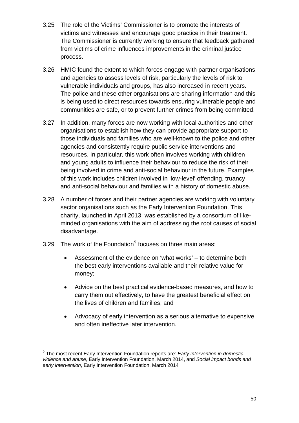- 3.25 The role of the Victims' Commissioner is to promote the interests of victims and witnesses and encourage good practice in their treatment. The Commissioner is currently working to ensure that feedback gathered from victims of crime influences improvements in the criminal justice process.
- 3.26 HMIC found the extent to which forces engage with partner organisations and agencies to assess levels of risk, particularly the levels of risk to vulnerable individuals and groups, has also increased in recent years. The police and these other organisations are sharing information and this is being used to direct resources towards ensuring vulnerable people and communities are safe, or to prevent further crimes from being committed.
- 3.27 In addition, many forces are now working with local authorities and other organisations to establish how they can provide appropriate support to those individuals and families who are well-known to the police and other agencies and consistently require public service interventions and resources. In particular, this work often involves working with children and young adults to influence their behaviour to reduce the risk of their being involved in crime and anti-social behaviour in the future. Examples of this work includes children involved in 'low-level' offending, truancy and anti-social behaviour and families with a history of domestic abuse.
- 3.28 A number of forces and their partner agencies are working with voluntary sector organisations such as the Early Intervention Foundation. This charity, launched in April 2013, was established by a consortium of likeminded organisations with the aim of addressing the root causes of social disadvantage.
- 3.2[9](#page-49-0) The work of the Foundation $9$  focuses on three main areas;
	- Assessment of the evidence on 'what works' to determine both the best early interventions available and their relative value for money;
	- Advice on the best practical evidence-based measures, and how to carry them out effectively, to have the greatest beneficial effect on the lives of children and families; and
	- Advocacy of early intervention as a serious alternative to expensive and often ineffective later intervention.

<span id="page-49-0"></span><sup>9</sup> The most recent Early Intervention Foundation reports are: *Early intervention in domestic violence and abuse*, Early Intervention Foundation, March 2014, and *Social impact bonds and early intervention*, Early Intervention Foundation, March 2014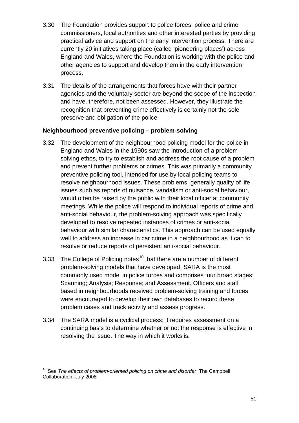- 3.30 The Foundation provides support to police forces, police and crime commissioners, local authorities and other interested parties by providing practical advice and support on the early intervention process. There are currently 20 initiatives taking place (called 'pioneering places') across England and Wales, where the Foundation is working with the police and other agencies to support and develop them in the early intervention process.
- 3.31 The details of the arrangements that forces have with their partner agencies and the voluntary sector are beyond the scope of the inspection and have, therefore, not been assessed. However, they illustrate the recognition that preventing crime effectively is certainly not the sole preserve and obligation of the police.

#### **Neighbourhood preventive policing – problem-solving**

- <span id="page-50-0"></span>3.32 The development of the neighbourhood policing model for the police in England and Wales in the 1990s saw the introduction of a problemsolving ethos, to try to establish and address the root cause of a problem and prevent further problems or crimes. This was primarily a community preventive policing tool, intended for use by local policing teams to resolve neighbourhood issues. These problems, generally quality of life issues such as reports of nuisance, vandalism or anti-social behaviour, would often be raised by the public with their local officer at community meetings. While the police will respond to individual reports of crime and anti-social behaviour, the problem-solving approach was specifically developed to resolve repeated instances of crimes or anti-social behaviour with similar characteristics. This approach can be used equally well to address an increase in car crime in a neighbourhood as it can to resolve or reduce reports of persistent anti-social behaviour.
- 3.33 The College of Policing notes<sup>[10](#page-50-1)</sup> that there are a number of different problem-solving models that have developed. SARA is the most commonly used model in police forces and comprises four broad stages; Scanning; Analysis; Response; and Assessment. Officers and staff based in neighbourhoods received problem-solving training and forces were encouraged to develop their own databases to record these problem cases and track activity and assess progress.
- 3.34 The SARA model is a cyclical process; it requires assessment on a continuing basis to determine whether or not the response is effective in resolving the issue. The way in which it works is:

<span id="page-50-1"></span><sup>&</sup>lt;sup>10</sup> See *The effects of problem-oriented policing on crime and disorder*, The Campbell Collaboration, July 2008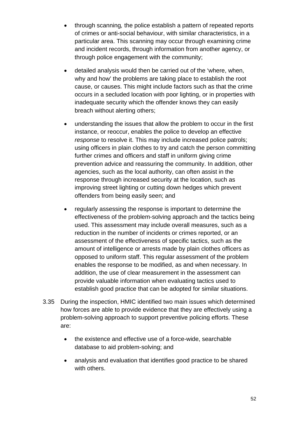- through scanning*,* the police establish a pattern of repeated reports of crimes or anti-social behaviour, with similar characteristics, in a particular area. This scanning may occur through examining crime and incident records, through information from another agency, or through police engagement with the community;
- detailed analysis would then be carried out of the 'where, when, why and how' the problems are taking place to establish the root cause, or causes. This might include factors such as that the crime occurs in a secluded location with poor lighting, or in properties with inadequate security which the offender knows they can easily breach without alerting others;
- understanding the issues that allow the problem to occur in the first instance, or reoccur, enables the police to develop an effective *response* to resolve it. This may include increased police patrols; using officers in plain clothes to try and catch the person committing further crimes and officers and staff in uniform giving crime prevention advice and reassuring the community. In addition, other agencies, such as the local authority, can often assist in the response through increased security at the location, such as improving street lighting or cutting down hedges which prevent offenders from being easily seen; and
- regularly assessing the response is important to determine the effectiveness of the problem-solving approach and the tactics being used. This assessment may include overall measures, such as a reduction in the number of incidents or crimes reported, or an assessment of the effectiveness of specific tactics, such as the amount of intelligence or arrests made by plain clothes officers as opposed to uniform staff. This regular assessment of the problem enables the response to be modified, as and when necessary. In addition, the use of clear measurement in the assessment can provide valuable information when evaluating tactics used to establish good practice that can be adopted for similar situations.
- 3.35 During the inspection, HMIC identified two main issues which determined how forces are able to provide evidence that they are effectively using a problem-solving approach to support preventive policing efforts. These are:
	- the existence and effective use of a force-wide, searchable database to aid problem-solving; and
	- analysis and evaluation that identifies good practice to be shared with others.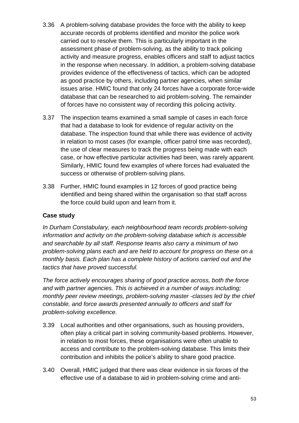- 3.36 A problem-solving database provides the force with the ability to keep accurate records of problems identified and monitor the police work carried out to resolve them. This is particularly important in the assessment phase of problem-solving, as the ability to track policing activity and measure progress, enables officers and staff to adjust tactics in the response when necessary. In addition, a problem-solving database provides evidence of the effectiveness of tactics, which can be adopted as good practice by others, including partner agencies, when similar issues arise. HMIC found that only 24 forces have a corporate force-wide database that can be researched to aid problem-solving. The remainder of forces have no consistent way of recording this policing activity.
- 3.37 The inspection teams examined a small sample of cases in each force that had a database to look for evidence of regular activity on the database. The inspection found that while there was evidence of activity in relation to most cases (for example, officer patrol time was recorded), the use of clear measures to track the progress being made with each case, or how effective particular activities had been, was rarely apparent. Similarly, HMIC found few examples of where forces had evaluated the success or otherwise of problem-solving plans.
- 3.38 Further, HMIC found examples in 12 forces of good practice being identified and being shared within the organisation so that staff across the force could build upon and learn from it.

#### **Case study**

*In Durham Constabulary, each neighbourhood team records problem-solving information and activity on the problem-solving database which is accessible and searchable by all staff. Response teams also carry a minimum of two problem-solving plans each and are held to account for progress on these on a monthly basis. Each plan has a complete history of actions carried out and the tactics that have proved successful.* 

*The force actively encourages sharing of good practice across, both the force and with partner agencies. This is achieved in a number of ways including; monthly peer review meetings, problem-solving master -classes led by the chief constable, and force awards presented annually to officers and staff for problem-solving excellence.* 

- 3.39 Local authorities and other organisations, such as housing providers, often play a critical part in solving community-based problems. However, in relation to most forces, these organisations were often unable to access and contribute to the problem-solving database. This limits their contribution and inhibits the police's ability to share good practice.
- 3.40 Overall, HMIC judged that there was clear evidence in six forces of the effective use of a database to aid in problem-solving crime and anti-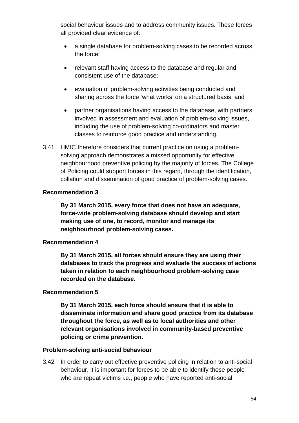social behaviour issues and to address community issues. These forces all provided clear evidence of:

- a single database for problem-solving cases to be recorded across the force;
- relevant staff having access to the database and regular and consistent use of the database;
- evaluation of problem-solving activities being conducted and sharing across the force 'what works' on a structured basis; and
- partner organisations having access to the database, with partners involved in assessment and evaluation of problem-solving issues, including the use of problem-solving co-ordinators and master classes to reinforce good practice and understanding.
- 3.41 HMIC therefore considers that current practice on using a problemsolving approach demonstrates a missed opportunity for effective neighbourhood preventive policing by the majority of forces. The College of Policing could support forces in this regard, through the identification, collation and dissemination of good practice of problem-solving cases.

#### **Recommendation 3**

**By 31 March 2015, every force that does not have an adequate, force-wide problem-solving database should develop and start making use of one, to record, monitor and manage its neighbourhood problem-solving cases.**

#### **Recommendation 4**

**By 31 March 2015, all forces should ensure they are using their databases to track the progress and evaluate the success of actions taken in relation to each neighbourhood problem-solving case recorded on the database.**

#### **Recommendation 5**

**By 31 March 2015, each force should ensure that it is able to disseminate information and share good practice from its database throughout the force, as well as to local authorities and other relevant organisations involved in community-based preventive policing or crime prevention.**

#### **Problem-solving anti-social behaviour**

3.42 In order to carry out effective preventive policing in relation to anti-social behaviour, it is important for forces to be able to identify those people who are repeat victims i.e., people who have reported anti-social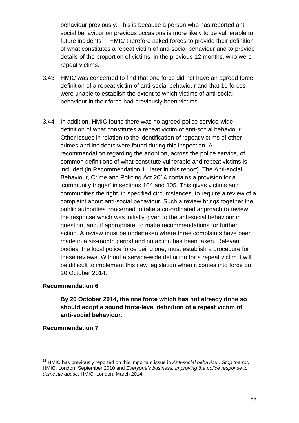behaviour previously. This is because a person who has reported antisocial behaviour on previous occasions is more likely to be vulnerable to future incidents<sup>[11](#page-54-0)</sup>. HMIC therefore asked forces to provide their definition of what constitutes a repeat victim of anti-social behaviour and to provide details of the proportion of victims, in the previous 12 months, who were repeat victims.

- 3.43 HMIC was concerned to find that one force did not have an agreed force definition of a repeat victim of anti-social behaviour and that 11 forces were unable to establish the extent to which victims of anti-social behaviour in their force had previously been victims.
- 3.44 In addition, HMIC found there was no agreed police service-wide definition of what constitutes a repeat victim of anti-social behaviour. Other issues in relation to the identification of repeat victims of other crimes and incidents were found during this inspection. A recommendation regarding the adoption, across the police service, of common definitions of what constitute vulnerable and repeat victims is included (in Recommendation 11 later in this report). The Anti-social Behaviour, Crime and Policing Act 2014 contains a provision for a 'community trigger' in sections 104 and 105. This gives victims and communities the right, in specified circumstances, to require a review of a complaint about anti-social behaviour. Such a review brings together the public authorities concerned to take a co-ordinated approach to review the response which was initially given to the anti-social behaviour in question, and, if appropriate, to make recommendations for further action. A review must be undertaken where three complaints have been made in a six-month period and no action has been taken. Relevant bodies, the local police force being one, must establish a procedure for these reviews. Without a service-wide definition for a repeat victim it will be difficult to implement this new legislation when it comes into force on 20 October 2014.

#### **Recommendation 6**

#### **By 20 October 2014, the one force which has not already done so should adopt a sound force-level definition of a repeat victim of anti-social behaviour.**

#### **Recommendation 7**

<span id="page-54-0"></span><sup>11</sup> HMIC has previously reported on this important issue in *Anti-social behaviour: Stop the rot,* HMIC, London, September 2010 and *Everyone's business: Improving the police response to domestic abuse*, HMIC, London, March 2014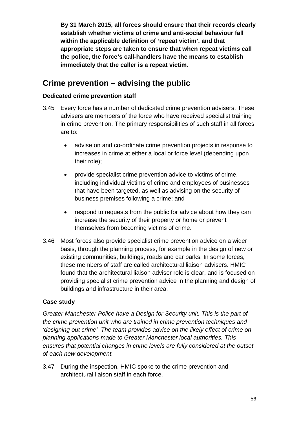**By 31 March 2015, all forces should ensure that their records clearly establish whether victims of crime and anti-social behaviour fall within the applicable definition of 'repeat victim', and that appropriate steps are taken to ensure that when repeat victims call the police, the force's call-handlers have the means to establish immediately that the caller is a repeat victim.**

### **Crime prevention – advising the public**

#### **Dedicated crime prevention staff**

- <span id="page-55-0"></span>3.45 Every force has a number of dedicated crime prevention advisers. These advisers are members of the force who have received specialist training in crime prevention. The primary responsibilities of such staff in all forces are to:
	- advise on and co-ordinate crime prevention projects in response to increases in crime at either a local or force level (depending upon their role);
	- provide specialist crime prevention advice to victims of crime, including individual victims of crime and employees of businesses that have been targeted, as well as advising on the security of business premises following a crime; and
	- respond to requests from the public for advice about how they can increase the security of their property or home or prevent themselves from becoming victims of crime.
- 3.46 Most forces also provide specialist crime prevention advice on a wider basis, through the planning process, for example in the design of new or existing communities, buildings, roads and car parks. In some forces, these members of staff are called architectural liaison advisers. HMIC found that the architectural liaison adviser role is clear, and is focused on providing specialist crime prevention advice in the planning and design of buildings and infrastructure in their area.

#### **Case study**

*Greater Manchester Police have a Design for Security unit. This is the part of the crime prevention unit who are trained in crime prevention techniques and 'designing out crime'. The team provides advice on the likely effect of crime on planning applications made to Greater Manchester local authorities. This ensures that potential changes in crime levels are fully considered at the outset of each new development.* 

3.47 During the inspection, HMIC spoke to the crime prevention and architectural liaison staff in each force.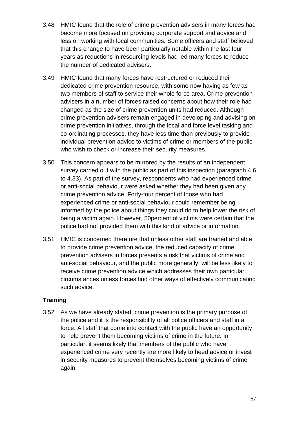- 3.48 HMIC found that the role of crime prevention advisers in many forces had become more focused on providing corporate support and advice and less on working with local communities. Some officers and staff believed that this change to have been particularly notable within the last four years as reductions in resourcing levels had led many forces to reduce the number of dedicated advisers.
- 3.49 HMIC found that many forces have restructured or reduced their dedicated crime prevention resource, with some now having as few as two members of staff to service their whole force area. Crime prevention advisers in a number of forces raised concerns about how their role had changed as the size of crime prevention units had reduced. Although crime prevention advisers remain engaged in developing and advising on crime prevention initiatives, through the local and force level tasking and co-ordinating processes, they have less time than previously to provide individual prevention advice to victims of crime or members of the public who wish to check or increase their security measures.
- 3.50 This concern appears to be mirrored by the results of an independent survey carried out with the public as part of this inspection (paragraph 4.6 to 4.33). As part of the survey, respondents who had experienced crime or anti-social behaviour were asked whether they had been given any crime prevention advice. Forty-four percent of those who had experienced crime or anti-social behaviour could remember being informed by the police about things they could do to help lower the risk of being a victim again. However, 50percent of victims were certain that the police had not provided them with this kind of advice or information.
- 3.51 HMIC is concerned therefore that unless other staff are trained and able to provide crime prevention advice, the reduced capacity of crime prevention advisers in forces presents a risk that victims of crime and anti-social behaviour, and the public more generally, will be less likely to receive crime prevention advice which addresses their own particular circumstances unless forces find other ways of effectively communicating such advice.

#### **Training**

3.52 As we have already stated, crime prevention is the primary purpose of the police and it is the responsibility of all police officers and staff in a force. All staff that come into contact with the public have an opportunity to help prevent them becoming victims of crime in the future. In particular, it seems likely that members of the public who have experienced crime very recently are more likely to heed advice or invest in security measures to prevent themselves becoming victims of crime again.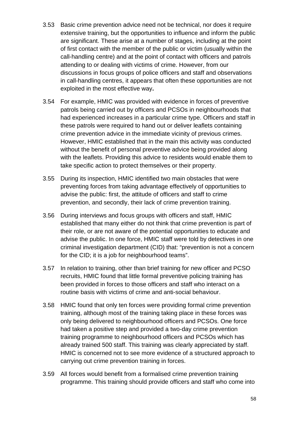- 3.53 Basic crime prevention advice need not be technical, nor does it require extensive training, but the opportunities to influence and inform the public are significant. These arise at a number of stages, including at the point of first contact with the member of the public or victim (usually within the call-handling centre) and at the point of contact with officers and patrols attending to or dealing with victims of crime. However, from our discussions in focus groups of police officers and staff and observations in call-handling centres, it appears that often these opportunities are not exploited in the most effective way**.**
- 3.54 For example, HMIC was provided with evidence in forces of preventive patrols being carried out by officers and PCSOs in neighbourhoods that had experienced increases in a particular crime type. Officers and staff in these patrols were required to hand out or deliver leaflets containing crime prevention advice in the immediate vicinity of previous crimes. However, HMIC established that in the main this activity was conducted without the benefit of personal preventive advice being provided along with the leaflets. Providing this advice to residents would enable them to take specific action to protect themselves or their property.
- 3.55 During its inspection, HMIC identified two main obstacles that were preventing forces from taking advantage effectively of opportunities to advise the public: first, the attitude of officers and staff to crime prevention, and secondly, their lack of crime prevention training.
- 3.56 During interviews and focus groups with officers and staff, HMIC established that many either do not think that crime prevention is part of their role, or are not aware of the potential opportunities to educate and advise the public. In one force, HMIC staff were told by detectives in one criminal investigation department (CID) that: "prevention is not a concern for the CID; it is a job for neighbourhood teams".
- 3.57 In relation to training, other than brief training for new officer and PCSO recruits, HMIC found that little formal preventive policing training has been provided in forces to those officers and staff who interact on a routine basis with victims of crime and anti-social behaviour.
- 3.58 HMIC found that only ten forces were providing formal crime prevention training, although most of the training taking place in these forces was only being delivered to neighbourhood officers and PCSOs. One force had taken a positive step and provided a two-day crime prevention training programme to neighbourhood officers and PCSOs which has already trained 500 staff. This training was clearly appreciated by staff. HMIC is concerned not to see more evidence of a structured approach to carrying out crime prevention training in forces.
- 3.59 All forces would benefit from a formalised crime prevention training programme. This training should provide officers and staff who come into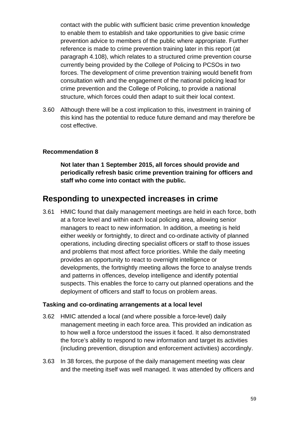contact with the public with sufficient basic crime prevention knowledge to enable them to establish and take opportunities to give basic crime prevention advice to members of the public where appropriate. Further reference is made to crime prevention training later in this report (at paragraph [4.108\)](#page-91-0), which relates to a structured crime prevention course currently being provided by the College of Policing to PCSOs in two forces. The development of crime prevention training would benefit from consultation with and the engagement of the national policing lead for crime prevention and the College of Policing, to provide a national structure, which forces could then adapt to suit their local context.

<span id="page-58-0"></span>3.60 Although there will be a cost implication to this, investment in training of this kind has the potential to reduce future demand and may therefore be cost effective.

#### **Recommendation 8**

**Not later than 1 September 2015, all forces should provide and periodically refresh basic crime prevention training for officers and staff who come into contact with the public.**

### **Responding to unexpected increases in crime**

<span id="page-58-1"></span>3.61 HMIC found that daily management meetings are held in each force, both at a force level and within each local policing area, allowing senior managers to react to new information. In addition, a meeting is held either weekly or fortnightly, to direct and co-ordinate activity of planned operations, including directing specialist officers or staff to those issues and problems that most affect force priorities. While the daily meeting provides an opportunity to react to overnight intelligence or developments, the fortnightly meeting allows the force to analyse trends and patterns in offences, develop intelligence and identify potential suspects. This enables the force to carry out planned operations and the deployment of officers and staff to focus on problem areas.

#### **Tasking and co-ordinating arrangements at a local level**

- 3.62 HMIC attended a local (and where possible a force-level) daily management meeting in each force area. This provided an indication as to how well a force understood the issues it faced. It also demonstrated the force's ability to respond to new information and target its activities (including prevention, disruption and enforcement activities) accordingly.
- 3.63 In 38 forces, the purpose of the daily management meeting was clear and the meeting itself was well managed. It was attended by officers and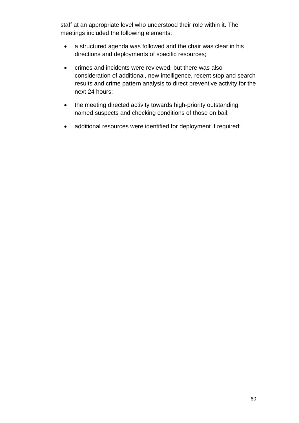staff at an appropriate level who understood their role within it. The meetings included the following elements:

- a structured agenda was followed and the chair was clear in his directions and deployments of specific resources;
- crimes and incidents were reviewed, but there was also consideration of additional, new intelligence, recent stop and search results and crime pattern analysis to direct preventive activity for the next 24 hours;
- the meeting directed activity towards high-priority outstanding named suspects and checking conditions of those on bail;
- additional resources were identified for deployment if required;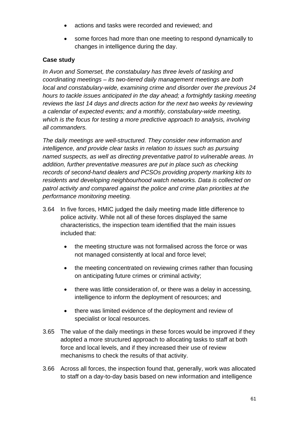- actions and tasks were recorded and reviewed; and
- some forces had more than one meeting to respond dynamically to changes in intelligence during the day.

#### **Case study**

*In Avon and Somerset, the constabulary has three levels of tasking and coordinating meetings – its two-tiered daily management meetings are both local and constabulary-wide, examining crime and disorder over the previous 24 hours to tackle issues anticipated in the day ahead; a fortnightly tasking meeting reviews the last 14 days and directs action for the next two weeks by reviewing a calendar of expected events; and a monthly, constabulary-wide meeting, which is the focus for testing a more predictive approach to analysis, involving all commanders.* 

*The daily meetings are well-structured. They consider new information and intelligence, and provide clear tasks in relation to issues such as pursuing named suspects, as well as directing preventative patrol to vulnerable areas. In addition, further preventative measures are put in place such as checking records of second-hand dealers and PCSOs providing property marking kits to residents and developing neighbourhood watch networks. Data is collected on patrol activity and compared against the police and crime plan priorities at the performance monitoring meeting.*

- 3.64 In five forces, HMIC judged the daily meeting made little difference to police activity. While not all of these forces displayed the same characteristics, the inspection team identified that the main issues included that:
	- the meeting structure was not formalised across the force or was not managed consistently at local and force level;
	- the meeting concentrated on reviewing crimes rather than focusing on anticipating future crimes or criminal activity;
	- there was little consideration of, or there was a delay in accessing, intelligence to inform the deployment of resources; and
	- there was limited evidence of the deployment and review of specialist or local resources.
- 3.65 The value of the daily meetings in these forces would be improved if they adopted a more structured approach to allocating tasks to staff at both force and local levels, and if they increased their use of review mechanisms to check the results of that activity.
- 3.66 Across all forces, the inspection found that, generally, work was allocated to staff on a day-to-day basis based on new information and intelligence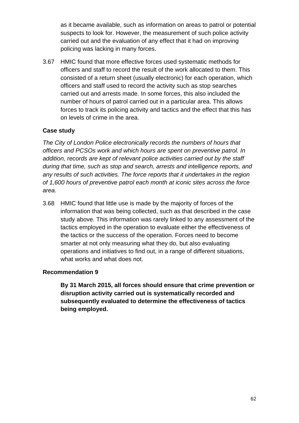as it became available, such as information on areas to patrol or potential suspects to look for. However, the measurement of such police activity carried out and the evaluation of any effect that it had on improving policing was lacking in many forces.

3.67 HMIC found that more effective forces used systematic methods for officers and staff to record the result of the work allocated to them. This consisted of a return sheet (usually electronic) for each operation, which officers and staff used to record the activity such as stop searches carried out and arrests made. In some forces, this also included the number of hours of patrol carried out in a particular area. This allows forces to track its policing activity and tactics and the effect that this has on levels of crime in the area.

#### **Case study**

*The City of London Police electronically records the numbers of hours that officers and PCSOs work and which hours are spent on preventive patrol. In addition, records are kept of relevant police activities carried out by the staff during that time, such as stop and search, arrests and intelligence reports, and any results of such activities. The force reports that it undertakes in the region of 1,600 hours of preventive patrol each month at iconic sites across the force area.*

<span id="page-61-0"></span>3.68 HMIC found that little use is made by the majority of forces of the information that was being collected, such as that described in the case study above. This information was rarely linked to any assessment of the tactics employed in the operation to evaluate either the effectiveness of the tactics or the success of the operation. Forces need to become smarter at not only measuring what they do, but also evaluating operations and initiatives to find out, in a range of different situations, what works and what does not.

#### **Recommendation 9**

**By 31 March 2015, all forces should ensure that crime prevention or disruption activity carried out is systematically recorded and subsequently evaluated to determine the effectiveness of tactics being employed.**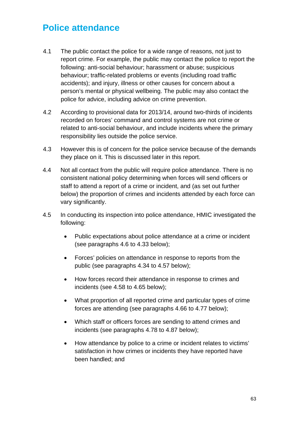# **Police attendance**

- 4.1 The public contact the police for a wide range of reasons, not just to report crime. For example, the public may contact the police to report the following: anti-social behaviour; harassment or abuse; suspicious behaviour; traffic-related problems or events (including road traffic accidents); and injury, illness or other causes for concern about a person's mental or physical wellbeing. The public may also contact the police for advice, including advice on crime prevention.
- 4.2 According to provisional data for 2013/14, around two-thirds of incidents recorded on forces' command and control systems are not crime or related to anti-social behaviour, and include incidents where the primary responsibility lies outside the police service.
- 4.3 However this is of concern for the police service because of the demands they place on it. This is discussed later in this report.
- 4.4 Not all contact from the public will require police attendance. There is no consistent national policy determining when forces will send officers or staff to attend a report of a crime or incident, and (as set out further below) the proportion of crimes and incidents attended by each force can vary significantly.
- 4.5 In conducting its inspection into police attendance, HMIC investigated the following:
	- Public expectations about police attendance at a crime or incident (see paragraphs [4.6](#page-63-0) to [4.33](#page-70-0) below);
	- Forces' policies on attendance in response to reports from the public (see paragraphs [4.34](#page-70-1) to [4.57](#page-77-0) below);
	- How forces record their attendance in response to crimes and incidents (see [4.58](#page-77-1) to [4.65](#page-78-0) below);
	- What proportion of all reported crime and particular types of crime forces are attending (see paragraphs [4.66](#page-79-0) to [4.77](#page-84-0) below);
	- Which staff or officers forces are sending to attend crimes and incidents (see paragraphs [4.78](#page-84-1) to [4.87](#page-86-0) below);
	- How attendance by police to a crime or incident relates to victims' satisfaction in how crimes or incidents they have reported have been handled; and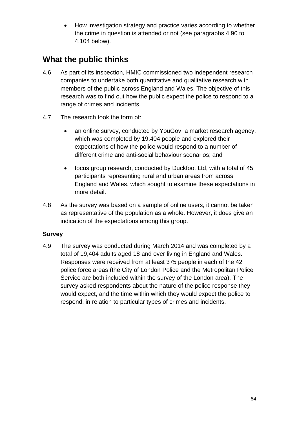• How investigation strategy and practice varies according to whether the crime in question is attended or not (see paragraphs [4.90](#page-87-0) to [4.104](#page-90-0) below).

## **What the public thinks**

- <span id="page-63-0"></span>4.6 As part of its inspection, HMIC commissioned two independent research companies to undertake both quantitative and qualitative research with members of the public across England and Wales. The objective of this research was to find out how the public expect the police to respond to a range of crimes and incidents.
- 4.7 The research took the form of:
	- an online survey, conducted by YouGov, a market research agency, which was completed by 19,404 people and explored their expectations of how the police would respond to a number of different crime and anti-social behaviour scenarios; and
	- focus group research, conducted by Duckfoot Ltd, with a total of 45 participants representing rural and urban areas from across England and Wales, which sought to examine these expectations in more detail.
- 4.8 As the survey was based on a sample of online users, it cannot be taken as representative of the population as a whole. However, it does give an indication of the expectations among this group.

#### **Survey**

4.9 The survey was conducted during March 2014 and was completed by a total of 19,404 adults aged 18 and over living in England and Wales. Responses were received from at least 375 people in each of the 42 police force areas (the City of London Police and the Metropolitan Police Service are both included within the survey of the London area). The survey asked respondents about the nature of the police response they would expect, and the time within which they would expect the police to respond, in relation to particular types of crimes and incidents.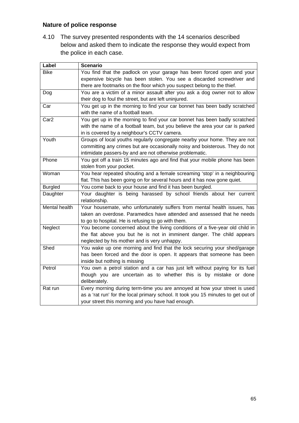#### **Nature of police response**

4.10 The survey presented respondents with the 14 scenarios described below and asked them to indicate the response they would expect from the police in each case.

| Label                | <b>Scenario</b>                                                                   |
|----------------------|-----------------------------------------------------------------------------------|
| <b>Bike</b>          | You find that the padlock on your garage has been forced open and your            |
|                      | expensive bicycle has been stolen. You see a discarded screwdriver and            |
|                      | there are footmarks on the floor which you suspect belong to the thief.           |
| Dog                  | You are a victim of a minor assault after you ask a dog owner not to allow        |
|                      | their dog to foul the street, but are left uninjured.                             |
| Car                  | You get up in the morning to find your car bonnet has been badly scratched        |
|                      | with the name of a football team.                                                 |
| Car <sub>2</sub>     | You get up in the morning to find your car bonnet has been badly scratched        |
|                      | with the name of a football team, but you believe the area your car is parked     |
|                      | in is covered by a neighbour's CCTV camera.                                       |
| Youth                | Groups of local youths regularly congregate nearby your home. They are not        |
|                      | committing any crimes but are occasionally noisy and boisterous. They do not      |
|                      | intimidate passers-by and are not otherwise problematic.                          |
| Phone                | You got off a train 15 minutes ago and find that your mobile phone has been       |
|                      | stolen from your pocket.                                                          |
| Woman                | You hear repeated shouting and a female screaming 'stop' in a neighbouring        |
|                      | flat. This has been going on for several hours and it has now gone quiet.         |
| <b>Burgled</b>       | You come back to your house and find it has been burgled.                         |
| Daughter             | Your daughter is being harassed by school friends about her current               |
|                      | relationship.                                                                     |
| <b>Mental health</b> | Your housemate, who unfortunately suffers from mental health issues, has          |
|                      | taken an overdose. Paramedics have attended and assessed that he needs            |
|                      | to go to hospital. He is refusing to go with them.                                |
| Neglect              | You become concerned about the living conditions of a five-year old child in      |
|                      | the flat above you but he is not in imminent danger. The child appears            |
|                      | neglected by his mother and is very unhappy.                                      |
| Shed                 | You wake up one morning and find that the lock securing your shed/garage          |
|                      | has been forced and the door is open. It appears that someone has been            |
|                      | inside but nothing is missing                                                     |
| Petrol               | You own a petrol station and a car has just left without paying for its fuel      |
|                      | though you are uncertain as to whether this is by mistake or done                 |
|                      | deliberately.                                                                     |
| Rat run              | Every morning during term-time you are annoyed at how your street is used         |
|                      | as a 'rat run' for the local primary school. It took you 15 minutes to get out of |
|                      | your street this morning and you have had enough.                                 |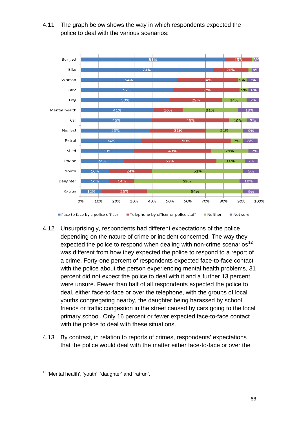

4.11 The graph below shows the way in which respondents expected the police to deal with the various scenarios:

- 4.12 Unsurprisingly, respondents had different expectations of the police depending on the nature of crime or incident concerned. The way they expected the police to respond when dealing with non-crime scenarios<sup>[12](#page-65-0)</sup> was different from how they expected the police to respond to a report of a crime. Forty-one percent of respondents expected face-to-face contact with the police about the person experiencing mental health problems, 31 percent did not expect the police to deal with it and a further 13 percent were unsure. Fewer than half of all respondents expected the police to deal, either face-to-face or over the telephone, with the groups of local youths congregating nearby, the daughter being harassed by school friends or traffic congestion in the street caused by cars going to the local primary school. Only 16 percent or fewer expected face-to-face contact with the police to deal with these situations.
- 4.13 By contrast, in relation to reports of crimes, respondents' expectations that the police would deal with the matter either face-to-face or over the

<span id="page-65-0"></span><sup>12</sup> 'Mental health', 'youth', 'daughter' and 'ratrun'.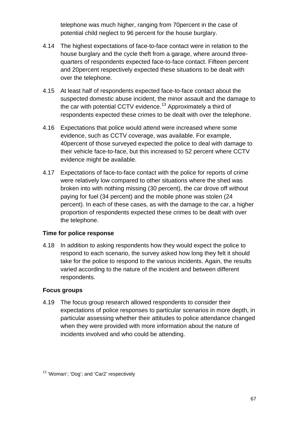telephone was much higher, ranging from 70percent in the case of potential child neglect to 96 percent for the house burglary.

- 4.14 The highest expectations of face-to-face contact were in relation to the house burglary and the cycle theft from a garage, where around threequarters of respondents expected face-to-face contact. Fifteen percent and 20percent respectively expected these situations to be dealt with over the telephone.
- 4.15 At least half of respondents expected face-to-face contact about the suspected domestic abuse incident, the minor assault and the damage to the car with potential CCTV evidence.<sup>[13](#page-66-0)</sup> Approximately a third of respondents expected these crimes to be dealt with over the telephone.
- 4.16 Expectations that police would attend were increased where some evidence, such as CCTV coverage, was available. For example, 40percent of those surveyed expected the police to deal with damage to their vehicle face-to-face, but this increased to 52 percent where CCTV evidence might be available.
- 4.17 Expectations of face-to-face contact with the police for reports of crime were relatively low compared to other situations where the shed was broken into with nothing missing (30 percent), the car drove off without paying for fuel (34 percent) and the mobile phone was stolen (24 percent). In each of these cases, as with the damage to the car, a higher proportion of respondents expected these crimes to be dealt with over the telephone.

#### **Time for police response**

4.18 In addition to asking respondents how they would expect the police to respond to each scenario, the survey asked how long they felt it should take for the police to respond to the various incidents. Again, the results varied according to the nature of the incident and between different respondents.

#### **Focus groups**

4.19 The focus group research allowed respondents to consider their expectations of police responses to particular scenarios in more depth, in particular assessing whether their attitudes to police attendance changed when they were provided with more information about the nature of incidents involved and who could be attending.

<span id="page-66-0"></span><sup>&</sup>lt;sup>13</sup> 'Woman'; 'Dog'; and 'Car2' respectively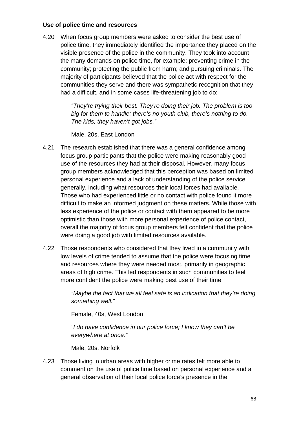#### **Use of police time and resources**

4.20 When focus group members were asked to consider the best use of police time, they immediately identified the importance they placed on the visible presence of the police in the community. They took into account the many demands on police time, for example: preventing crime in the community; protecting the public from harm; and pursuing criminals. The majority of participants believed that the police act with respect for the communities they serve and there was sympathetic recognition that they had a difficult, and in some cases life-threatening job to do:

> *"They're trying their best. They're doing their job. The problem is too big for them to handle: there's no youth club, there's nothing to do. The kids, they haven't got jobs."*

Male, 20s, East London

- 4.21 The research established that there was a general confidence among focus group participants that the police were making reasonably good use of the resources they had at their disposal. However, many focus group members acknowledged that this perception was based on limited personal experience and a lack of understanding of the police service generally, including what resources their local forces had available. Those who had experienced little or no contact with police found it more difficult to make an informed judgment on these matters. While those with less experience of the police or contact with them appeared to be more optimistic than those with more personal experience of police contact, overall the majority of focus group members felt confident that the police were doing a good job with limited resources available.
- 4.22 Those respondents who considered that they lived in a community with low levels of crime tended to assume that the police were focusing time and resources where they were needed most, primarily in geographic areas of high crime. This led respondents in such communities to feel more confident the police were making best use of their time.

*"Maybe the fact that we all feel safe is an indication that they're doing something well."* 

Female, 40s, West London

*"I do have confidence in our police force; I know they can't be everywhere at once."*

Male, 20s, Norfolk

4.23 Those living in urban areas with higher crime rates felt more able to comment on the use of police time based on personal experience and a general observation of their local police force's presence in the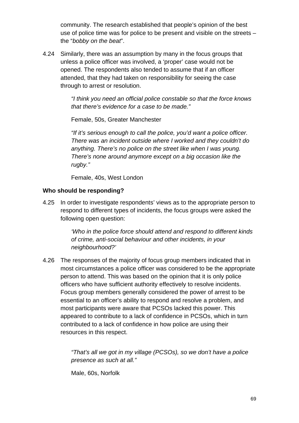community. The research established that people's opinion of the best use of police time was for police to be present and visible on the streets – the "*bobby on the beat*".

4.24 Similarly, there was an assumption by many in the focus groups that unless a police officer was involved, a 'proper' case would not be opened. The respondents also tended to assume that if an officer attended, that they had taken on responsibility for seeing the case through to arrest or resolution.

> *"I think you need an official police constable so that the force knows that there's evidence for a case to be made."*

Female, 50s, Greater Manchester

*"If it's serious enough to call the police, you'd want a police officer. There was an incident outside where I worked and they couldn't do anything. There's no police on the street like when I was young. There's none around anymore except on a big occasion like the rugby."*

Female, 40s, West London

#### **Who should be responding?**

4.25 In order to investigate respondents' views as to the appropriate person to respond to different types of incidents, the focus groups were asked the following open question:

> *'Who in the police force should attend and respond to different kinds of crime, anti-social behaviour and other incidents, in your neighbourhood?'*

4.26 The responses of the majority of focus group members indicated that in most circumstances a police officer was considered to be the appropriate person to attend. This was based on the opinion that it is only police officers who have sufficient authority effectively to resolve incidents. Focus group members generally considered the power of arrest to be essential to an officer's ability to respond and resolve a problem, and most participants were aware that PCSOs lacked this power. This appeared to contribute to a lack of confidence in PCSOs, which in turn contributed to a lack of confidence in how police are using their resources in this respect.

> *"That's all we got in my village (PCSOs), so we don't have a police presence as such at all."*

Male, 60s, Norfolk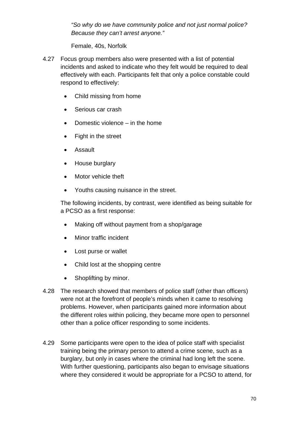*"So why do we have community police and not just normal police? Because they can't arrest anyone."*

Female, 40s, Norfolk

- 4.27 Focus group members also were presented with a list of potential incidents and asked to indicate who they felt would be required to deal effectively with each. Participants felt that only a police constable could respond to effectively:
	- Child missing from home
	- Serious car crash
	- Domestic violence in the home
	- Fight in the street
	- Assault
	- House burglary
	- Motor vehicle theft
	- Youths causing nuisance in the street.

The following incidents, by contrast, were identified as being suitable for a PCSO as a first response:

- Making off without payment from a shop/garage
- Minor traffic incident
- Lost purse or wallet
- Child lost at the shopping centre
- Shoplifting by minor.
- 4.28 The research showed that members of police staff (other than officers) were not at the forefront of people's minds when it came to resolving problems. However, when participants gained more information about the different roles within policing, they became more open to personnel other than a police officer responding to some incidents.
- 4.29 Some participants were open to the idea of police staff with specialist training being the primary person to attend a crime scene, such as a burglary, but only in cases where the criminal had long left the scene. With further questioning, participants also began to envisage situations where they considered it would be appropriate for a PCSO to attend, for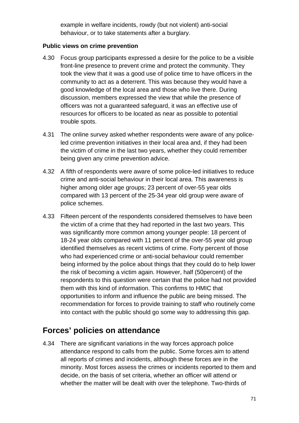example in welfare incidents, rowdy (but not violent) anti-social behaviour, or to take statements after a burglary.

#### **Public views on crime prevention**

- 4.30 Focus group participants expressed a desire for the police to be a visible front-line presence to prevent crime and protect the community. They took the view that it was a good use of police time to have officers in the community to act as a deterrent. This was because they would have a good knowledge of the local area and those who live there. During discussion, members expressed the view that while the presence of officers was not a guaranteed safeguard, it was an effective use of resources for officers to be located as near as possible to potential trouble spots.
- 4.31 The online survey asked whether respondents were aware of any policeled crime prevention initiatives in their local area and, if they had been the victim of crime in the last two years, whether they could remember being given any crime prevention advice.
- 4.32 A fifth of respondents were aware of some police-led initiatives to reduce crime and anti-social behaviour in their local area. This awareness is higher among older age groups; 23 percent of over-55 year olds compared with 13 percent of the 25-34 year old group were aware of police schemes.
- <span id="page-70-0"></span>4.33 Fifteen percent of the respondents considered themselves to have been the victim of a crime that they had reported in the last two years. This was significantly more common among younger people: 18 percent of 18-24 year olds compared with 11 percent of the over-55 year old group identified themselves as recent victims of crime. Forty percent of those who had experienced crime or anti-social behaviour could remember being informed by the police about things that they could do to help lower the risk of becoming a victim again. However, half (50percent) of the respondents to this question were certain that the police had not provided them with this kind of information. This confirms to HMIC that opportunities to inform and influence the public are being missed. The recommendation for forces to provide training to staff who routinely come into contact with the public should go some way to addressing this gap.

## **Forces' policies on attendance**

<span id="page-70-1"></span>4.34 There are significant variations in the way forces approach police attendance respond to calls from the public. Some forces aim to attend all reports of crimes and incidents, although these forces are in the minority. Most forces assess the crimes or incidents reported to them and decide, on the basis of set criteria, whether an officer will attend or whether the matter will be dealt with over the telephone. Two-thirds of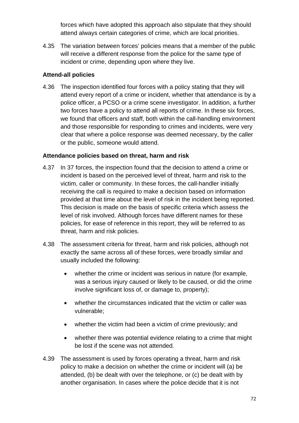forces which have adopted this approach also stipulate that they should attend always certain categories of crime, which are local priorities.

4.35 The variation between forces' policies means that a member of the public will receive a different response from the police for the same type of incident or crime, depending upon where they live.

#### **Attend-all policies**

4.36 The inspection identified four forces with a policy stating that they will attend every report of a crime or incident, whether that attendance is by a police officer, a PCSO or a crime scene investigator. In addition, a further two forces have a policy to attend all reports of crime. In these six forces, we found that officers and staff, both within the call-handling environment and those responsible for responding to crimes and incidents, were very clear that where a police response was deemed necessary, by the caller or the public, someone would attend.

#### **Attendance policies based on threat, harm and risk**

- 4.37 In 37 forces, the inspection found that the decision to attend a crime or incident is based on the perceived level of threat, harm and risk to the victim, caller or community. In these forces, the call-handler initially receiving the call is required to make a decision based on information provided at that time about the level of risk in the incident being reported. This decision is made on the basis of specific criteria which assess the level of risk involved. Although forces have different names for these policies, for ease of reference in this report, they will be referred to as threat, harm and risk policies.
- 4.38 The assessment criteria for threat, harm and risk policies, although not exactly the same across all of these forces, were broadly similar and usually included the following:
	- whether the crime or incident was serious in nature (for example, was a serious injury caused or likely to be caused, or did the crime involve significant loss of, or damage to, property);
	- whether the circumstances indicated that the victim or caller was vulnerable;
	- whether the victim had been a victim of crime previously; and
	- whether there was potential evidence relating to a crime that might be lost if the scene was not attended.
- 4.39 The assessment is used by forces operating a threat, harm and risk policy to make a decision on whether the crime or incident will (a) be attended, (b) be dealt with over the telephone, or (c) be dealt with by another organisation. In cases where the police decide that it is not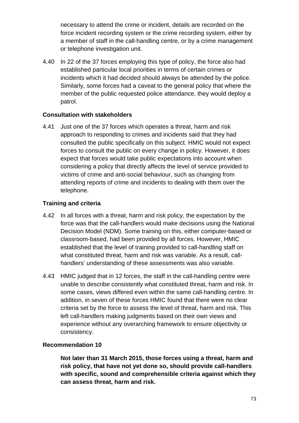necessary to attend the crime or incident, details are recorded on the force incident recording system or the crime recording system, either by a member of staff in the call-handling centre, or by a crime management or telephone investigation unit.

4.40 In 22 of the 37 forces employing this type of policy, the force also had established particular local priorities in terms of certain crimes or incidents which it had decided should always be attended by the police. Similarly, some forces had a caveat to the general policy that where the member of the public requested police attendance, they would deploy a patrol.

### **Consultation with stakeholders**

4.41 Just one of the 37 forces which operates a threat, harm and risk approach to responding to crimes and incidents said that they had consulted the public specifically on this subject. HMIC would not expect forces to consult the public on every change in policy. However, it does expect that forces would take public expectations into account when considering a policy that directly affects the level of service provided to victims of crime and anti-social behaviour, such as changing from attending reports of crime and incidents to dealing with them over the telephone.

### **Training and criteria**

- 4.42 In all forces with a threat, harm and risk policy, the expectation by the force was that the call-handlers would make decisions using the National Decision Model (NDM). Some training on this, either computer-based or classroom-based, had been provided by all forces. However, HMIC established that the level of training provided to call-handling staff on what constituted threat, harm and risk was variable. As a result, callhandlers' understanding of these assessments was also variable.
- 4.43 HMIC judged that in 12 forces, the staff in the call-handling centre were unable to describe consistently what constituted threat, harm and risk. In some cases, views differed even within the same call-handling centre. In addition, in seven of these forces HMIC found that there were no clear criteria set by the force to assess the level of threat, harm and risk. This left call-handlers making judgments based on their own views and experience without any overarching framework to ensure objectivity or consistency.

### **Recommendation 10**

**Not later than 31 March 2015, those forces using a threat, harm and risk policy, that have not yet done so, should provide call-handlers with specific, sound and comprehensible criteria against which they can assess threat, harm and risk.**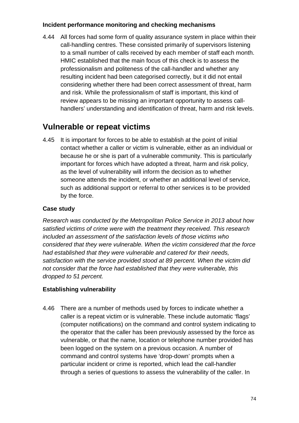### **Incident performance monitoring and checking mechanisms**

4.44 All forces had some form of quality assurance system in place within their call-handling centres. These consisted primarily of supervisors listening to a small number of calls received by each member of staff each month. HMIC established that the main focus of this check is to assess the professionalism and politeness of the call-handler and whether any resulting incident had been categorised correctly, but it did not entail considering whether there had been correct assessment of threat, harm and risk. While the professionalism of staff is important, this kind of review appears to be missing an important opportunity to assess callhandlers' understanding and identification of threat, harm and risk levels.

# **Vulnerable or repeat victims**

4.45 It is important for forces to be able to establish at the point of initial contact whether a caller or victim is vulnerable, either as an individual or because he or she is part of a vulnerable community. This is particularly important for forces which have adopted a threat, harm and risk policy, as the level of vulnerability will inform the decision as to whether someone attends the incident, or whether an additional level of service, such as additional support or referral to other services is to be provided by the force.

# **Case study**

*Research was conducted by the Metropolitan Police Service in 2013 about how satisfied victims of crime were with the treatment they received. This research included an assessment of the satisfaction levels of those victims who considered that they were vulnerable. When the victim considered that the force had established that they were vulnerable and catered for their needs, satisfaction with the service provided stood at 89 percent. When the victim did not consider that the force had established that they were vulnerable, this dropped to 51 percent.*

# **Establishing vulnerability**

4.46 There are a number of methods used by forces to indicate whether a caller is a repeat victim or is vulnerable. These include automatic 'flags' (computer notifications) on the command and control system indicating to the operator that the caller has been previously assessed by the force as vulnerable, or that the name, location or telephone number provided has been logged on the system on a previous occasion. A number of command and control systems have 'drop-down' prompts when a particular incident or crime is reported, which lead the call-handler through a series of questions to assess the vulnerability of the caller. In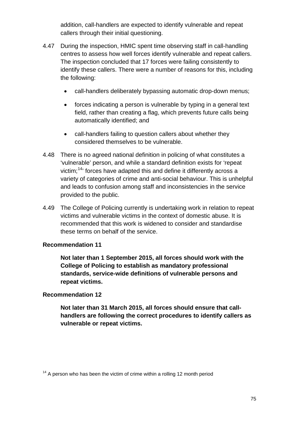addition, call-handlers are expected to identify vulnerable and repeat callers through their initial questioning.

- 4.47 During the inspection, HMIC spent time observing staff in call-handling centres to assess how well forces identify vulnerable and repeat callers. The inspection concluded that 17 forces were failing consistently to identify these callers. There were a number of reasons for this, including the following:
	- call-handlers deliberately bypassing automatic drop-down menus;
	- forces indicating a person is vulnerable by typing in a general text field, rather than creating a flag, which prevents future calls being automatically identified; and
	- call-handlers failing to question callers about whether they considered themselves to be vulnerable.
- 4.48 There is no agreed national definition in policing of what constitutes a 'vulnerable' person, and while a standard definition exists for 'repeat victim;<sup>14</sup>' forces have adapted this and define it differently across a variety of categories of crime and anti-social behaviour. This is unhelpful and leads to confusion among staff and inconsistencies in the service provided to the public.
- 4.49 The College of Policing currently is undertaking work in relation to repeat victims and vulnerable victims in the context of domestic abuse. It is recommended that this work is widened to consider and standardise these terms on behalf of the service.

### **Recommendation 11**

**Not later than 1 September 2015, all forces should work with the College of Policing to establish as mandatory professional standards, service-wide definitions of vulnerable persons and repeat victims.**

### **Recommendation 12**

**Not later than 31 March 2015, all forces should ensure that callhandlers are following the correct procedures to identify callers as vulnerable or repeat victims.**

<span id="page-74-0"></span> $14$  A person who has been the victim of crime within a rolling 12 month period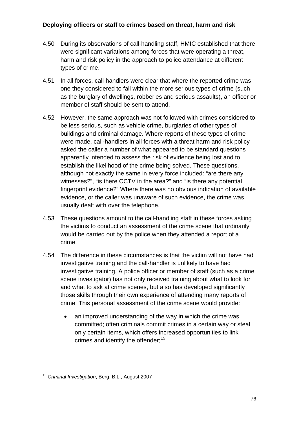### **Deploying officers or staff to crimes based on threat, harm and risk**

- 4.50 During its observations of call-handling staff, HMIC established that there were significant variations among forces that were operating a threat, harm and risk policy in the approach to police attendance at different types of crime.
- 4.51 In all forces, call-handlers were clear that where the reported crime was one they considered to fall within the more serious types of crime (such as the burglary of dwellings, robberies and serious assaults), an officer or member of staff should be sent to attend.
- 4.52 However, the same approach was not followed with crimes considered to be less serious, such as vehicle crime, burglaries of other types of buildings and criminal damage. Where reports of these types of crime were made, call-handlers in all forces with a threat harm and risk policy asked the caller a number of what appeared to be standard questions apparently intended to assess the risk of evidence being lost and to establish the likelihood of the crime being solved. These questions, although not exactly the same in every force included: "are there any witnesses?", "is there CCTV in the area?" and "is there any potential fingerprint evidence?" Where there was no obvious indication of available evidence, or the caller was unaware of such evidence, the crime was usually dealt with over the telephone.
- 4.53 These questions amount to the call-handling staff in these forces asking the victims to conduct an assessment of the crime scene that ordinarily would be carried out by the police when they attended a report of a crime.
- 4.54 The difference in these circumstances is that the victim will not have had investigative training and the call-handler is unlikely to have had investigative training. A police officer or member of staff (such as a crime scene investigator) has not only received training about what to look for and what to ask at crime scenes, but also has developed significantly those skills through their own experience of attending many reports of crime. This personal assessment of the crime scene would provide:
	- an improved understanding of the way in which the crime was committed; often criminals commit crimes in a certain way or steal only certain items, which offers increased opportunities to link crimes and identify the offender;<sup>[15](#page-75-0)</sup>

<span id="page-75-0"></span><sup>15</sup> *Criminal Investigation*, Berg, B.L., August 2007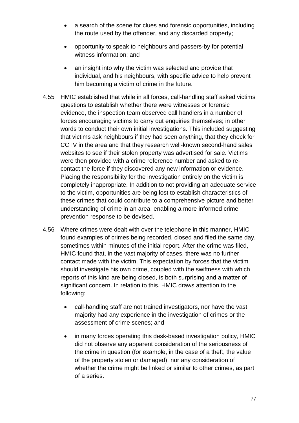- a search of the scene for clues and forensic opportunities, including the route used by the offender, and any discarded property;
- opportunity to speak to neighbours and passers-by for potential witness information; and
- an insight into why the victim was selected and provide that individual, and his neighbours, with specific advice to help prevent him becoming a victim of crime in the future.
- 4.55 HMIC established that while in all forces, call-handling staff asked victims questions to establish whether there were witnesses or forensic evidence, the inspection team observed call handlers in a number of forces encouraging victims to carry out enquiries themselves; in other words to conduct their own initial investigations. This included suggesting that victims ask neighbours if they had seen anything, that they check for CCTV in the area and that they research well-known second-hand sales websites to see if their stolen property was advertised for sale. Victims were then provided with a crime reference number and asked to recontact the force if they discovered any new information or evidence. Placing the responsibility for the investigation entirely on the victim is completely inappropriate. In addition to not providing an adequate service to the victim, opportunities are being lost to establish characteristics of these crimes that could contribute to a comprehensive picture and better understanding of crime in an area, enabling a more informed crime prevention response to be devised.
- 4.56 Where crimes were dealt with over the telephone in this manner, HMIC found examples of crimes being recorded, closed and filed the same day, sometimes within minutes of the initial report. After the crime was filed, HMIC found that, in the vast majority of cases, there was no further contact made with the victim. This expectation by forces that the victim should investigate his own crime, coupled with the swiftness with which reports of this kind are being closed, is both surprising and a matter of significant concern. In relation to this, HMIC draws attention to the following:
	- call-handling staff are not trained investigators, nor have the vast majority had any experience in the investigation of crimes or the assessment of crime scenes; and
	- in many forces operating this desk-based investigation policy, HMIC did not observe any apparent consideration of the seriousness of the crime in question (for example, in the case of a theft, the value of the property stolen or damaged), nor any consideration of whether the crime might be linked or similar to other crimes, as part of a series.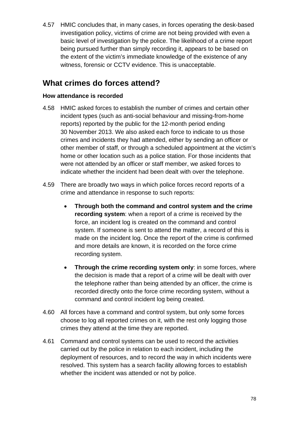4.57 HMIC concludes that, in many cases, in forces operating the desk-based investigation policy, victims of crime are not being provided with even a basic level of investigation by the police. The likelihood of a crime report being pursued further than simply recording it, appears to be based on the extent of the victim's immediate knowledge of the existence of any witness, forensic or CCTV evidence. This is unacceptable.

# **What crimes do forces attend?**

### **How attendance is recorded**

- 4.58 HMIC asked forces to establish the number of crimes and certain other incident types (such as anti-social behaviour and missing-from-home reports) reported by the public for the 12-month period ending 30 November 2013. We also asked each force to indicate to us those crimes and incidents they had attended, either by sending an officer or other member of staff, or through a scheduled appointment at the victim's home or other location such as a police station. For those incidents that were not attended by an officer or staff member, we asked forces to indicate whether the incident had been dealt with over the telephone.
- 4.59 There are broadly two ways in which police forces record reports of a crime and attendance in response to such reports:
	- **Through both the command and control system and the crime recording system**: when a report of a crime is received by the force, an incident log is created on the command and control system. If someone is sent to attend the matter, a record of this is made on the incident log. Once the report of the crime is confirmed and more details are known, it is recorded on the force crime recording system.
	- **Through the crime recording system only**: in some forces, where the decision is made that a report of a crime will be dealt with over the telephone rather than being attended by an officer, the crime is recorded directly onto the force crime recording system, without a command and control incident log being created.
- 4.60 All forces have a command and control system, but only some forces choose to log all reported crimes on it, with the rest only logging those crimes they attend at the time they are reported.
- 4.61 Command and control systems can be used to record the activities carried out by the police in relation to each incident, including the deployment of resources, and to record the way in which incidents were resolved. This system has a search facility allowing forces to establish whether the incident was attended or not by police.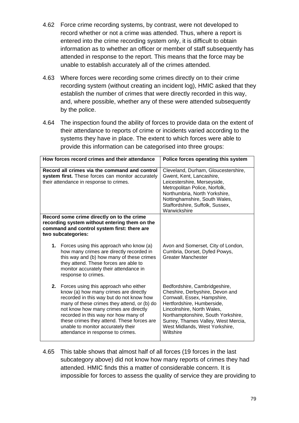- 4.62 Force crime recording systems, by contrast, were not developed to record whether or not a crime was attended. Thus, where a report is entered into the crime recording system only, it is difficult to obtain information as to whether an officer or member of staff subsequently has attended in response to the report. This means that the force may be unable to establish accurately all of the crimes attended.
- 4.63 Where forces were recording some crimes directly on to their crime recording system (without creating an incident log), HMIC asked that they establish the number of crimes that were directly recorded in this way, and, where possible, whether any of these were attended subsequently by the police.
- 4.64 The inspection found the ability of forces to provide data on the extent of their attendance to reports of crime or incidents varied according to the systems they have in place. The extent to which forces were able to provide this information can be categorised into three groups:

| How forces record crimes and their attendance                                                                                                                                                                                                                                                                                                                                          | Police forces operating this system                                                                                                                                                                                                                                                     |
|----------------------------------------------------------------------------------------------------------------------------------------------------------------------------------------------------------------------------------------------------------------------------------------------------------------------------------------------------------------------------------------|-----------------------------------------------------------------------------------------------------------------------------------------------------------------------------------------------------------------------------------------------------------------------------------------|
| Record all crimes via the command and control<br>system first. These forces can monitor accurately<br>their attendance in response to crimes.                                                                                                                                                                                                                                          | Cleveland, Durham, Gloucestershire,<br>Gwent, Kent, Lancashire,<br>Leicestershire, Merseyside,<br>Metropolitan Police, Norfolk,<br>Northumbria, North Yorkshire,<br>Nottinghamshire, South Wales,<br>Staffordshire, Suffolk, Sussex,<br>Warwickshire                                    |
| Record some crime directly on to the crime<br>recording system without entering them on the<br>command and control system first: there are<br>two subcategories:                                                                                                                                                                                                                       |                                                                                                                                                                                                                                                                                         |
| 1. Forces using this approach who know (a)<br>how many crimes are directly recorded in<br>this way and (b) how many of these crimes<br>they attend. These forces are able to<br>monitor accurately their attendance in<br>response to crimes.                                                                                                                                          | Avon and Somerset, City of London,<br>Cumbria, Dorset, Dyfed Powys,<br>Greater Manchester                                                                                                                                                                                               |
| 2. Forces using this approach who either<br>know (a) how many crimes are directly<br>recorded in this way but do not know how<br>many of these crimes they attend, or (b) do<br>not know how many crimes are directly<br>recorded in this way nor how many of<br>these crimes they attend. These forces are<br>unable to monitor accurately their<br>attendance in response to crimes. | Bedfordshire, Cambridgeshire,<br>Cheshire, Derbyshire, Devon and<br>Cornwall, Essex, Hampshire,<br>Hertfordshire, Humberside,<br>Lincolnshire, North Wales,<br>Northamptonshire, South Yorkshire,<br>Surrey, Thames Valley, West Mercia,<br>West Midlands, West Yorkshire,<br>Wiltshire |

4.65 This table shows that almost half of all forces (19 forces in the last subcategory above) did not know how many reports of crimes they had attended. HMIC finds this a matter of considerable concern. It is impossible for forces to assess the quality of service they are providing to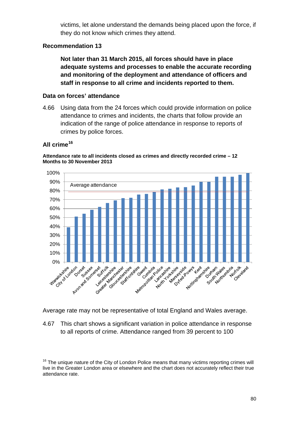victims, let alone understand the demands being placed upon the force, if they do not know which crimes they attend.

### **Recommendation 13**

**Not later than 31 March 2015, all forces should have in place adequate systems and processes to enable the accurate recording and monitoring of the deployment and attendance of officers and staff in response to all crime and incidents reported to them.**

### **Data on forces' attendance**

4.66 Using data from the 24 forces which could provide information on police attendance to crimes and incidents, the charts that follow provide an indication of the range of police attendance in response to reports of crimes by police forces.

# **All crime[16](#page-79-0)**



**Attendance rate to all incidents closed as crimes and directly recorded crime – 12 Months to 30 November 2013**

Average rate may not be representative of total England and Wales average.

4.67 This chart shows a significant variation in police attendance in response to all reports of crime. Attendance ranged from 39 percent to 100

<span id="page-79-0"></span> $16$  The unique nature of the City of London Police means that many victims reporting crimes will live in the Greater London area or elsewhere and the chart does not accurately reflect their true attendance rate.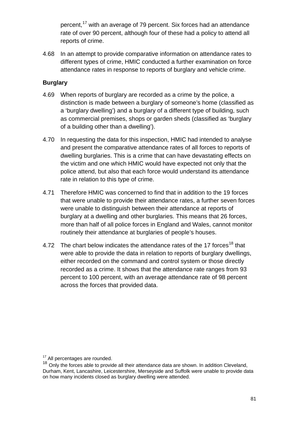percent,<sup>[17](#page-80-0)</sup> with an average of 79 percent. Six forces had an attendance rate of over 90 percent, although four of these had a policy to attend all reports of crime.

4.68 In an attempt to provide comparative information on attendance rates to different types of crime, HMIC conducted a further examination on force attendance rates in response to reports of burglary and vehicle crime.

### **Burglary**

- 4.69 When reports of burglary are recorded as a crime by the police, a distinction is made between a burglary of someone's home (classified as a 'burglary dwelling') and a burglary of a different type of building, such as commercial premises, shops or garden sheds (classified as 'burglary of a building other than a dwelling').
- 4.70 In requesting the data for this inspection, HMIC had intended to analyse and present the comparative attendance rates of all forces to reports of dwelling burglaries. This is a crime that can have devastating effects on the victim and one which HMIC would have expected not only that the police attend, but also that each force would understand its attendance rate in relation to this type of crime.
- 4.71 Therefore HMIC was concerned to find that in addition to the 19 forces that were unable to provide their attendance rates, a further seven forces were unable to distinguish between their attendance at reports of burglary at a dwelling and other burglaries. This means that 26 forces, more than half of all police forces in England and Wales, cannot monitor routinely their attendance at burglaries of people's houses.
- 4.72 The chart below indicates the attendance rates of the 17 forces<sup>[18](#page-80-1)</sup> that were able to provide the data in relation to reports of burglary dwellings, either recorded on the command and control system or those directly recorded as a crime. It shows that the attendance rate ranges from 93 percent to 100 percent, with an average attendance rate of 98 percent across the forces that provided data.

<span id="page-80-1"></span><span id="page-80-0"></span> $17$  All percentages are rounded.<br> $18$  Only the forces able to provide all their attendance data are shown. In addition Cleveland, Durham, Kent, Lancashire, Leicestershire, Merseyside and Suffolk were unable to provide data on how many incidents closed as burglary dwelling were attended.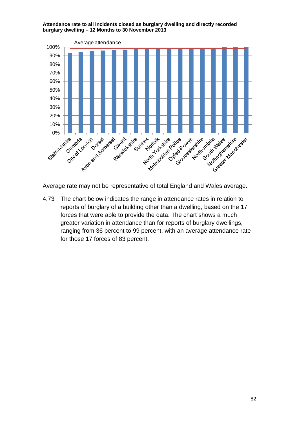

**Attendance rate to all incidents closed as burglary dwelling and directly recorded burglary dwelling – 12 Months to 30 November 2013**

4.73 The chart below indicates the range in attendance rates in relation to reports of burglary of a building other than a dwelling, based on the 17 forces that were able to provide the data. The chart shows a much greater variation in attendance than for reports of burglary dwellings, ranging from 36 percent to 99 percent, with an average attendance rate for those 17 forces of 83 percent.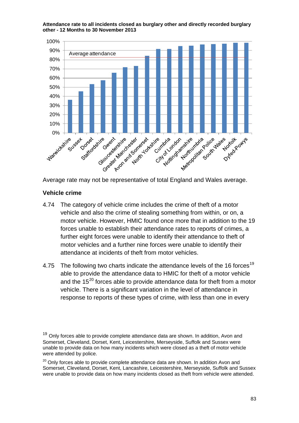**Attendance rate to all incidents closed as burglary other and directly recorded burglary other - 12 Months to 30 November 2013**



Average rate may not be representative of total England and Wales average.

### **Vehicle crime**

- 4.74 The category of vehicle crime includes the crime of theft of a motor vehicle and also the crime of stealing something from within, or on, a motor vehicle. However, HMIC found once more that in addition to the 19 forces unable to establish their attendance rates to reports of crimes, a further eight forces were unable to identify their attendance to theft of motor vehicles and a further nine forces were unable to identify their attendance at incidents of theft from motor vehicles.
- 4.75 The following two charts indicate the attendance levels of the 16 forces<sup>[19](#page-82-0)</sup> able to provide the attendance data to HMIC for theft of a motor vehicle and the  $15^{20}$  $15^{20}$  $15^{20}$  forces able to provide attendance data for theft from a motor vehicle. There is a significant variation in the level of attendance in response to reports of these types of crime, with less than one in every

<span id="page-82-1"></span> $20$  Onlv forces able to provide complete attendance data are shown. In addition Avon and Somerset, Cleveland, Dorset, Kent, Lancashire, Leicestershire, Merseyside, Suffolk and Sussex were unable to provide data on how many incidents closed as theft from vehicle were attended.

<span id="page-82-0"></span> $19$  Only forces able to provide complete attendance data are shown. In addition, Avon and Somerset, Cleveland, Dorset, Kent, Leicestershire, Merseyside, Suffolk and Sussex were unable to provide data on how many incidents which were closed as a theft of motor vehicle were attended by police.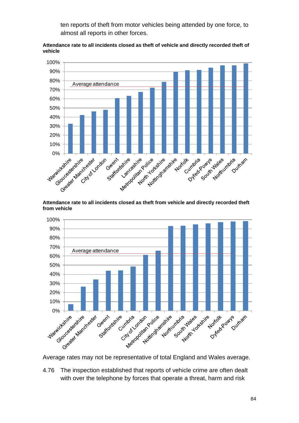ten reports of theft from motor vehicles being attended by one force, to almost all reports in other forces.





**Attendance rate to all incidents closed as theft from vehicle and directly recorded theft from vehicle**



4.76 The inspection established that reports of vehicle crime are often dealt with over the telephone by forces that operate a threat, harm and risk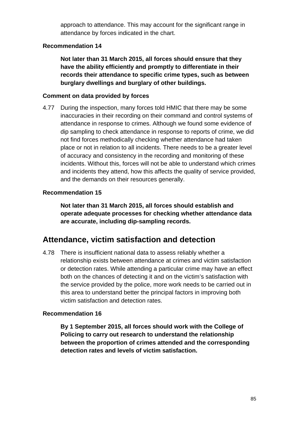approach to attendance. This may account for the significant range in attendance by forces indicated in the chart.

### **Recommendation 14**

**Not later than 31 March 2015, all forces should ensure that they have the ability efficiently and promptly to differentiate in their records their attendance to specific crime types, such as between burglary dwellings and burglary of other buildings.**

### **Comment on data provided by forces**

4.77 During the inspection, many forces told HMIC that there may be some inaccuracies in their recording on their command and control systems of attendance in response to crimes. Although we found some evidence of dip sampling to check attendance in response to reports of crime, we did not find forces methodically checking whether attendance had taken place or not in relation to all incidents. There needs to be a greater level of accuracy and consistency in the recording and monitoring of these incidents. Without this, forces will not be able to understand which crimes and incidents they attend, how this affects the quality of service provided, and the demands on their resources generally.

### **Recommendation 15**

**Not later than 31 March 2015, all forces should establish and operate adequate processes for checking whether attendance data are accurate, including dip-sampling records.**

# **Attendance, victim satisfaction and detection**

4.78 There is insufficient national data to assess reliably whether a relationship exists between attendance at crimes and victim satisfaction or detection rates. While attending a particular crime may have an effect both on the chances of detecting it and on the victim's satisfaction with the service provided by the police, more work needs to be carried out in this area to understand better the principal factors in improving both victim satisfaction and detection rates.

### **Recommendation 16**

**By 1 September 2015, all forces should work with the College of Policing to carry out research to understand the relationship between the proportion of crimes attended and the corresponding detection rates and levels of victim satisfaction.**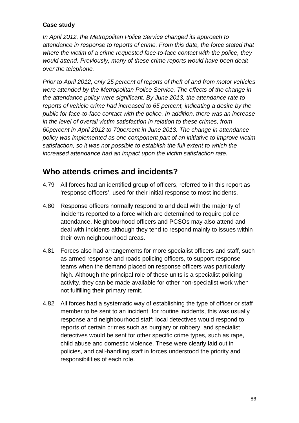### **Case study**

*In April 2012, the Metropolitan Police Service changed its approach to attendance in response to reports of crime. From this date, the force stated that where the victim of a crime requested face-to-face contact with the police, they would attend. Previously, many of these crime reports would have been dealt over the telephone.* 

*Prior to April 2012, only 25 percent of reports of theft of and from motor vehicles were attended by the Metropolitan Police Service. The effects of the change in the attendance policy were significant. By June 2013, the attendance rate to reports of vehicle crime had increased to 65 percent, indicating a desire by the public for face-to-face contact with the police. In addition, there was an increase in the level of overall victim satisfaction in relation to these crimes, from 60percent in April 2012 to 70percent in June 2013. The change in attendance policy was implemented as one component part of an initiative to improve victim satisfaction, so it was not possible to establish the full extent to which the increased attendance had an impact upon the victim satisfaction rate.*

# **Who attends crimes and incidents?**

- 4.79 All forces had an identified group of officers, referred to in this report as 'response officers', used for their initial response to most incidents.
- 4.80 Response officers normally respond to and deal with the majority of incidents reported to a force which are determined to require police attendance. Neighbourhood officers and PCSOs may also attend and deal with incidents although they tend to respond mainly to issues within their own neighbourhood areas.
- 4.81 Forces also had arrangements for more specialist officers and staff, such as armed response and roads policing officers, to support response teams when the demand placed on response officers was particularly high. Although the principal role of these units is a specialist policing activity, they can be made available for other non-specialist work when not fulfilling their primary remit.
- 4.82 All forces had a systematic way of establishing the type of officer or staff member to be sent to an incident: for routine incidents, this was usually response and neighbourhood staff; local detectives would respond to reports of certain crimes such as burglary or robbery; and specialist detectives would be sent for other specific crime types, such as rape, child abuse and domestic violence. These were clearly laid out in policies, and call-handling staff in forces understood the priority and responsibilities of each role.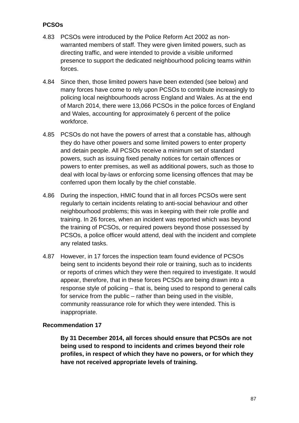# **PCSOs**

- 4.83 PCSOs were introduced by the Police Reform Act 2002 as nonwarranted members of staff. They were given limited powers, such as directing traffic, and were intended to provide a visible uniformed presence to support the dedicated neighbourhood policing teams within forces.
- 4.84 Since then, those limited powers have been extended (see below) and many forces have come to rely upon PCSOs to contribute increasingly to policing local neighbourhoods across England and Wales. As at the end of March 2014, there were 13,066 PCSOs in the police forces of England and Wales, accounting for approximately 6 percent of the police workforce.
- 4.85 PCSOs do not have the powers of arrest that a constable has, although they do have other powers and some limited powers to enter property and detain people. All PCSOs receive a minimum set of standard powers, such as issuing fixed penalty notices for certain offences or powers to enter premises, as well as additional powers, such as those to deal with local by-laws or enforcing some licensing offences that may be conferred upon them locally by the chief constable.
- 4.86 During the inspection, HMIC found that in all forces PCSOs were sent regularly to certain incidents relating to anti-social behaviour and other neighbourhood problems; this was in keeping with their role profile and training. In 26 forces, when an incident was reported which was beyond the training of PCSOs, or required powers beyond those possessed by PCSOs, a police officer would attend, deal with the incident and complete any related tasks.
- 4.87 However, in 17 forces the inspection team found evidence of PCSOs being sent to incidents beyond their role or training, such as to incidents or reports of crimes which they were then required to investigate. It would appear, therefore, that in these forces PCSOs are being drawn into a response style of policing – that is, being used to respond to general calls for service from the public – rather than being used in the visible, community reassurance role for which they were intended. This is inappropriate.

### **Recommendation 17**

**By 31 December 2014, all forces should ensure that PCSOs are not being used to respond to incidents and crimes beyond their role profiles, in respect of which they have no powers, or for which they have not received appropriate levels of training.**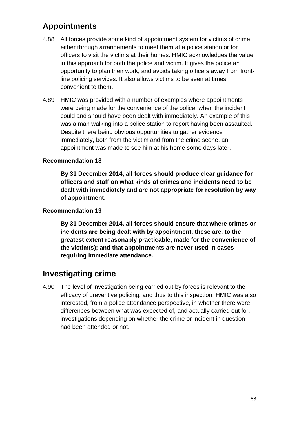# **Appointments**

- 4.88 All forces provide some kind of appointment system for victims of crime, either through arrangements to meet them at a police station or for officers to visit the victims at their homes. HMIC acknowledges the value in this approach for both the police and victim. It gives the police an opportunity to plan their work, and avoids taking officers away from frontline policing services. It also allows victims to be seen at times convenient to them.
- 4.89 HMIC was provided with a number of examples where appointments were being made for the convenience of the police, when the incident could and should have been dealt with immediately. An example of this was a man walking into a police station to report having been assaulted. Despite there being obvious opportunities to gather evidence immediately, both from the victim and from the crime scene, an appointment was made to see him at his home some days later.

### **Recommendation 18**

**By 31 December 2014, all forces should produce clear guidance for officers and staff on what kinds of crimes and incidents need to be dealt with immediately and are not appropriate for resolution by way of appointment.**

### **Recommendation 19**

**By 31 December 2014, all forces should ensure that where crimes or incidents are being dealt with by appointment, these are, to the greatest extent reasonably practicable, made for the convenience of the victim(s); and that appointments are never used in cases requiring immediate attendance.**

# **Investigating crime**

4.90 The level of investigation being carried out by forces is relevant to the efficacy of preventive policing, and thus to this inspection. HMIC was also interested, from a police attendance perspective, in whether there were differences between what was expected of, and actually carried out for, investigations depending on whether the crime or incident in question had been attended or not.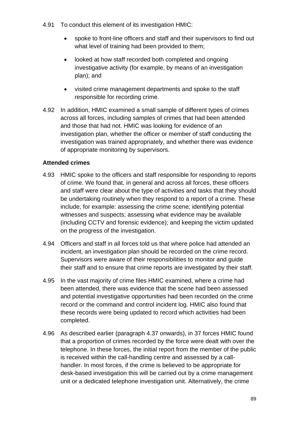- 4.91 To conduct this element of its investigation HMIC:
	- spoke to front-line officers and staff and their supervisors to find out what level of training had been provided to them;
	- looked at how staff recorded both completed and ongoing investigative activity (for example, by means of an investigation plan); and
	- visited crime management departments and spoke to the staff responsible for recording crime.
- 4.92 In addition, HMIC examined a small sample of different types of crimes across all forces, including samples of crimes that had been attended and those that had not. HMIC was looking for evidence of an investigation plan, whether the officer or member of staff conducting the investigation was trained appropriately, and whether there was evidence of appropriate monitoring by supervisors.

### **Attended crimes**

- 4.93 HMIC spoke to the officers and staff responsible for responding to reports of crime. We found that, in general and across all forces, these officers and staff were clear about the type of activities and tasks that they should be undertaking routinely when they respond to a report of a crime. These include, for example: assessing the crime scene; identifying potential witnesses and suspects; assessing what evidence may be available (including CCTV and forensic evidence); and keeping the victim updated on the progress of the investigation.
- 4.94 Officers and staff in all forces told us that where police had attended an incident, an investigation plan should be recorded on the crime record. Supervisors were aware of their responsibilities to monitor and guide their staff and to ensure that crime reports are investigated by their staff.
- 4.95 In the vast majority of crime files HMIC examined, where a crime had been attended, there was evidence that the scene had been assessed and potential investigative opportunities had been recorded on the crime record or the command and control incident log. HMIC also found that these records were being updated to record which activities had been completed.
- 4.96 As described earlier (paragraph [4.37](#page-71-0) onwards), in 37 forces HMIC found that a proportion of crimes recorded by the force were dealt with over the telephone. In these forces, the initial report from the member of the public is received within the call-handling centre and assessed by a callhandler. In most forces, if the crime is believed to be appropriate for desk-based investigation this will be carried out by a crime management unit or a dedicated telephone investigation unit. Alternatively, the crime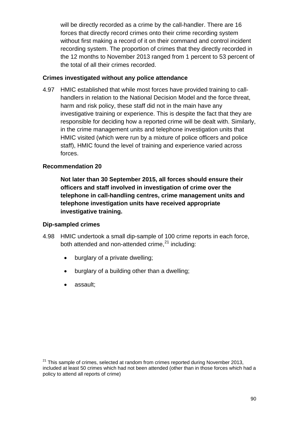will be directly recorded as a crime by the call-handler. There are 16 forces that directly record crimes onto their crime recording system without first making a record of it on their command and control incident recording system. The proportion of crimes that they directly recorded in the 12 months to November 2013 ranged from 1 percent to 53 percent of the total of all their crimes recorded.

### **Crimes investigated without any police attendance**

4.97 HMIC established that while most forces have provided training to callhandlers in relation to the National Decision Model and the force threat, harm and risk policy, these staff did not in the main have any investigative training or experience. This is despite the fact that they are responsible for deciding how a reported crime will be dealt with. Similarly, in the crime management units and telephone investigation units that HMIC visited (which were run by a mixture of police officers and police staff), HMIC found the level of training and experience varied across forces.

#### **Recommendation 20**

**Not later than 30 September 2015, all forces should ensure their officers and staff involved in investigation of crime over the telephone in call-handling centres, crime management units and telephone investigation units have received appropriate investigative training.**

#### **Dip-sampled crimes**

- 4.98 HMIC undertook a small dip-sample of 100 crime reports in each force, both attended and non-attended crime,<sup>[21](#page-89-0)</sup> including:
	- burglary of a private dwelling;
	- burglary of a building other than a dwelling;
	- assault;

<span id="page-89-0"></span> $21$  This sample of crimes, selected at random from crimes reported during November 2013, included at least 50 crimes which had not been attended (other than in those forces which had a policy to attend all reports of crime)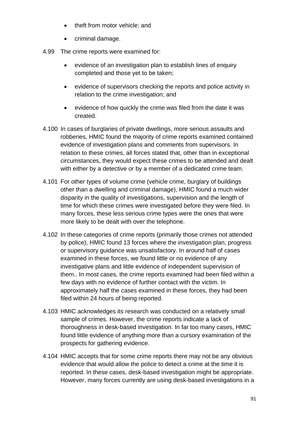- theft from motor vehicle: and
- criminal damage.
- 4.99 The crime reports were examined for:
	- evidence of an investigation plan to establish lines of enquiry completed and those yet to be taken;
	- evidence of supervisors checking the reports and police activity in relation to the crime investigation; and
	- evidence of how quickly the crime was filed from the date it was created.
- 4.100 In cases of burglaries of private dwellings, more serious assaults and robberies, HMIC found the majority of crime reports examined contained evidence of investigation plans and comments from supervisors. In relation to these crimes, all forces stated that, other than in exceptional circumstances, they would expect these crimes to be attended and dealt with either by a detective or by a member of a dedicated crime team.
- 4.101 For other types of volume crime (vehicle crime, burglary of buildings other than a dwelling and criminal damage), HMIC found a much wider disparity in the quality of investigations, supervision and the length of time for which these crimes were investigated before they were filed. In many forces, these less serious crime types were the ones that were more likely to be dealt with over the telephone.
- 4.102 In these categories of crime reports (primarily those crimes not attended by police), HMIC found 13 forces where the investigation plan, progress or supervisory guidance was unsatisfactory. In around half of cases examined in these forces, we found little or no evidence of any investigative plans and little evidence of independent supervision of them.. In most cases, the crime reports examined had been filed within a few days with no evidence of further contact with the victim. In approximately half the cases examined in these forces, they had been filed within 24 hours of being reported.
- 4.103 HMIC acknowledges its research was conducted on a relatively small sample of crimes. However, the crime reports indicate a lack of thoroughness in desk-based investigation. In far too many cases, HMIC found little evidence of anything more than a cursory examination of the prospects for gathering evidence.
- 4.104 HMIC accepts that for some crime reports there may not be any obvious evidence that would allow the police to detect a crime at the time it is reported. In these cases, desk-based investigation might be appropriate. However, many forces currently are using desk-based investigations in a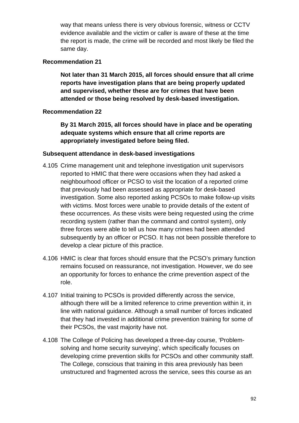way that means unless there is very obvious forensic, witness or CCTV evidence available and the victim or caller is aware of these at the time the report is made, the crime will be recorded and most likely be filed the same day.

### **Recommendation 21**

**Not later than 31 March 2015, all forces should ensure that all crime reports have investigation plans that are being properly updated and supervised, whether these are for crimes that have been attended or those being resolved by desk-based investigation.**

### **Recommendation 22**

**By 31 March 2015, all forces should have in place and be operating adequate systems which ensure that all crime reports are appropriately investigated before being filed.**

#### **Subsequent attendance in desk-based investigations**

- 4.105 Crime management unit and telephone investigation unit supervisors reported to HMIC that there were occasions when they had asked a neighbourhood officer or PCSO to visit the location of a reported crime that previously had been assessed as appropriate for desk-based investigation. Some also reported asking PCSOs to make follow-up visits with victims. Most forces were unable to provide details of the extent of these occurrences. As these visits were being requested using the crime recording system (rather than the command and control system), only three forces were able to tell us how many crimes had been attended subsequently by an officer or PCSO. It has not been possible therefore to develop a clear picture of this practice.
- 4.106 HMIC is clear that forces should ensure that the PCSO's primary function remains focused on reassurance, not investigation. However, we do see an opportunity for forces to enhance the crime prevention aspect of the role.
- 4.107 Initial training to PCSOs is provided differently across the service, although there will be a limited reference to crime prevention within it, in line with national guidance. Although a small number of forces indicated that they had invested in additional crime prevention training for some of their PCSOs, the vast majority have not.
- 4.108 The College of Policing has developed a three-day course, 'Problemsolving and home security surveying', which specifically focuses on developing crime prevention skills for PCSOs and other community staff. The College, conscious that training in this area previously has been unstructured and fragmented across the service, sees this course as an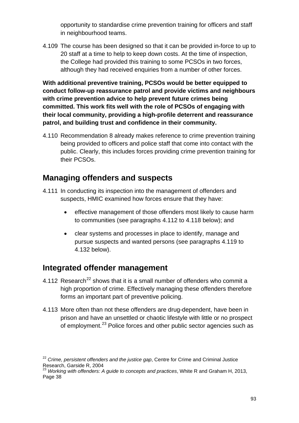opportunity to standardise crime prevention training for officers and staff in neighbourhood teams.

4.109 The course has been designed so that it can be provided in-force to up to 20 staff at a time to help to keep down costs. At the time of inspection, the College had provided this training to some PCSOs in two forces, although they had received enquiries from a number of other forces.

**With additional preventive training, PCSOs would be better equipped to conduct follow-up reassurance patrol and provide victims and neighbours with crime prevention advice to help prevent future crimes being committed. This work fits well with the role of PCSOs of engaging with their local community, providing a high-profile deterrent and reassurance patrol, and building trust and confidence in their community[.](#page-58-0)**

4.110 [Recommendation 8](#page-58-0) already makes reference to crime prevention training being provided to officers and police staff that come into contact with the public. Clearly, this includes forces providing crime prevention training for their PCSOs.

# **Managing offenders and suspects**

- 4.111 In conducting its inspection into the management of offenders and suspects, HMIC examined how forces ensure that they have:
	- effective management of those offenders most likely to cause harm to communities (see paragraphs [4.112](#page-92-0) to [4.118](#page-94-0) below); and
	- clear systems and processes in place to identify, manage and pursue suspects and wanted persons (see paragraphs [4.119](#page-94-1) to [4.132](#page-97-0) below).

# **Integrated offender management**

- <span id="page-92-0"></span>4.112 Research<sup>[22](#page-92-1)</sup> shows that it is a small number of offenders who commit a high proportion of crime. Effectively managing these offenders therefore forms an important part of preventive policing.
- 4.113 More often than not these offenders are drug-dependent, have been in prison and have an unsettled or chaotic lifestyle with little or no prospect of employment.<sup>[23](#page-92-2)</sup> Police forces and other public sector agencies such as

<span id="page-92-1"></span><sup>22</sup> *Crime, persistent offenders and the justice gap*, Centre for Crime and Criminal Justice Research, Garside R, 2004

<span id="page-92-2"></span><sup>23</sup> *Working with offenders: A guide to concepts and practices*, White R and Graham H, 2013, Page 38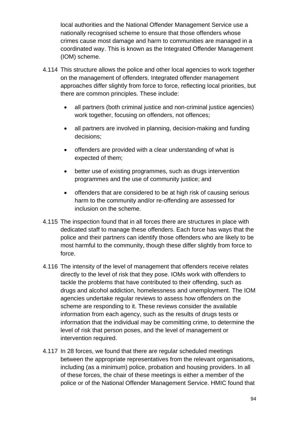local authorities and the National Offender Management Service use a nationally recognised scheme to ensure that those offenders whose crimes cause most damage and harm to communities are managed in a coordinated way. This is known as the Integrated Offender Management (IOM) scheme.

- 4.114 This structure allows the police and other local agencies to work together on the management of offenders. Integrated offender management approaches differ slightly from force to force, reflecting local priorities, but there are common principles. These include:
	- all partners (both criminal justice and non-criminal justice agencies) work together, focusing on offenders, not offences;
	- all partners are involved in planning, decision-making and funding decisions;
	- offenders are provided with a clear understanding of what is expected of them;
	- better use of existing programmes, such as drugs intervention programmes and the use of community justice; and
	- offenders that are considered to be at high risk of causing serious harm to the community and/or re-offending are assessed for inclusion on the scheme.
- 4.115 The inspection found that in all forces there are structures in place with dedicated staff to manage these offenders. Each force has ways that the police and their partners can identify those offenders who are likely to be most harmful to the community, though these differ slightly from force to force.
- 4.116 The intensity of the level of management that offenders receive relates directly to the level of risk that they pose. IOMs work with offenders to tackle the problems that have contributed to their offending, such as drugs and alcohol addiction, homelessness and unemployment. The IOM agencies undertake regular reviews to assess how offenders on the scheme are responding to it. These reviews consider the available information from each agency, such as the results of drugs tests or information that the individual may be committing crime, to determine the level of risk that person poses, and the level of management or intervention required.
- 4.117 In 28 forces, we found that there are regular scheduled meetings between the appropriate representatives from the relevant organisations, including (as a minimum) police, probation and housing providers. In all of these forces, the chair of these meetings is either a member of the police or of the National Offender Management Service. HMIC found that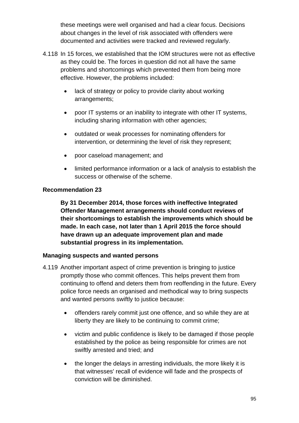these meetings were well organised and had a clear focus. Decisions about changes in the level of risk associated with offenders were documented and activities were tracked and reviewed regularly.

- <span id="page-94-0"></span>4.118 In 15 forces, we established that the IOM structures were not as effective as they could be. The forces in question did not all have the same problems and shortcomings which prevented them from being more effective. However, the problems included:
	- lack of strategy or policy to provide clarity about working arrangements;
	- poor IT systems or an inability to integrate with other IT systems, including sharing information with other agencies;
	- outdated or weak processes for nominating offenders for intervention, or determining the level of risk they represent;
	- poor caseload management; and
	- limited performance information or a lack of analysis to establish the success or otherwise of the scheme.

### **Recommendation 23**

**By 31 December 2014, those forces with ineffective Integrated Offender Management arrangements should conduct reviews of their shortcomings to establish the improvements which should be made. In each case, not later than 1 April 2015 the force should have drawn up an adequate improvement plan and made substantial progress in its implementation.**

### **Managing suspects and wanted persons**

- <span id="page-94-1"></span>4.119 Another important aspect of crime prevention is bringing to justice promptly those who commit offences. This helps prevent them from continuing to offend and deters them from reoffending in the future. Every police force needs an organised and methodical way to bring suspects and wanted persons swiftly to justice because:
	- offenders rarely commit just one offence, and so while they are at liberty they are likely to be continuing to commit crime;
	- victim and public confidence is likely to be damaged if those people established by the police as being responsible for crimes are not swiftly arrested and tried; and
	- the longer the delays in arresting individuals, the more likely it is that witnesses' recall of evidence will fade and the prospects of conviction will be diminished.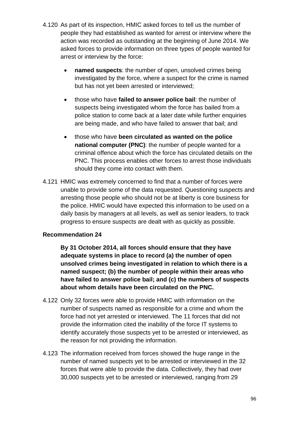- 4.120 As part of its inspection, HMIC asked forces to tell us the number of people they had established as wanted for arrest or interview where the action was recorded as outstanding at the beginning of June 2014. We asked forces to provide information on three types of people wanted for arrest or interview by the force:
	- **named suspects**: the number of open, unsolved crimes being investigated by the force, where a suspect for the crime is named but has not yet been arrested or interviewed;
	- those who have **failed to answer police bail**: the number of suspects being investigated whom the force has bailed from a police station to come back at a later date while further enquiries are being made, and who have failed to answer that bail; and
	- those who have **been circulated as wanted on the police national computer (PNC)**: the number of people wanted for a criminal offence about which the force has circulated details on the PNC. This process enables other forces to arrest those individuals should they come into contact with them.
- 4.121 HMIC was extremely concerned to find that a number of forces were unable to provide some of the data requested. Questioning suspects and arresting those people who should not be at liberty is core business for the police. HMIC would have expected this information to be used on a daily basis by managers at all levels, as well as senior leaders, to track progress to ensure suspects are dealt with as quickly as possible.

# **Recommendation 24**

**By 31 October 2014, all forces should ensure that they have adequate systems in place to record (a) the number of open unsolved crimes being investigated in relation to which there is a named suspect; (b) the number of people within their areas who have failed to answer police bail; and (c) the numbers of suspects about whom details have been circulated on the PNC.**

- 4.122 Only 32 forces were able to provide HMIC with information on the number of suspects named as responsible for a crime and whom the force had not yet arrested or interviewed. The 11 forces that did not provide the information cited the inability of the force IT systems to identify accurately those suspects yet to be arrested or interviewed, as the reason for not providing the information.
- 4.123 The information received from forces showed the huge range in the number of named suspects yet to be arrested or interviewed in the 32 forces that were able to provide the data. Collectively, they had over 30,000 suspects yet to be arrested or interviewed, ranging from 29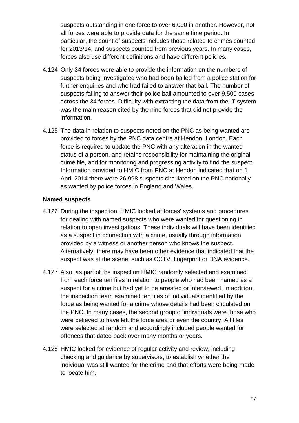suspects outstanding in one force to over 6,000 in another. However, not all forces were able to provide data for the same time period. In particular, the count of suspects includes those related to crimes counted for 2013/14, and suspects counted from previous years. In many cases, forces also use different definitions and have different policies.

- 4.124 Only 34 forces were able to provide the information on the numbers of suspects being investigated who had been bailed from a police station for further enquiries and who had failed to answer that bail. The number of suspects failing to answer their police bail amounted to over 9,500 cases across the 34 forces. Difficulty with extracting the data from the IT system was the main reason cited by the nine forces that did not provide the information.
- 4.125 The data in relation to suspects noted on the PNC as being wanted are provided to forces by the PNC data centre at Hendon, London. Each force is required to update the PNC with any alteration in the wanted status of a person, and retains responsibility for maintaining the original crime file, and for monitoring and progressing activity to find the suspect. Information provided to HMIC from PNC at Hendon indicated that on 1 April 2014 there were 26,998 suspects circulated on the PNC nationally as wanted by police forces in England and Wales.

### **Named suspects**

- 4.126 During the inspection, HMIC looked at forces' systems and procedures for dealing with named suspects who were wanted for questioning in relation to open investigations. These individuals will have been identified as a suspect in connection with a crime, usually through information provided by a witness or another person who knows the suspect. Alternatively, there may have been other evidence that indicated that the suspect was at the scene, such as CCTV, fingerprint or DNA evidence.
- 4.127 Also, as part of the inspection HMIC randomly selected and examined from each force ten files in relation to people who had been named as a suspect for a crime but had yet to be arrested or interviewed. In addition, the inspection team examined ten files of individuals identified by the force as being wanted for a crime whose details had been circulated on the PNC. In many cases, the second group of individuals were those who were believed to have left the force area or even the country. All files were selected at random and accordingly included people wanted for offences that dated back over many months or years.
- 4.128 HMIC looked for evidence of regular activity and review, including checking and guidance by supervisors, to establish whether the individual was still wanted for the crime and that efforts were being made to locate him.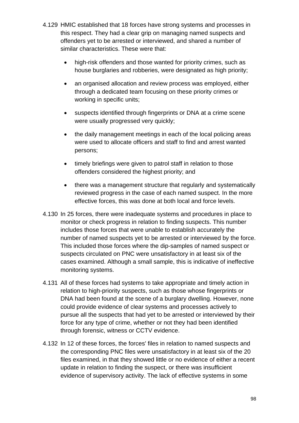- 4.129 HMIC established that 18 forces have strong systems and processes in this respect. They had a clear grip on managing named suspects and offenders yet to be arrested or interviewed, and shared a number of similar characteristics. These were that:
	- high-risk offenders and those wanted for priority crimes, such as house burglaries and robberies, were designated as high priority;
	- an organised allocation and review process was employed, either through a dedicated team focusing on these priority crimes or working in specific units;
	- suspects identified through fingerprints or DNA at a crime scene were usually progressed very quickly;
	- the daily management meetings in each of the local policing areas were used to allocate officers and staff to find and arrest wanted persons;
	- timely briefings were given to patrol staff in relation to those offenders considered the highest priority; and
	- there was a management structure that regularly and systematically reviewed progress in the case of each named suspect. In the more effective forces, this was done at both local and force levels.
- 4.130 In 25 forces, there were inadequate systems and procedures in place to monitor or check progress in relation to finding suspects. This number includes those forces that were unable to establish accurately the number of named suspects yet to be arrested or interviewed by the force. This included those forces where the dip-samples of named suspect or suspects circulated on PNC were unsatisfactory in at least six of the cases examined. Although a small sample, this is indicative of ineffective monitoring systems.
- 4.131 All of these forces had systems to take appropriate and timely action in relation to high-priority suspects, such as those whose fingerprints or DNA had been found at the scene of a burglary dwelling. However, none could provide evidence of clear systems and processes actively to pursue all the suspects that had yet to be arrested or interviewed by their force for any type of crime, whether or not they had been identified through forensic, witness or CCTV evidence.
- <span id="page-97-0"></span>4.132 In 12 of these forces, the forces' files in relation to named suspects and the corresponding PNC files were unsatisfactory in at least six of the 20 files examined, in that they showed little or no evidence of either a recent update in relation to finding the suspect, or there was insufficient evidence of supervisory activity. The lack of effective systems in some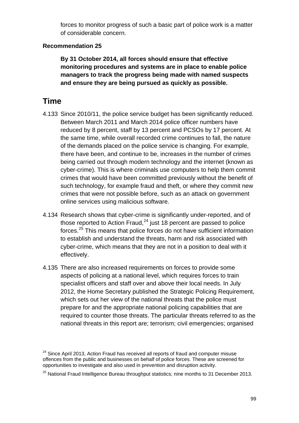forces to monitor progress of such a basic part of police work is a matter of considerable concern.

### **Recommendation 25**

**By 31 October 2014, all forces should ensure that effective monitoring procedures and systems are in place to enable police managers to track the progress being made with named suspects and ensure they are being pursued as quickly as possible.**

# **Time**

- 4.133 Since 2010/11, the police service budget has been significantly reduced. Between March 2011 and March 2014 police officer numbers have reduced by 8 percent, staff by 13 percent and PCSOs by 17 percent. At the same time, while overall recorded crime continues to fall, the nature of the demands placed on the police service is changing. For example, there have been, and continue to be, increases in the number of crimes being carried out through modern technology and the internet (known as cyber-crime). This is where criminals use computers to help them commit crimes that would have been committed previously without the benefit of such technology, for example fraud and theft, or where they commit new crimes that were not possible before, such as an attack on government online services using malicious software.
- 4.134 Research shows that cyber-crime is significantly under-reported, and of those reported to Action Fraud, $^{24}$  $^{24}$  $^{24}$  just 18 percent are passed to police forces.<sup>[25](#page-98-1)</sup> This means that police forces do not have sufficient information to establish and understand the threats, harm and risk associated with cyber-crime, which means that they are not in a position to deal with it effectively.
- 4.135 There are also increased requirements on forces to provide some aspects of policing at a national level, which requires forces to train specialist officers and staff over and above their local needs. In July 2012, the Home Secretary published the Strategic Policing Requirement, which sets out her view of the national threats that the police must prepare for and the appropriate national policing capabilities that are required to counter those threats. The particular threats referred to as the national threats in this report are; terrorism; civil emergencies; organised

<span id="page-98-0"></span><sup>&</sup>lt;sup>24</sup> Since April 2013, Action Fraud has received all reports of fraud and computer misuse offences from the public and businesses on behalf of police forces. These are screened for opportunities to investigate and also used in prevention and disruption activity.

<span id="page-98-1"></span> $25$  National Fraud Intelligence Bureau throughput statistics; nine months to 31 December 2013.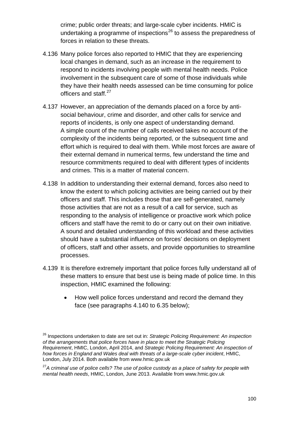crime; public order threats; and large-scale cyber incidents. HMIC is undertaking a programme of inspections<sup>[26](#page-99-0)</sup> to assess the preparedness of forces in relation to these threats.

- 4.136 Many police forces also reported to HMIC that they are experiencing local changes in demand, such as an increase in the requirement to respond to incidents involving people with mental health needs. Police involvement in the subsequent care of some of those individuals while they have their health needs assessed can be time consuming for police officers and staff.<sup>[27](#page-99-1)</sup>
- 4.137 However, an appreciation of the demands placed on a force by antisocial behaviour, crime and disorder, and other calls for service and reports of incidents, is only one aspect of understanding demand. A simple count of the number of calls received takes no account of the complexity of the incidents being reported, or the subsequent time and effort which is required to deal with them. While most forces are aware of their external demand in numerical terms, few understand the time and resource commitments required to deal with different types of incidents and crimes. This is a matter of material concern.
- 4.138 In addition to understanding their external demand, forces also need to know the extent to which policing activities are being carried out by their officers and staff. This includes those that are self-generated, namely those activities that are not as a result of a call for service, such as responding to the analysis of intelligence or proactive work which police officers and staff have the remit to do or carry out on their own initiative. A sound and detailed understanding of this workload and these activities should have a substantial influence on forces' decisions on deployment of officers, staff and other assets, and provide opportunities to streamline processes.
- 4.139 It is therefore extremely important that police forces fully understand all of these matters to ensure that best use is being made of police time. In this inspection, HMIC examined the following:
	- How well police forces understand and record the demand they face (see paragraphs [4.140](#page-100-0) to 6.35 below);

<span id="page-99-0"></span><sup>26</sup> Inspections undertaken to date are set out in: *Strategic Policing Requirement: An inspection of the arrangements that police forces have in place to meet the Strategic Policing Requirement*, HMIC, London, April 2014, and *Strategic Policing Requirement: An inspection of how forces in England and Wales deal with threats of a large-scale cyber incident*, HMIC, London, July 2014. Both available from www.hmic.gov.uk

<span id="page-99-1"></span><sup>27</sup>*A criminal use of police cells? The use of police custody as a place of safety for people with mental health needs*, HMIC, London, June 2013. Available from www.hmic.gov.uk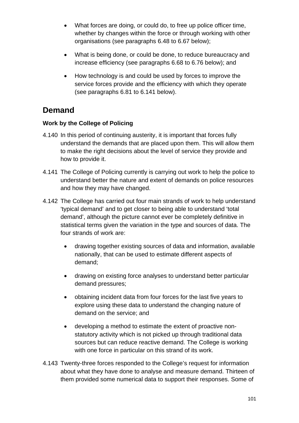- What forces are doing, or could do, to free up police officer time, whether by changes within the force or through working with other organisations (see paragraphs 6.48 to 6.67 below);
- What is being done, or could be done, to reduce bureaucracy and increase efficiency (see paragraphs 6.68 to 6.76 below); and
- How technology is and could be used by forces to improve the service forces provide and the efficiency with which they operate (see paragraphs 6.81 to 6.141 below).

# **Demand**

# **Work by the College of Policing**

- <span id="page-100-0"></span>4.140 In this period of continuing austerity, it is important that forces fully understand the demands that are placed upon them. This will allow them to make the right decisions about the level of service they provide and how to provide it.
- 4.141 The College of Policing currently is carrying out work to help the police to understand better the nature and extent of demands on police resources and how they may have changed.
- 4.142 The College has carried out four main strands of work to help understand 'typical demand' and to get closer to being able to understand 'total demand', although the picture cannot ever be completely definitive in statistical terms given the variation in the type and sources of data. The four strands of work are:
	- drawing together existing sources of data and information, available nationally, that can be used to estimate different aspects of demand;
	- drawing on existing force analyses to understand better particular demand pressures;
	- obtaining incident data from four forces for the last five years to explore using these data to understand the changing nature of demand on the service; and
	- developing a method to estimate the extent of proactive nonstatutory activity which is not picked up through traditional data sources but can reduce reactive demand. The College is working with one force in particular on this strand of its work.
- 4.143 Twenty-three forces responded to the College's request for information about what they have done to analyse and measure demand. Thirteen of them provided some numerical data to support their responses. Some of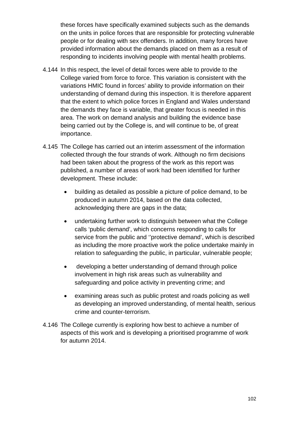these forces have specifically examined subjects such as the demands on the units in police forces that are responsible for protecting vulnerable people or for dealing with sex offenders. In addition, many forces have provided information about the demands placed on them as a result of responding to incidents involving people with mental health problems.

- 4.144 In this respect, the level of detail forces were able to provide to the College varied from force to force. This variation is consistent with the variations HMIC found in forces' ability to provide information on their understanding of demand during this inspection. It is therefore apparent that the extent to which police forces in England and Wales understand the demands they face is variable, that greater focus is needed in this area. The work on demand analysis and building the evidence base being carried out by the College is, and will continue to be, of great importance.
- 4.145 The College has carried out an interim assessment of the information collected through the four strands of work. Although no firm decisions had been taken about the progress of the work as this report was published, a number of areas of work had been identified for further development. These include:
	- building as detailed as possible a picture of police demand, to be produced in autumn 2014, based on the data collected, acknowledging there are gaps in the data;
	- undertaking further work to distinguish between what the College calls 'public demand', which concerns responding to calls for service from the public and ''protective demand', which is described as including the more proactive work the police undertake mainly in relation to safeguarding the public, in particular, vulnerable people;
	- developing a better understanding of demand through police involvement in high risk areas such as vulnerability and safeguarding and police activity in preventing crime; and
	- examining areas such as public protest and roads policing as well as developing an improved understanding, of mental health, serious crime and counter-terrorism.
- 4.146 The College currently is exploring how best to achieve a number of aspects of this work and is developing a prioritised programme of work for autumn 2014.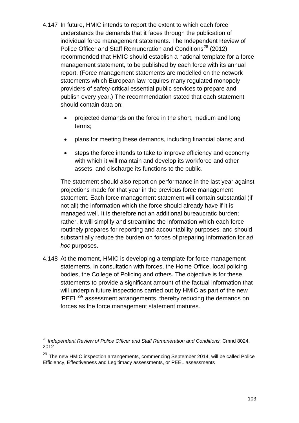- 4.147 In future, HMIC intends to report the extent to which each force understands the demands that it faces through the publication of individual force management statements. The Independent Review of Police Officer and Staff Remuneration and Conditions<sup>[28](#page-102-0)</sup> (2012) recommended that HMIC should establish a national template for a force management statement, to be published by each force with its annual report. (Force management statements are modelled on the network statements which European law requires many regulated monopoly providers of safety-critical essential public services to prepare and publish every year.) The recommendation stated that each statement should contain data on:
	- projected demands on the force in the short, medium and long terms;
	- plans for meeting these demands, including financial plans; and
	- steps the force intends to take to improve efficiency and economy with which it will maintain and develop its workforce and other assets, and discharge its functions to the public.

The statement should also report on performance in the last year against projections made for that year in the previous force management statement. Each force management statement will contain substantial (if not all) the information which the force should already have if it is managed well. It is therefore not an additional bureaucratic burden; rather, it will simplify and streamline the information which each force routinely prepares for reporting and accountability purposes, and should substantially reduce the burden on forces of preparing information for *ad hoc* purposes.

4.148 At the moment, HMIC is developing a template for force management statements, in consultation with forces, the Home Office, local policing bodies, the College of Policing and others. The objective is for these statements to provide a significant amount of the factual information that will underpin future inspections carried out by HMIC as part of the new 'PEEL[29](#page-102-1)' assessment arrangements, thereby reducing the demands on forces as the force management statement matures.

<span id="page-102-0"></span><sup>&</sup>lt;sup>28</sup> Independent Review of Police Officer and Staff Remuneration and Conditions, Cmnd 8024, 2012

<span id="page-102-1"></span> $29$  The new HMIC inspection arrangements, commencing September 2014, will be called Police Efficiency, Effectiveness and Legitimacy assessments, or PEEL assessments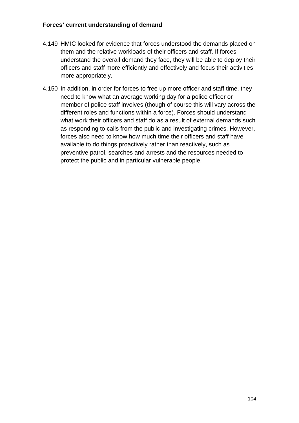### **Forces' current understanding of demand**

- 4.149 HMIC looked for evidence that forces understood the demands placed on them and the relative workloads of their officers and staff. If forces understand the overall demand they face, they will be able to deploy their officers and staff more efficiently and effectively and focus their activities more appropriately.
- 4.150 In addition, in order for forces to free up more officer and staff time, they need to know what an average working day for a police officer or member of police staff involves (though of course this will vary across the different roles and functions within a force). Forces should understand what work their officers and staff do as a result of external demands such as responding to calls from the public and investigating crimes. However, forces also need to know how much time their officers and staff have available to do things proactively rather than reactively, such as preventive patrol, searches and arrests and the resources needed to protect the public and in particular vulnerable people.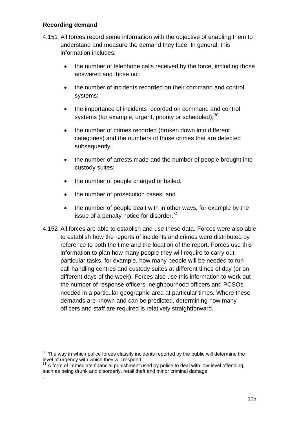### **Recording demand**

.

- 4.151 All forces record some information with the objective of enabling them to understand and measure the demand they face. In general, this information includes:
	- the number of telephone calls received by the force, including those answered and those not;
	- the number of incidents recorded on their command and control systems;
	- the importance of incidents recorded on command and control systems (for example, urgent, priority or scheduled); $30$
	- the number of crimes recorded (broken down into different categories) and the numbers of those crimes that are detected subsequently;
	- the number of arrests made and the number of people brought into custody suites;
	- the number of people charged or bailed;
	- the number of prosecution cases; and
	- the number of people dealt with in other ways, for example by the issue of a penalty notice for disorder.<sup>[31](#page-104-1)</sup>
- 4.152 All forces are able to establish and use these data. Forces were also able to establish how the reports of incidents and crimes were distributed by reference to both the time and the location of the report. Forces use this information to plan how many people they will require to carry out particular tasks, for example, how many people will be needed to run call-handling centres and custody suites at different times of day (or on different days of the week). Forces also use this information to work out the number of response officers, neighbourhood officers and PCSOs needed in a particular geographic area at particular times. Where these demands are known and can be predicted, determining how many officers and staff are required is relatively straightforward.

<span id="page-104-0"></span> $30$  The way in which police forces classify incidents reported by the public will determine the level of urgency with which they will respond

<span id="page-104-1"></span> $31$  A form of immediate financial punishment used by police to deal with low-level offending, such as being drunk and disorderly, retail theft and minor criminal damage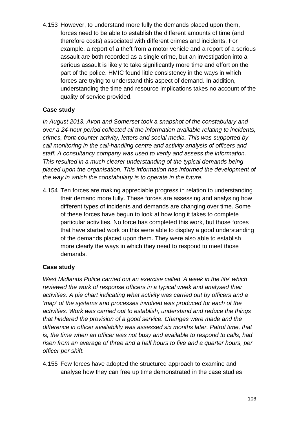4.153 However, to understand more fully the demands placed upon them, forces need to be able to establish the different amounts of time (and therefore costs) associated with different crimes and incidents. For example, a report of a theft from a motor vehicle and a report of a serious assault are both recorded as a single crime, but an investigation into a serious assault is likely to take significantly more time and effort on the part of the police. HMIC found little consistency in the ways in which forces are trying to understand this aspect of demand. In addition, understanding the time and resource implications takes no account of the quality of service provided.

# **Case study**

*In August 2013, Avon and Somerset took a snapshot of the constabulary and over a 24-hour period collected all the information available relating to incidents, crimes, front-counter activity, letters and social media. This was supported by call monitoring in the call-handling centre and activity analysis of officers and staff. A consultancy company was used to verify and assess the information. This resulted in a much clearer understanding of the typical demands being placed upon the organisation. This information has informed the development of the way in which the constabulary is to operate in the future.* 

4.154 Ten forces are making appreciable progress in relation to understanding their demand more fully. These forces are assessing and analysing how different types of incidents and demands are changing over time. Some of these forces have begun to look at how long it takes to complete particular activities. No force has completed this work, but those forces that have started work on this were able to display a good understanding of the demands placed upon them. They were also able to establish more clearly the ways in which they need to respond to meet those demands.

# **Case study**

*West Midlands Police carried out an exercise called 'A week in the life' which reviewed the work of response officers in a typical week and analysed their activities. A pie chart indicating what activity was carried out by officers and a 'map' of the systems and processes involved was produced for each of the activities. Work was carried out to establish, understand and reduce the things that hindered the provision of a good service. Changes were made and the difference in officer availability was assessed six months later. Patrol time, that is, the time when an officer was not busy and available to respond to calls, had risen from an average of three and a half hours to five and a quarter hours, per officer per shift.*

4.155 Few forces have adopted the structured approach to examine and analyse how they can free up time demonstrated in the case studies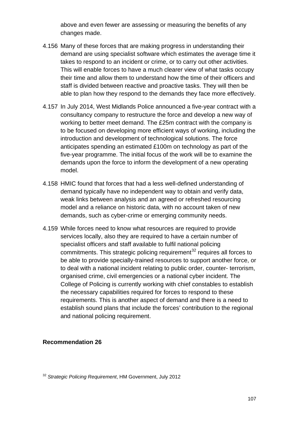above and even fewer are assessing or measuring the benefits of any changes made.

- 4.156 Many of these forces that are making progress in understanding their demand are using specialist software which estimates the average time it takes to respond to an incident or crime, or to carry out other activities. This will enable forces to have a much clearer view of what tasks occupy their time and allow them to understand how the time of their officers and staff is divided between reactive and proactive tasks. They will then be able to plan how they respond to the demands they face more effectively.
- 4.157 In July 2014, West Midlands Police announced a five-year contract with a consultancy company to restructure the force and develop a new way of working to better meet demand. The £25m contract with the company is to be focused on developing more efficient ways of working, including the introduction and development of technological solutions. The force anticipates spending an estimated £100m on technology as part of the five-year programme. The initial focus of the work will be to examine the demands upon the force to inform the development of a new operating model.
- 4.158 HMIC found that forces that had a less well-defined understanding of demand typically have no independent way to obtain and verify data, weak links between analysis and an agreed or refreshed resourcing model and a reliance on historic data, with no account taken of new demands, such as cyber-crime or emerging community needs.
- 4.159 While forces need to know what resources are required to provide services locally, also they are required to have a certain number of specialist officers and staff available to fulfil national policing commitments. This strategic policing requirement<sup>[32](#page-106-0)</sup> requires all forces to be able to provide specially-trained resources to support another force, or to deal with a national incident relating to public order, counter- terrorism, organised crime, civil emergencies or a national cyber incident. The College of Policing is currently working with chief constables to establish the necessary capabilities required for forces to respond to these requirements. This is another aspect of demand and there is a need to establish sound plans that include the forces' contribution to the regional and national policing requirement.

#### **Recommendation 26**

<span id="page-106-0"></span><sup>32</sup> *Strategic Policing Requirement*, HM Government, July 2012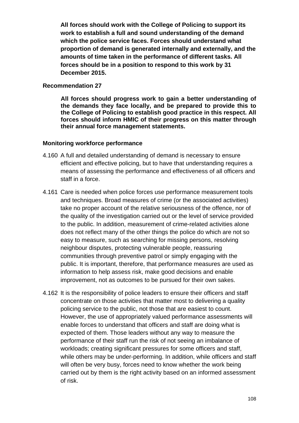**All forces should work with the College of Policing to support its work to establish a full and sound understanding of the demand which the police service faces. Forces should understand what proportion of demand is generated internally and externally, and the amounts of time taken in the performance of different tasks. All forces should be in a position to respond to this work by 31 December 2015.**

#### **Recommendation 27**

**All forces should progress work to gain a better understanding of the demands they face locally, and be prepared to provide this to the College of Policing to establish good practice in this respect. All forces should inform HMIC of their progress on this matter through their annual force management statements.**

#### **Monitoring workforce performance**

- 4.160 A full and detailed understanding of demand is necessary to ensure efficient and effective policing, but to have that understanding requires a means of assessing the performance and effectiveness of all officers and staff in a force.
- 4.161 Care is needed when police forces use performance measurement tools and techniques. Broad measures of crime (or the associated activities) take no proper account of the relative seriousness of the offence, nor of the quality of the investigation carried out or the level of service provided to the public. In addition, measurement of crime-related activities alone does not reflect many of the other things the police do which are not so easy to measure, such as searching for missing persons, resolving neighbour disputes, protecting vulnerable people, reassuring communities through preventive patrol or simply engaging with the public. It is important, therefore, that performance measures are used as information to help assess risk, make good decisions and enable improvement, not as outcomes to be pursued for their own sakes.
- 4.162 It is the responsibility of police leaders to ensure their officers and staff concentrate on those activities that matter most to delivering a quality policing service to the public, not those that are easiest to count. However, the use of appropriately valued performance assessments will enable forces to understand that officers and staff are doing what is expected of them. Those leaders without any way to measure the performance of their staff run the risk of not seeing an imbalance of workloads; creating significant pressures for some officers and staff, while others may be under-performing. In addition, while officers and staff will often be very busy, forces need to know whether the work being carried out by them is the right activity based on an informed assessment of risk.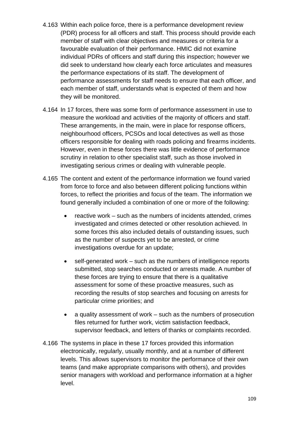- 4.163 Within each police force, there is a performance development review (PDR) process for all officers and staff. This process should provide each member of staff with clear objectives and measures or criteria for a favourable evaluation of their performance. HMIC did not examine individual PDRs of officers and staff during this inspection; however we did seek to understand how clearly each force articulates and measures the performance expectations of its staff. The development of performance assessments for staff needs to ensure that each officer, and each member of staff, understands what is expected of them and how they will be monitored.
- 4.164 In 17 forces, there was some form of performance assessment in use to measure the workload and activities of the majority of officers and staff. These arrangements, in the main, were in place for response officers, neighbourhood officers, PCSOs and local detectives as well as those officers responsible for dealing with roads policing and firearms incidents. However, even in these forces there was little evidence of performance scrutiny in relation to other specialist staff, such as those involved in investigating serious crimes or dealing with vulnerable people.
- 4.165 The content and extent of the performance information we found varied from force to force and also between different policing functions within forces, to reflect the priorities and focus of the team. The information we found generally included a combination of one or more of the following:
	- reactive work such as the numbers of incidents attended, crimes investigated and crimes detected or other resolution achieved. In some forces this also included details of outstanding issues, such as the number of suspects yet to be arrested, or crime investigations overdue for an update;
	- self-generated work such as the numbers of intelligence reports submitted, stop searches conducted or arrests made. A number of these forces are trying to ensure that there is a qualitative assessment for some of these proactive measures, such as recording the results of stop searches and focusing on arrests for particular crime priorities; and
	- a quality assessment of work such as the numbers of prosecution files returned for further work, victim satisfaction feedback, supervisor feedback, and letters of thanks or complaints recorded.
- 4.166 The systems in place in these 17 forces provided this information electronically, regularly, usually monthly, and at a number of different levels. This allows supervisors to monitor the performance of their own teams (and make appropriate comparisons with others), and provides senior managers with workload and performance information at a higher level.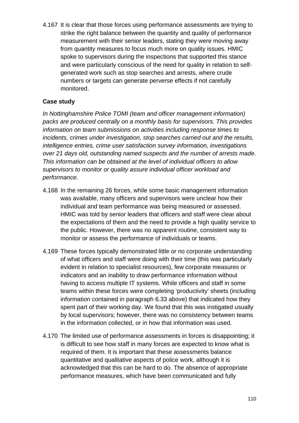4.167 It is clear that those forces using performance assessments are trying to strike the right balance between the quantity and quality of performance measurement with their senior leaders, stating they were moving away from quantity measures to focus much more on quality issues. HMIC spoke to supervisors during the inspections that supported this stance and were particularly conscious of the need for quality in relation to selfgenerated work such as stop searches and arrests, where crude numbers or targets can generate perverse effects if not carefully monitored.

### **Case study**

*In Nottinghamshire Police TOMI (team and officer management information) packs are produced centrally on a monthly basis for supervisors. This provides information on team submissions on activities including response times to incidents, crimes under investigation, stop searches carried out and the results, intelligence entries, crime user satisfaction survey information, investigations over 21 days old, outstanding named suspects and the number of arrests made. This information can be obtained at the level of individual officers to allow supervisors to monitor or quality assure individual officer workload and performance.* 

- 4.168 In the remaining 26 forces, while some basic management information was available, many officers and supervisors were unclear how their individual and team performance was being measured or assessed. HMIC was told by senior leaders that officers and staff were clear about the expectations of them and the need to provide a high quality service to the public. However, there was no apparent routine, consistent way to monitor or assess the performance of individuals or teams.
- 4.169 These forces typically demonstrated little or no corporate understanding of what officers and staff were doing with their time (this was particularly evident in relation to specialist resources), few corporate measures or indicators and an inability to draw performance information without having to access multiple IT systems. While officers and staff in some teams within these forces were completing 'productivity' sheets (including information contained in paragraph 6.33 above) that indicated how they spent part of their working day. We found that this was instigated usually by local supervisors; however, there was no consistency between teams in the information collected, or in how that information was used.
- 4.170 The limited use of performance assessments in forces is disappointing; it is difficult to see how staff in many forces are expected to know what is required of them. It is important that these assessments balance quantitative and qualitative aspects of police work, although it is acknowledged that this can be hard to do. The absence of appropriate performance measures, which have been communicated and fully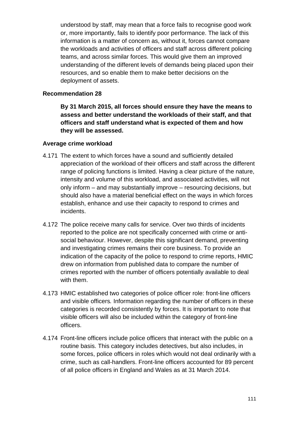understood by staff, may mean that a force fails to recognise good work or, more importantly, fails to identify poor performance. The lack of this information is a matter of concern as, without it, forces cannot compare the workloads and activities of officers and staff across different policing teams, and across similar forces. This would give them an improved understanding of the different levels of demands being placed upon their resources, and so enable them to make better decisions on the deployment of assets.

### **Recommendation 28**

**By 31 March 2015, all forces should ensure they have the means to assess and better understand the workloads of their staff, and that officers and staff understand what is expected of them and how they will be assessed.**

#### **Average crime workload**

- 4.171 The extent to which forces have a sound and sufficiently detailed appreciation of the workload of their officers and staff across the different range of policing functions is limited. Having a clear picture of the nature, intensity and volume of this workload, and associated activities, will not only inform – and may substantially improve – resourcing decisions, but should also have a material beneficial effect on the ways in which forces establish, enhance and use their capacity to respond to crimes and incidents.
- 4.172 The police receive many calls for service. Over two thirds of incidents reported to the police are not specifically concerned with crime or antisocial behaviour. However, despite this significant demand, preventing and investigating crimes remains their core business. To provide an indication of the capacity of the police to respond to crime reports, HMIC drew on information from published data to compare the number of crimes reported with the number of officers potentially available to deal with them.
- 4.173 HMIC established two categories of police officer role: front-line officers and visible officers*.* Information regarding the number of officers in these categories is recorded consistently by forces. It is important to note that visible officers will also be included within the category of front-line officers.
- 4.174 Front-line officers include police officers that interact with the public on a routine basis. This category includes detectives, but also includes, in some forces, police officers in roles which would not deal ordinarily with a crime, such as call-handlers. Front-line officers accounted for 89 percent of all police officers in England and Wales as at 31 March 2014.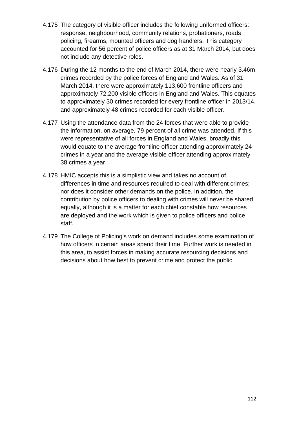- 4.175 The category of visible officer includes the following uniformed officers: response, neighbourhood, community relations, probationers, roads policing, firearms, mounted officers and dog handlers. This category accounted for 56 percent of police officers as at 31 March 2014, but does not include any detective roles.
- 4.176 During the 12 months to the end of March 2014, there were nearly 3.46m crimes recorded by the police forces of England and Wales. As of 31 March 2014, there were approximately 113,600 frontline officers and approximately 72,200 visible officers in England and Wales. This equates to approximately 30 crimes recorded for every frontline officer in 2013/14, and approximately 48 crimes recorded for each visible officer.
- 4.177 Using the attendance data from the 24 forces that were able to provide the information, on average, 79 percent of all crime was attended. If this were representative of all forces in England and Wales, broadly this would equate to the average frontline officer attending approximately 24 crimes in a year and the average visible officer attending approximately 38 crimes a year.
- 4.178 HMIC accepts this is a simplistic view and takes no account of differences in time and resources required to deal with different crimes; nor does it consider other demands on the police. In addition, the contribution by police officers to dealing with crimes will never be shared equally, although it is a matter for each chief constable how resources are deployed and the work which is given to police officers and police staff.
- 4.179 The College of Policing's work on demand includes some examination of how officers in certain areas spend their time. Further work is needed in this area, to assist forces in making accurate resourcing decisions and decisions about how best to prevent crime and protect the public.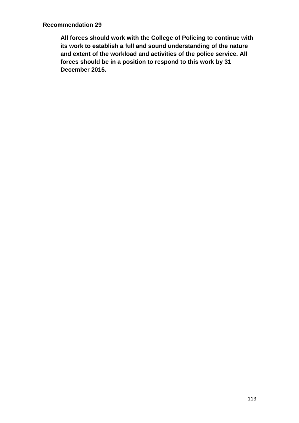**All forces should work with the College of Policing to continue with its work to establish a full and sound understanding of the nature and extent of the workload and activities of the police service. All forces should be in a position to respond to this work by 31 December 2015.**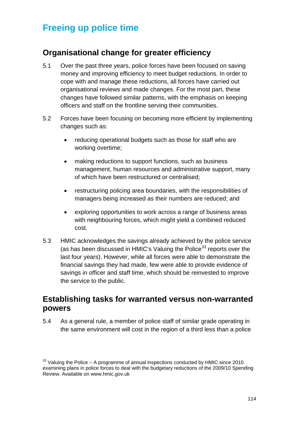# **Freeing up police time**

## **Organisational change for greater efficiency**

- 5.1 Over the past three years, police forces have been focused on saving money and improving efficiency to meet budget reductions. In order to cope with and manage these reductions, all forces have carried out organisational reviews and made changes. For the most part, these changes have followed similar patterns, with the emphasis on keeping officers and staff on the frontline serving their communities.
- 5.2 Forces have been focusing on becoming more efficient by implementing changes such as:
	- reducing operational budgets such as those for staff who are working overtime;
	- making reductions to support functions, such as business management, human resources and administrative support, many of which have been restructured or centralised;
	- restructuring policing area boundaries, with the responsibilities of managers being increased as their numbers are reduced; and
	- exploring opportunities to work across a range of business areas with neighbouring forces, which might yield a combined reduced cost.
- 5.3 HMIC acknowledges the savings already achieved by the police service (as has been discussed in HMIC's Valuing the Police<sup>[33](#page-113-0)</sup> reports over the last four years). However, while all forces were able to demonstrate the financial savings they had made, few were able to provide evidence of savings in officer and staff time, which should be reinvested to improve the service to the public.

## **Establishing tasks for warranted versus non-warranted powers**

5.4 As a general rule, a member of police staff of similar grade operating in the same environment will cost in the region of a third less than a police

<span id="page-113-0"></span> $33$  Valuing the Police – A programme of annual inspections conducted by HMIC since 2010 examining plans in police forces to deal with the budgetary reductions of the 2009/10 Spending Review. Available on www.hmic.gov.uk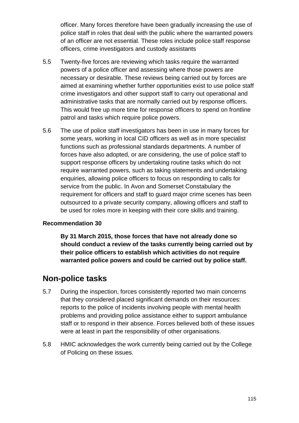officer. Many forces therefore have been gradually increasing the use of police staff in roles that deal with the public where the warranted powers of an officer are not essential. These roles include police staff response officers, crime investigators and custody assistants

- 5.5 Twenty-five forces are reviewing which tasks require the warranted powers of a police officer and assessing where those powers are necessary or desirable. These reviews being carried out by forces are aimed at examining whether further opportunities exist to use police staff crime investigators and other support staff to carry out operational and administrative tasks that are normally carried out by response officers. This would free up more time for response officers to spend on frontline patrol and tasks which require police powers.
- 5.6 The use of police staff investigators has been in use in many forces for some years, working in local CID officers as well as in more specialist functions such as professional standards departments. A number of forces have also adopted, or are considering, the use of police staff to support response officers by undertaking routine tasks which do not require warranted powers, such as taking statements and undertaking enquiries, allowing police officers to focus on responding to calls for service from the public. In Avon and Somerset Constabulary the requirement for officers and staff to guard major crime scenes has been outsourced to a private security company, allowing officers and staff to be used for roles more in keeping with their core skills and training.

## **Recommendation 30**

**By 31 March 2015, those forces that have not already done so should conduct a review of the tasks currently being carried out by their police officers to establish which activities do not require warranted police powers and could be carried out by police staff.**

## **Non-police tasks**

- 5.7 During the inspection, forces consistently reported two main concerns that they considered placed significant demands on their resources: reports to the police of incidents involving people with mental health problems and providing police assistance either to support ambulance staff or to respond in their absence. Forces believed both of these issues were at least in part the responsibility of other organisations.
- 5.8 HMIC acknowledges the work currently being carried out by the College of Policing on these issues.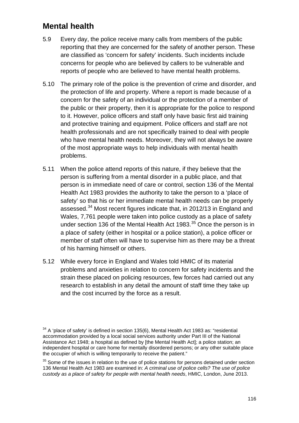## **Mental health**

- 5.9 Every day, the police receive many calls from members of the public reporting that they are concerned for the safety of another person. These are classified as 'concern for safety' incidents. Such incidents include concerns for people who are believed by callers to be vulnerable and reports of people who are believed to have mental health problems.
- 5.10 The primary role of the police is the prevention of crime and disorder, and the protection of life and property. Where a report is made because of a concern for the safety of an individual or the protection of a member of the public or their property, then it is appropriate for the police to respond to it. However, police officers and staff only have basic first aid training and protective training and equipment. Police officers and staff are not health professionals and are not specifically trained to deal with people who have mental health needs. Moreover, they will not always be aware of the most appropriate ways to help individuals with mental health problems.
- 5.11 When the police attend reports of this nature, if they believe that the person is suffering from a mental disorder in a public place, and that person is in immediate need of care or control, section 136 of the Mental Health Act 1983 provides the authority to take the person to a 'place of safety' so that his or her immediate mental health needs can be properly assessed.<sup>[34](#page-115-0)</sup> Most recent figures indicate that, in 2012/13 in England and Wales, 7,761 people were taken into police custody as a place of safety under section 136 of the Mental Health Act 1983.<sup>[35](#page-115-1)</sup> Once the person is in a place of safety (either in hospital or a police station), a police officer or member of staff often will have to supervise him as there may be a threat of his harming himself or others.
- 5.12 While every force in England and Wales told HMIC of its material problems and anxieties in relation to concern for safety incidents and the strain these placed on policing resources, few forces had carried out any research to establish in any detail the amount of staff time they take up and the cost incurred by the force as a result.

<span id="page-115-0"></span> $34$  A 'place of safety' is defined in section 135(6), Mental Health Act 1983 as: "residential accommodation provided by a local social services authority under Part III of the National Assistance Act 1948; a hospital as defined by [the Mental Health Act]; a police station; an independent hospital or care home for mentally disordered persons; or any other suitable place the occupier of which is willing temporarily to receive the patient."

<span id="page-115-1"></span> $35$  Some of the issues in relation to the use of police stations for persons detained under section 136 Mental Health Act 1983 are examined in: *A criminal use of police cells? The use of police custody as a place of safety for people with mental health needs*, HMIC, London, June 2013.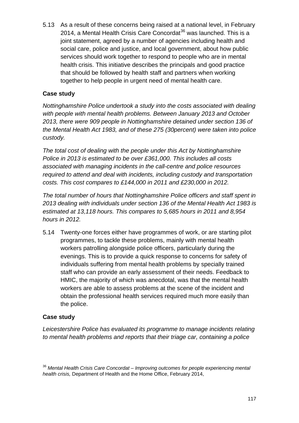5.13 As a result of these concerns being raised at a national level, in February 2014, a Mental Health Crisis Care Concordat<sup>[36](#page-116-0)</sup> was launched. This is a joint statement, agreed by a number of agencies including health and social care, police and justice, and local government, about how public services should work together to respond to people who are in mental health crisis. This initiative describes the principals and good practice that should be followed by health staff and partners when working together to help people in urgent need of mental health care.

## **Case study**

*Nottinghamshire Police undertook a study into the costs associated with dealing with people with mental health problems. Between January 2013 and October 2013, there were 909 people in Nottinghamshire detained under section 136 of the Mental Health Act 1983, and of these 275 (30percent) were taken into police custody.*

*The total cost of dealing with the people under this Act by Nottinghamshire Police in 2013 is estimated to be over £361,000. This includes all costs associated with managing incidents in the call-centre and police resources required to attend and deal with incidents, including custody and transportation costs. This cost compares to £144,000 in 2011 and £230,000 in 2012.* 

*The total number of hours that Nottinghamshire Police officers and staff spent in 2013 dealing with individuals under section 136 of the Mental Health Act 1983 is estimated at 13,118 hours. This compares to 5,685 hours in 2011 and 8,954 hours in 2012.* 

5.14 Twenty-one forces either have programmes of work, or are starting pilot programmes, to tackle these problems, mainly with mental health workers patrolling alongside police officers, particularly during the evenings. This is to provide a quick response to concerns for safety of individuals suffering from mental health problems by specially trained staff who can provide an early assessment of their needs. Feedback to HMIC, the majority of which was anecdotal, was that the mental health workers are able to assess problems at the scene of the incident and obtain the professional health services required much more easily than the police.

## **Case study**

*Leicestershire Police has evaluated its programme to manage incidents relating to mental health problems and reports that their triage car, containing a police* 

<span id="page-116-0"></span><sup>36</sup> *Mental Health Crisis Care Concordat – Improving outcomes for people experiencing mental health crisis,* Department of Health and the Home Office, February 2014,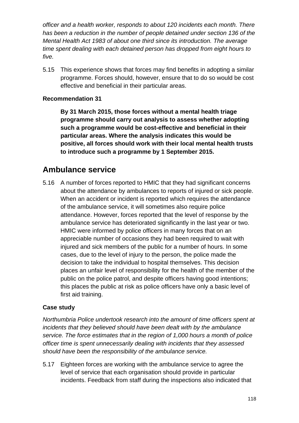*officer and a health worker, responds to about 120 incidents each month. There has been a reduction in the number of people detained under section 136 of the Mental Health Act 1983 of about one third since its introduction. The average time spent dealing with each detained person has dropped from eight hours to five.*

5.15 This experience shows that forces may find benefits in adopting a similar programme. Forces should, however, ensure that to do so would be cost effective and beneficial in their particular areas.

## **Recommendation 31**

**By 31 March 2015, those forces without a mental health triage programme should carry out analysis to assess whether adopting such a programme would be cost-effective and beneficial in their particular areas. Where the analysis indicates this would be positive, all forces should work with their local mental health trusts to introduce such a programme by 1 September 2015.**

## **Ambulance service**

5.16 A number of forces reported to HMIC that they had significant concerns about the attendance by ambulances to reports of injured or sick people. When an accident or incident is reported which requires the attendance of the ambulance service, it will sometimes also require police attendance. However, forces reported that the level of response by the ambulance service has deteriorated significantly in the last year or two. HMIC were informed by police officers in many forces that on an appreciable number of occasions they had been required to wait with injured and sick members of the public for a number of hours. In some cases, due to the level of injury to the person, the police made the decision to take the individual to hospital themselves. This decision places an unfair level of responsibility for the health of the member of the public on the police patrol, and despite officers having good intentions; this places the public at risk as police officers have only a basic level of first aid training.

## **Case study**

*Northumbria Police undertook research into the amount of time officers spent at incidents that they believed should have been dealt with by the ambulance service. The force estimates that in the region of 1,000 hours a month of police officer time is spent unnecessarily dealing with incidents that they assessed should have been the responsibility of the ambulance service.* 

5.17 Eighteen forces are working with the ambulance service to agree the level of service that each organisation should provide in particular incidents. Feedback from staff during the inspections also indicated that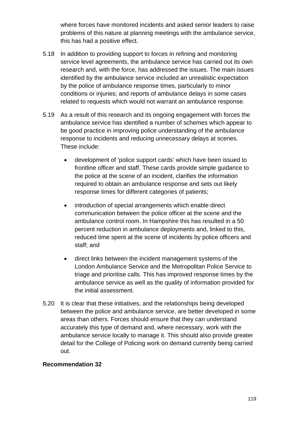where forces have monitored incidents and asked senior leaders to raise problems of this nature at planning meetings with the ambulance service, this has had a positive effect.

- 5.18 In addition to providing support to forces in refining and monitoring service level agreements, the ambulance service has carried out its own research and, with the force, has addressed the issues. The main issues identified by the ambulance service included an unrealistic expectation by the police of ambulance response times, particularly to minor conditions or injuries; and reports of ambulance delays in some cases related to requests which would not warrant an ambulance response.
- 5.19 As a result of this research and its ongoing engagement with forces the ambulance service has identified a number of schemes which appear to be good practice in improving police understanding of the ambulance response to incidents and reducing unnecessary delays at scenes. These include:
	- development of 'police support cards' which have been issued to frontline officer and staff. These cards provide simple guidance to the police at the scene of an incident, clarifies the information required to obtain an ambulance response and sets out likely response times for different categories of patients;
	- introduction of special arrangements which enable direct communication between the police officer at the scene and the ambulance control room. In Hampshire this has resulted in a 50 percent reduction in ambulance deployments and, linked to this, reduced time spent at the scene of incidents by police officers and staff; and
	- direct links between the incident management systems of the London Ambulance Service and the Metropolitan Police Service to triage and prioritise calls. This has improved response times by the ambulance service as well as the quality of information provided for the initial assessment.
- 5.20 It is clear that these initiatives, and the relationships being developed between the police and ambulance service, are better developed in some areas than others. Forces should ensure that they can understand accurately this type of demand and, where necessary, work with the ambulance service locally to manage it. This should also provide greater detail for the College of Policing work on demand currently being carried out.

## **Recommendation 32**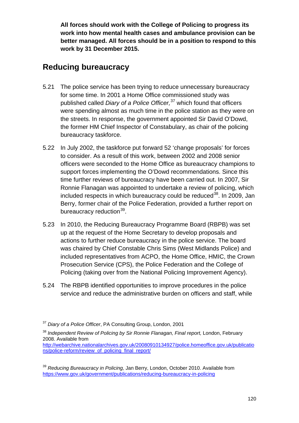**All forces should work with the College of Policing to progress its work into how mental health cases and ambulance provision can be better managed. All forces should be in a position to respond to this work by 31 December 2015.**

## **Reducing bureaucracy**

- 5.21 The police service has been trying to reduce unnecessary bureaucracy for some time. In 2001 a Home Office commissioned study was published called *Diary of a Police Officer,* [37](#page-119-0) which found that officers were spending almost as much time in the police station as they were on the streets. In response, the government appointed Sir David O'Dowd, the former HM Chief Inspector of Constabulary, as chair of the policing bureaucracy taskforce.
- 5.22 In July 2002, the taskforce put forward 52 'change proposals' for forces to consider. As a result of this work, between 2002 and 2008 senior officers were seconded to the Home Office as bureaucracy champions to support forces implementing the O'Dowd recommendations. Since this time further reviews of bureaucracy have been carried out. In 2007, Sir Ronnie Flanagan was appointed to undertake a review of policing, which included respects in which bureaucracy could be reduced  $38$ . In 2009, Jan Berry, former chair of the Police Federation, provided a further report on bureaucracy reduction<sup>39</sup>.
- 5.23 In 2010, the Reducing Bureaucracy Programme Board (RBPB) was set up at the request of the Home Secretary to develop proposals and actions to further reduce bureaucracy in the police service. The board was chaired by Chief Constable Chris Sims (West Midlands Police) and included representatives from ACPO, the Home Office, HMIC, the Crown Prosecution Service (CPS), the Police Federation and the College of Policing (taking over from the National Policing Improvement Agency).
- 5.24 The RBPB identified opportunities to improve procedures in the police service and reduce the administrative burden on officers and staff, while

<span id="page-119-0"></span><sup>37</sup> *Diary of a Police Officer*, PA Consulting Group, London, 2001

<span id="page-119-1"></span><sup>&</sup>lt;sup>38</sup> Independent Review of Policing by Sir Ronnie Flanagan, Final report, London, February 2008. Available from

[http://webarchive.nationalarchives.gov.uk/20080910134927/police.homeoffice.gov.uk/publicatio](http://webarchive.nationalarchives.gov.uk/20080910134927/police.homeoffice.gov.uk/publications/police-reform/review_of_policing_final_report/) [ns/police-reform/review\\_of\\_policing\\_final\\_report/](http://webarchive.nationalarchives.gov.uk/20080910134927/police.homeoffice.gov.uk/publications/police-reform/review_of_policing_final_report/)

<span id="page-119-2"></span><sup>39</sup> *Reducing Bureaucracy in Policing,* Jan Berry, London, October 2010. Available from <https://www.gov.uk/government/publications/reducing-bureaucracy-in-policing>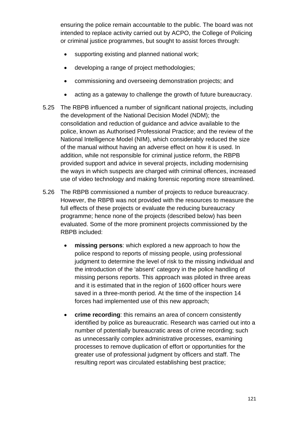ensuring the police remain accountable to the public. The board was not intended to replace activity carried out by ACPO, the College of Policing or criminal justice programmes, but sought to assist forces through:

- supporting existing and planned national work;
- developing a range of project methodologies;
- commissioning and overseeing demonstration projects; and
- acting as a gateway to challenge the growth of future bureaucracy.
- 5.25 The RBPB influenced a number of significant national projects, including the development of the National Decision Model (NDM); the consolidation and reduction of guidance and advice available to the police, known as Authorised Professional Practice; and the review of the National Intelligence Model (NIM), which considerably reduced the size of the manual without having an adverse effect on how it is used. In addition, while not responsible for criminal justice reform, the RBPB provided support and advice in several projects, including modernising the ways in which suspects are charged with criminal offences, increased use of video technology and making forensic reporting more streamlined.
- 5.26 The RBPB commissioned a number of projects to reduce bureaucracy. However, the RBPB was not provided with the resources to measure the full effects of these projects or evaluate the reducing bureaucracy programme; hence none of the projects (described below) has been evaluated. Some of the more prominent projects commissioned by the RBPB included:
	- **missing persons**: which explored a new approach to how the police respond to reports of missing people, using professional judgment to determine the level of risk to the missing individual and the introduction of the 'absent' category in the police handling of missing persons reports. This approach was piloted in three areas and it is estimated that in the region of 1600 officer hours were saved in a three-month period. At the time of the inspection 14 forces had implemented use of this new approach;
	- **crime recording**: this remains an area of concern consistently identified by police as bureaucratic. Research was carried out into a number of potentially bureaucratic areas of crime recording; such as unnecessarily complex administrative processes, examining processes to remove duplication of effort or opportunities for the greater use of professional judgment by officers and staff. The resulting report was circulated establishing best practice;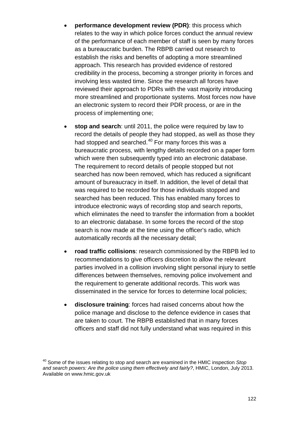- **performance development review (PDR):** this process which relates to the way in which police forces conduct the annual review of the performance of each member of staff is seen by many forces as a bureaucratic burden. The RBPB carried out research to establish the risks and benefits of adopting a more streamlined approach. This research has provided evidence of restored credibility in the process, becoming a stronger priority in forces and involving less wasted time. Since the research all forces have reviewed their approach to PDRs with the vast majority introducing more streamlined and proportionate systems. Most forces now have an electronic system to record their PDR process, or are in the process of implementing one;
- **stop and search**: until 2011, the police were required by law to record the details of people they had stopped, as well as those they had stopped and searched.<sup>[40](#page-121-0)</sup> For many forces this was a bureaucratic process, with lengthy details recorded on a paper form which were then subsequently typed into an electronic database. The requirement to record details of people stopped but not searched has now been removed, which has reduced a significant amount of bureaucracy in itself. In addition, the level of detail that was required to be recorded for those individuals stopped and searched has been reduced. This has enabled many forces to introduce electronic ways of recording stop and search reports, which eliminates the need to transfer the information from a booklet to an electronic database. In some forces the record of the stop search is now made at the time using the officer's radio, which automatically records all the necessary detail;
- **road traffic collisions**: research commissioned by the RBPB led to recommendations to give officers discretion to allow the relevant parties involved in a collision involving slight personal injury to settle differences between themselves, removing police involvement and the requirement to generate additional records. This work was disseminated in the service for forces to determine local policies;
- **disclosure training**: forces had raised concerns about how the police manage and disclose to the defence evidence in cases that are taken to court. The RBPB established that in many forces officers and staff did not fully understand what was required in this

<span id="page-121-0"></span><sup>40</sup> Some of the issues relating to stop and search are examined in the HMIC inspection *Stop and search powers: Are the police using them effectively and fairly?*, HMIC, London, July 2013. Available on www.hmic.gov.uk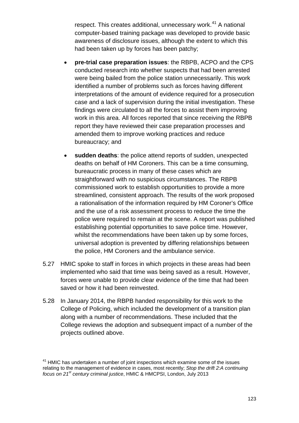respect. This creates additional, unnecessary work. [41](#page-122-0) A national computer-based training package was developed to provide basic awareness of disclosure issues, although the extent to which this had been taken up by forces has been patchy;

- **pre-trial case preparation issues**: the RBPB, ACPO and the CPS conducted research into whether suspects that had been arrested were being bailed from the police station unnecessarily. This work identified a number of problems such as forces having different interpretations of the amount of evidence required for a prosecution case and a lack of supervision during the initial investigation. These findings were circulated to all the forces to assist them improving work in this area. All forces reported that since receiving the RBPB report they have reviewed their case preparation processes and amended them to improve working practices and reduce bureaucracy; and
- **sudden deaths**: the police attend reports of sudden, unexpected deaths on behalf of HM Coroners. This can be a time consuming, bureaucratic process in many of these cases which are straightforward with no suspicious circumstances. The RBPB commissioned work to establish opportunities to provide a more streamlined, consistent approach. The results of the work proposed a rationalisation of the information required by HM Coroner's Office and the use of a risk assessment process to reduce the time the police were required to remain at the scene. A report was published establishing potential opportunities to save police time. However, whilst the recommendations have been taken up by some forces, universal adoption is prevented by differing relationships between the police, HM Coroners and the ambulance service.
- 5.27 HMIC spoke to staff in forces in which projects in these areas had been implemented who said that time was being saved as a result. However, forces were unable to provide clear evidence of the time that had been saved or how it had been reinvested.
- 5.28 In January 2014, the RBPB handed responsibility for this work to the College of Policing, which included the development of a transition plan along with a number of recommendations. These included that the College reviews the adoption and subsequent impact of a number of the projects outlined above.

<span id="page-122-0"></span> $41$  HMIC has undertaken a number of joint inspections which examine some of the issues relating to the management of evidence in cases, most recently; *Stop the drift 2:A continuing focus on 21st century criminal justice*, HMIC & HMCPSI, London, July 2013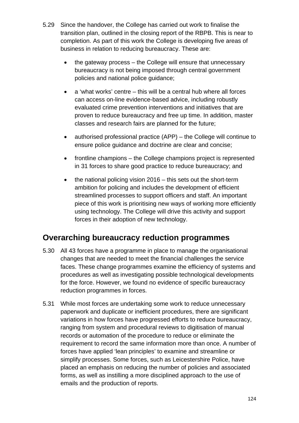- 5.29 Since the handover, the College has carried out work to finalise the transition plan, outlined in the closing report of the RBPB. This is near to completion. As part of this work the College is developing five areas of business in relation to reducing bureaucracy. These are:
	- the gateway process the College will ensure that unnecessary bureaucracy is not being imposed through central government policies and national police guidance;
	- a 'what works' centre this will be a central hub where all forces can access on-line evidence-based advice, including robustly evaluated crime prevention interventions and initiatives that are proven to reduce bureaucracy and free up time. In addition, master classes and research fairs are planned for the future;
	- authorised professional practice (APP) the College will continue to ensure police guidance and doctrine are clear and concise;
	- frontline champions the College champions project is represented in 31 forces to share good practice to reduce bureaucracy; and
	- the national policing vision 2016 this sets out the short-term ambition for policing and includes the development of efficient streamlined processes to support officers and staff. An important piece of this work is prioritising new ways of working more efficiently using technology. The College will drive this activity and support forces in their adoption of new technology.

## **Overarching bureaucracy reduction programmes**

- 5.30 All 43 forces have a programme in place to manage the organisational changes that are needed to meet the financial challenges the service faces. These change programmes examine the efficiency of systems and procedures as well as investigating possible technological developments for the force. However, we found no evidence of specific bureaucracy reduction programmes in forces.
- 5.31 While most forces are undertaking some work to reduce unnecessary paperwork and duplicate or inefficient procedures, there are significant variations in how forces have progressed efforts to reduce bureaucracy, ranging from system and procedural reviews to digitisation of manual records or automation of the procedure to reduce or eliminate the requirement to record the same information more than once. A number of forces have applied 'lean principles' to examine and streamline or simplify processes. Some forces, such as Leicestershire Police, have placed an emphasis on reducing the number of policies and associated forms, as well as instilling a more disciplined approach to the use of emails and the production of reports.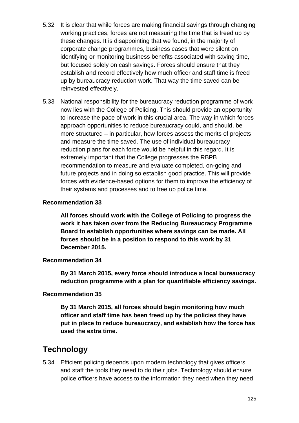- 5.32 It is clear that while forces are making financial savings through changing working practices, forces are not measuring the time that is freed up by these changes. It is disappointing that we found, in the majority of corporate change programmes, business cases that were silent on identifying or monitoring business benefits associated with saving time, but focused solely on cash savings. Forces should ensure that they establish and record effectively how much officer and staff time is freed up by bureaucracy reduction work. That way the time saved can be reinvested effectively.
- 5.33 National responsibility for the bureaucracy reduction programme of work now lies with the College of Policing. This should provide an opportunity to increase the pace of work in this crucial area. The way in which forces approach opportunities to reduce bureaucracy could, and should, be more structured – in particular, how forces assess the merits of projects and measure the time saved. The use of individual bureaucracy reduction plans for each force would be helpful in this regard. It is extremely important that the College progresses the RBPB recommendation to measure and evaluate completed, on-going and future projects and in doing so establish good practice. This will provide forces with evidence-based options for them to improve the efficiency of their systems and processes and to free up police time.

**All forces should work with the College of Policing to progress the work it has taken over from the Reducing Bureaucracy Programme Board to establish opportunities where savings can be made. All forces should be in a position to respond to this work by 31 December 2015.**

## **Recommendation 34**

**By 31 March 2015, every force should introduce a local bureaucracy reduction programme with a plan for quantifiable efficiency savings.**

## **Recommendation 35**

**By 31 March 2015, all forces should begin monitoring how much officer and staff time has been freed up by the policies they have put in place to reduce bureaucracy, and establish how the force has used the extra time.**

## **Technology**

5.34 Efficient policing depends upon modern technology that gives officers and staff the tools they need to do their jobs. Technology should ensure police officers have access to the information they need when they need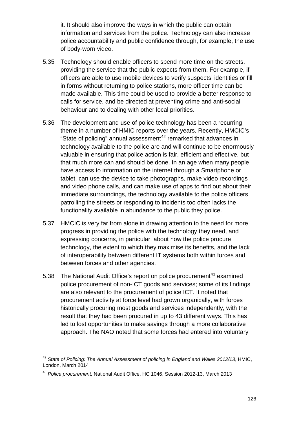it. It should also improve the ways in which the public can obtain information and services from the police. Technology can also increase police accountability and public confidence through, for example, the use of body-worn video.

- 5.35 Technology should enable officers to spend more time on the streets, providing the service that the public expects from them. For example, if officers are able to use mobile devices to verify suspects' identities or fill in forms without returning to police stations, more officer time can be made available. This time could be used to provide a better response to calls for service, and be directed at preventing crime and anti-social behaviour and to dealing with other local priorities.
- 5.36 The development and use of police technology has been a recurring theme in a number of HMIC reports over the years. Recently, HMCIC's "State of policing" annual assessment<sup>[42](#page-125-0)</sup> remarked that advances in technology available to the police are and will continue to be enormously valuable in ensuring that police action is fair, efficient and effective, but that much more can and should be done. In an age when many people have access to information on the internet through a Smartphone or tablet, can use the device to take photographs, make video recordings and video phone calls, and can make use of apps to find out about their immediate surroundings, the technology available to the police officers patrolling the streets or responding to incidents too often lacks the functionality available in abundance to the public they police.
- 5.37 HMCIC is very far from alone in drawing attention to the need for more progress in providing the police with the technology they need, and expressing concerns, in particular, about how the police procure technology, the extent to which they maximise its benefits, and the lack of interoperability between different IT systems both within forces and between forces and other agencies.
- 5.38 The National Audit Office's report on police procurement<sup>[43](#page-125-1)</sup> examined police procurement of non-ICT goods and services; some of its findings are also relevant to the procurement of police ICT. It noted that procurement activity at force level had grown organically, with forces historically procuring most goods and services independently, with the result that they had been procured in up to 43 different ways. This has led to lost opportunities to make savings through a more collaborative approach. The NAO noted that some forces had entered into voluntary

<span id="page-125-0"></span><sup>42</sup> *State of Policing: The Annual Assessment of policing in England and Wales 2012/13*, HMIC, London, March 2014

<span id="page-125-1"></span><sup>43</sup> *Police procurement,* National Audit Office, HC 1046, Session 2012-13, March 2013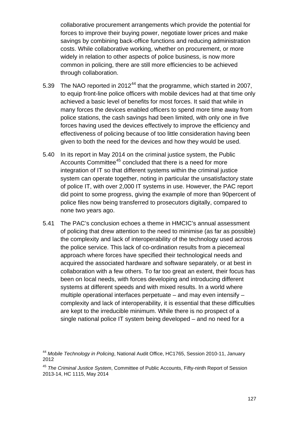collaborative procurement arrangements which provide the potential for forces to improve their buying power, negotiate lower prices and make savings by combining back-office functions and reducing administration costs. While collaborative working, whether on procurement, or more widely in relation to other aspects of police business, is now more common in policing, there are still more efficiencies to be achieved through collaboration.

- 5.39 The NAO reported in 2012<sup>[44](#page-126-0)</sup> that the programme, which started in 2007. to equip front-line police officers with mobile devices had at that time only achieved a basic level of benefits for most forces. It said that while in many forces the devices enabled officers to spend more time away from police stations, the cash savings had been limited, with only one in five forces having used the devices effectively to improve the efficiency and effectiveness of policing because of too little consideration having been given to both the need for the devices and how they would be used.
- 5.40 In its report in May 2014 on the criminal justice system, the Public Accounts Committee<sup>[45](#page-126-1)</sup> concluded that there is a need for more integration of IT so that different systems within the criminal justice system can operate together, noting in particular the unsatisfactory state of police IT, with over 2,000 IT systems in use. However, the PAC report did point to some progress, giving the example of more than 90percent of police files now being transferred to prosecutors digitally, compared to none two years ago.
- 5.41 The PAC's conclusion echoes a theme in HMCIC's annual assessment of policing that drew attention to the need to minimise (as far as possible) the complexity and lack of interoperability of the technology used across the police service. This lack of co-ordination results from a piecemeal approach where forces have specified their technological needs and acquired the associated hardware and software separately, or at best in collaboration with a few others. To far too great an extent, their focus has been on local needs, with forces developing and introducing different systems at different speeds and with mixed results. In a world where multiple operational interfaces perpetuate – and may even intensify – complexity and lack of interoperability, it is essential that these difficulties are kept to the irreducible minimum. While there is no prospect of a single national police IT system being developed – and no need for a

<span id="page-126-0"></span><sup>44</sup> *Mobile Technology in Policing*, National Audit Office, HC1765, Session 2010-11, January 2012

<span id="page-126-1"></span><sup>45</sup> *The Criminal Justice System*, Committee of Public Accounts, Fifty-ninth Report of Session 2013-14, HC 1115, May 2014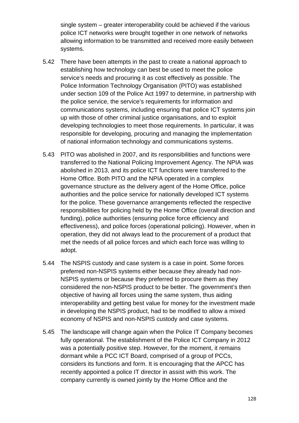single system – greater interoperability could be achieved if the various police ICT networks were brought together in one network of networks allowing information to be transmitted and received more easily between systems.

- 5.42 There have been attempts in the past to create a national approach to establishing how technology can best be used to meet the police service's needs and procuring it as cost effectively as possible. The Police Information Technology Organisation (PITO) was established under section 109 of the Police Act 1997 to determine, in partnership with the police service, the service's requirements for information and communications systems, including ensuring that police ICT systems join up with those of other criminal justice organisations, and to exploit developing technologies to meet those requirements. In particular, it was responsible for developing, procuring and managing the implementation of national information technology and communications systems.
- 5.43 PITO was abolished in 2007, and its responsibilities and functions were transferred to the National Policing Improvement Agency. The NPIA was abolished in 2013, and its police ICT functions were transferred to the Home Office. Both PITO and the NPIA operated in a complex governance structure as the delivery agent of the Home Office, police authorities and the police service for nationally developed ICT systems for the police. These governance arrangements reflected the respective responsibilities for policing held by the Home Office (overall direction and funding), police authorities (ensuring police force efficiency and effectiveness), and police forces (operational policing). However, when in operation, they did not always lead to the procurement of a product that met the needs of all police forces and which each force was willing to adopt.
- 5.44 The NSPIS custody and case system is a case in point. Some forces preferred non-NSPIS systems either because they already had non-NSPIS systems or because they preferred to procure them as they considered the non-NSPIS product to be better. The government's then objective of having all forces using the same system, thus aiding interoperability and getting best value for money for the investment made in developing the NSPIS product, had to be modified to allow a mixed economy of NSPIS and non-NSPIS custody and case systems.
- 5.45 The landscape will change again when the Police IT Company becomes fully operational. The establishment of the Police ICT Company in 2012 was a potentially positive step. However, for the moment, it remains dormant while a PCC ICT Board, comprised of a group of PCCs, considers its functions and form. It is encouraging that the APCC has recently appointed a police IT director in assist with this work. The company currently is owned jointly by the Home Office and the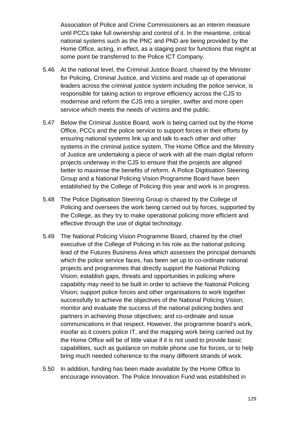Association of Police and Crime Commissioners as an interim measure until PCCs take full ownership and control of it. In the meantime, critical national systems such as the PNC and PND are being provided by the Home Office, acting, in effect, as a staging post for functions that might at some point be transferred to the Police ICT Company.

- 5.46 At the national level, the Criminal Justice Board, chaired by the Minister for Policing, Criminal Justice, and Victims and made up of operational leaders across the criminal justice system including the police service, is responsible for taking action to improve efficiency across the CJS to modernise and reform the CJS into a simpler, swifter and more open service which meets the needs of victims and the public.
- 5.47 Below the Criminal Justice Board, work is being carried out by the Home Office, PCCs and the police service to support forces in their efforts by ensuring national systems link up and talk to each other and other systems in the criminal justice system. The Home Office and the Ministry of Justice are undertaking a piece of work with all the main digital reform projects underway in the CJS to ensure that the projects are aligned better to maximise the benefits of reform. A Police Digitisation Steering Group and a National Policing Vision Programme Board have been established by the College of Policing this year and work is in progress.
- 5.48 The Police Digitisation Steering Group is chaired by the College of Policing and oversees the work being carried out by forces, supported by the College, as they try to make operational policing more efficient and effective through the use of digital technology.
- 5.49 The National Policing Vision Programme Board, chaired by the chief executive of the College of Policing in his role as the national policing lead of the Futures Business Area which assesses the principal demands which the police service faces, has been set up to co-ordinate national projects and programmes that directly support the National Policing Vision; establish gaps, threats and opportunities in policing where capability may need to be built in order to achieve the National Policing Vision; support police forces and other organisations to work together successfully to achieve the objectives of the National Policing Vision; monitor and evaluate the success of the national policing bodies and partners in achieving those objectives; and co-ordinate and issue communications in that respect. However, the programme board's work, insofar as it covers police IT, and the mapping work being carried out by the Home Office will be of little value if it is not used to provide basic capabilities, such as guidance on mobile phone use for forces, or to help bring much needed coherence to the many different strands of work.
- 5.50 In addition, funding has been made available by the Home Office to encourage innovation. The Police Innovation Fund was established in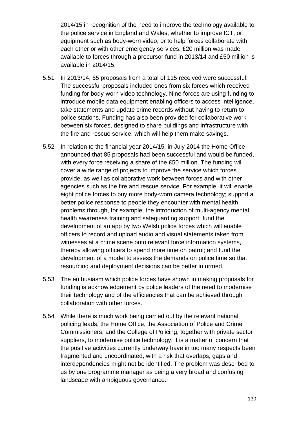2014/15 in recognition of the need to improve the technology available to the police service in England and Wales, whether to improve ICT, or equipment such as body-worn video, or to help forces collaborate with each other or with other emergency services. £20 million was made available to forces through a precursor fund in 2013/14 and £50 million is available in 2014/15.

- 5.51 In 2013/14, 65 proposals from a total of 115 received were successful. The successful proposals included ones from six forces which received funding for body-worn video technology. Nine forces are using funding to introduce mobile data equipment enabling officers to access intelligence, take statements and update crime records without having to return to police stations. Funding has also been provided for collaborative work between six forces, designed to share buildings and infrastructure with the fire and rescue service, which will help them make savings.
- 5.52 In relation to the financial year 2014/15, in July 2014 the Home Office announced that 85 proposals had been successful and would be funded, with every force receiving a share of the £50 million. The funding will cover a wide range of projects to improve the service which forces provide, as well as collaborative work between forces and with other agencies such as the fire and rescue service. For example, it will enable eight police forces to buy more body-worn camera technology; support a better police response to people they encounter with mental health problems through, for example, the introduction of multi-agency mental health awareness training and safeguarding support; fund the development of an app by two Welsh police forces which will enable officers to record and upload audio and visual statements taken from witnesses at a crime scene onto relevant force information systems, thereby allowing officers to spend more time on patrol; and fund the development of a model to assess the demands on police time so that resourcing and deployment decisions can be better informed.
- 5.53 The enthusiasm which police forces have shown in making proposals for funding is acknowledgement by police leaders of the need to modernise their technology and of the efficiencies that can be achieved through collaboration with other forces.
- 5.54 While there is much work being carried out by the relevant national policing leads, the Home Office, the Association of Police and Crime Commissioners, and the College of Policing, together with private sector suppliers, to modernise police technology, it is a matter of concern that the positive activities currently underway have in too many respects been fragmented and uncoordinated, with a risk that overlaps, gaps and interdependencies might not be identified. The problem was described to us by one programme manager as being a very broad and confusing landscape with ambiguous governance.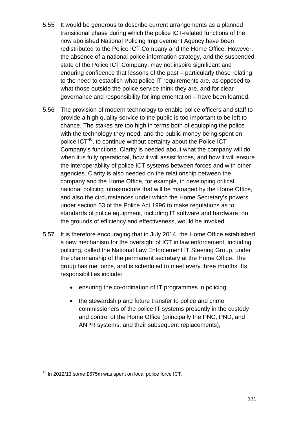- 5.55 It would be generous to describe current arrangements as a planned transitional phase during which the police ICT-related functions of the now abolished National Policing Improvement Agency have been redistributed to the Police ICT Company and the Home Office. However, the absence of a national police information strategy, and the suspended state of the Police ICT Company, may not inspire significant and enduring confidence that lessons of the past – particularly those relating to the need to establish what police IT requirements are, as opposed to what those outside the police service think they are, and for clear governance and responsibility for implementation – have been learned.
- 5.56 The provision of modern technology to enable police officers and staff to provide a high quality service to the public is too important to be left to chance. The stakes are too high in terms both of equipping the police with the technology they need, and the public money being spent on police ICT<sup>46</sup>, to continue without certainty about the Police ICT Company's functions. Clarity is needed about what the company will do when it is fully operational, how it will assist forces, and how it will ensure the interoperability of police ICT systems between forces and with other agencies. Clarity is also needed on the relationship between the company and the Home Office, for example, in developing critical national policing infrastructure that will be managed by the Home Office, and also the circumstances under which the Home Secretary's powers under section 53 of the Police Act 1996 to make regulations as to standards of police equipment, including IT software and hardware, on the grounds of efficiency and effectiveness, would be invoked.
- 5.57 It is therefore encouraging that in July 2014, the Home Office established a new mechanism for the oversight of ICT in law enforcement, including policing, called the National Law Enforcement IT Steering Group, under the chairmanship of the permanent secretary at the Home Office. The group has met once, and is scheduled to meet every three months. Its responsibilities include:
	- ensuring the co-ordination of IT programmes in policing;
	- the stewardship and future transfer to police and crime commissioners of the police IT systems presently in the custody and control of the Home Office (principally the PNC, PND, and ANPR systems, and their subsequent replacements);

<span id="page-130-0"></span><sup>46</sup> In 2012/13 some £675m was spent on local police force ICT.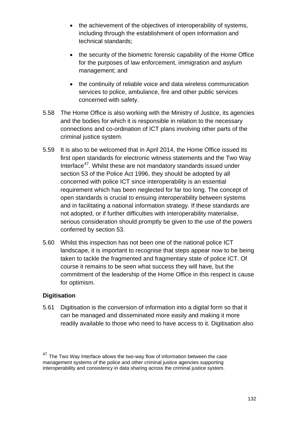- the achievement of the objectives of interoperability of systems, including through the establishment of open information and technical standards;
- the security of the biometric forensic capability of the Home Office for the purposes of law enforcement, immigration and asylum management; and
- the continuity of reliable voice and data wireless communication services to police, ambulance, fire and other public services concerned with safety.
- 5.58 The Home Office is also working with the Ministry of Justice, its agencies and the bodies for which it is responsible in relation to the necessary connections and co-ordination of ICT plans involving other parts of the criminal justice system.
- 5.59 It is also to be welcomed that in April 2014, the Home Office issued its first open standards for electronic witness statements and the Two Way Interface<sup>47</sup>. Whilst these are not mandatory standards issued under section 53 of the Police Act 1996, they should be adopted by all concerned with police ICT since interoperability is an essential requirement which has been neglected for far too long. The concept of open standards is crucial to ensuing interoperability between systems and in facilitating a national information strategy. If these standards are not adopted, or if further difficulties with interoperability materialise, serious consideration should promptly be given to the use of the powers conferred by section 53.
- 5.60 Whilst this inspection has not been one of the national police ICT landscape, it is important to recognise that steps appear now to be being taken to tackle the fragmented and fragmentary state of police ICT. Of course it remains to be seen what success they will have, but the commitment of the leadership of the Home Office in this respect is cause for optimism.

#### **Digitisation**

5.61 Digitisation is the conversion of information into a digital form so that it can be managed and disseminated more easily and making it more readily available to those who need to have access to it. Digitisation also

<span id="page-131-0"></span><sup>&</sup>lt;sup>47</sup> The Two Way Interface allows the two-way flow of information between the case management systems of the police and other criminal justice agencies supporting interoperability and consistency in data sharing across the criminal justice system.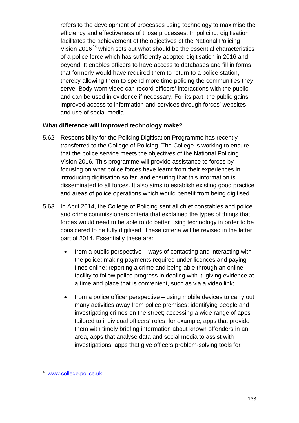refers to the development of processes using technology to maximise the efficiency and effectiveness of those processes. In policing, digitisation facilitates the achievement of the objectives of the National Policing Vision 2016<sup>[48](#page-132-0)</sup> which sets out what should be the essential characteristics of a police force which has sufficiently adopted digitisation in 2016 and beyond. It enables officers to have access to databases and fill in forms that formerly would have required them to return to a police station, thereby allowing them to spend more time policing the communities they serve. Body-worn video can record officers' interactions with the public and can be used in evidence if necessary. For its part, the public gains improved access to information and services through forces' websites and use of social media.

#### **What difference will improved technology make?**

- 5.62 Responsibility for the Policing Digitisation Programme has recently transferred to the College of Policing. The College is working to ensure that the police service meets the objectives of the National Policing Vision 2016. This programme will provide assistance to forces by focusing on what police forces have learnt from their experiences in introducing digitisation so far, and ensuring that this information is disseminated to all forces. It also aims to establish existing good practice and areas of police operations which would benefit from being digitised.
- 5.63 In April 2014, the College of Policing sent all chief constables and police and crime commissioners criteria that explained the types of things that forces would need to be able to do better using technology in order to be considered to be fully digitised. These criteria will be revised in the latter part of 2014. Essentially these are:
	- from a public perspective ways of contacting and interacting with the police; making payments required under licences and paying fines online; reporting a crime and being able through an online facility to follow police progress in dealing with it, giving evidence at a time and place that is convenient, such as via a video link;
	- from a police officer perspective using mobile devices to carry out many activities away from police premises; identifying people and investigating crimes on the street; accessing a wide range of apps tailored to individual officers' roles, for example, apps that provide them with timely briefing information about known offenders in an area, apps that analyse data and social media to assist with investigations, apps that give officers problem-solving tools for

<span id="page-132-0"></span><sup>48</sup> [www.college.police.uk](http://www.college.police.uk/)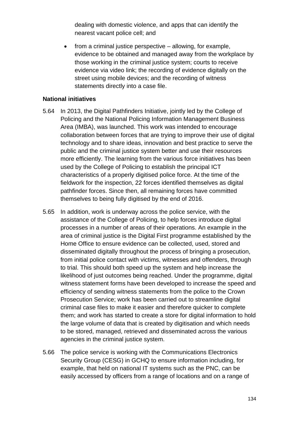dealing with domestic violence, and apps that can identify the nearest vacant police cell; and

• from a criminal justice perspective – allowing, for example, evidence to be obtained and managed away from the workplace by those working in the criminal justice system; courts to receive evidence via video link; the recording of evidence digitally on the street using mobile devices; and the recording of witness statements directly into a case file.

#### **National initiatives**

- 5.64 In 2013, the Digital Pathfinders Initiative, jointly led by the College of Policing and the National Policing Information Management Business Area (IMBA), was launched. This work was intended to encourage collaboration between forces that are trying to improve their use of digital technology and to share ideas, innovation and best practice to serve the public and the criminal justice system better and use their resources more efficiently. The learning from the various force initiatives has been used by the College of Policing to establish the principal ICT characteristics of a properly digitised police force. At the time of the fieldwork for the inspection, 22 forces identified themselves as digital pathfinder forces. Since then, all remaining forces have committed themselves to being fully digitised by the end of 2016.
- 5.65 In addition, work is underway across the police service, with the assistance of the College of Policing, to help forces introduce digital processes in a number of areas of their operations. An example in the area of criminal justice is the Digital First programme established by the Home Office to ensure evidence can be collected, used, stored and disseminated digitally throughout the process of bringing a prosecution, from initial police contact with victims, witnesses and offenders, through to trial. This should both speed up the system and help increase the likelihood of just outcomes being reached. Under the programme, digital witness statement forms have been developed to increase the speed and efficiency of sending witness statements from the police to the Crown Prosecution Service; work has been carried out to streamline digital criminal case files to make it easier and therefore quicker to complete them; and work has started to create a store for digital information to hold the large volume of data that is created by digitisation and which needs to be stored, managed, retrieved and disseminated across the various agencies in the criminal justice system.
- 5.66 The police service is working with the Communications Electronics Security Group (CESG) in GCHQ to ensure information including, for example, that held on national IT systems such as the PNC, can be easily accessed by officers from a range of locations and on a range of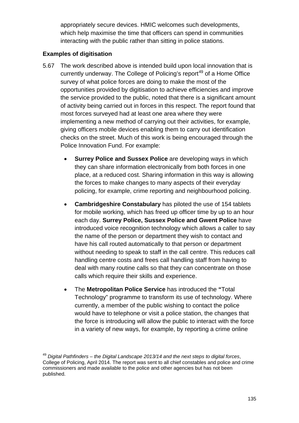appropriately secure devices. HMIC welcomes such developments, which help maximise the time that officers can spend in communities interacting with the public rather than sitting in police stations.

## **Examples of digitisation**

- 5.67 The work described above is intended build upon local innovation that is currently underway. The College of Policing's report<sup>[49](#page-134-0)</sup> of a Home Office survey of what police forces are doing to make the most of the opportunities provided by digitisation to achieve efficiencies and improve the service provided to the public, noted that there is a significant amount of activity being carried out in forces in this respect. The report found that most forces surveyed had at least one area where they were implementing a new method of carrying out their activities, for example, giving officers mobile devices enabling them to carry out identification checks on the street. Much of this work is being encouraged through the Police Innovation Fund. For example:
	- **Surrey Police and Sussex Police** are developing ways in which they can share information electronically from both forces in one place, at a reduced cost. Sharing information in this way is allowing the forces to make changes to many aspects of their everyday policing, for example, crime reporting and neighbourhood policing.
	- **Cambridgeshire Constabulary** has piloted the use of 154 tablets for mobile working, which has freed up officer time by up to an hour each day. **Surrey Police, Sussex Police and Gwent Police** have introduced voice recognition technology which allows a caller to say the name of the person or department they wish to contact and have his call routed automatically to that person or department without needing to speak to staff in the call centre. This reduces call handling centre costs and frees call handling staff from having to deal with many routine calls so that they can concentrate on those calls which require their skills and experience.
	- The **Metropolitan Police Service** has introduced the **"**Total Technology" programme to transform its use of technology. Where currently, a member of the public wishing to contact the police would have to telephone or visit a police station, the changes that the force is introducing will allow the public to interact with the force in a variety of new ways, for example, by reporting a crime online

<span id="page-134-0"></span><sup>49</sup> *Digital Pathfinders – the Digital Landscape 2013/14 and the next steps to digital forces*, College of Policing, April 2014. The report was sent to all chief constables and police and crime commissioners and made available to the police and other agencies but has not been published.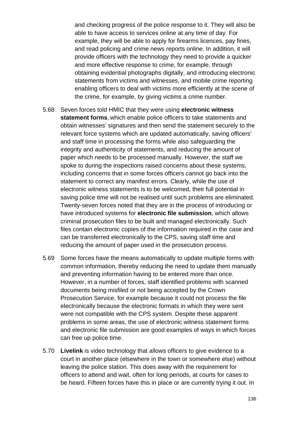and checking progress of the police response to it. They will also be able to have access to services online at any time of day. For example, they will be able to apply for firearms licences, pay fines, and read policing and crime news reports online. In addition, it will provide officers with the technology they need to provide a quicker and more effective response to crime, for example, through obtaining evidential photographs digitally, and introducing electronic statements from victims and witnesses, and mobile crime reporting enabling officers to deal with victims more efficiently at the scene of the crime, for example, by giving victims a crime number.

- 5.68 Seven forces told HMIC that they were using **electronic witness statement forms**, which enable police officers to take statements and obtain witnesses' signatures and then send the statement securely to the relevant force systems which are updated automatically, saving officers' and staff time in processing the forms while also safeguarding the integrity and authenticity of statements, and reducing the amount of paper which needs to be processed manually. However, the staff we spoke to during the inspections raised concerns about these systems, including concerns that in some forces officers cannot go back into the statement to correct any manifest errors. Clearly, while the use of electronic witness statements is to be welcomed, their full potential in saving police time will not be realised until such problems are eliminated. Twenty-seven forces noted that they are in the process of introducing or have introduced systems for **electronic file submission**, which allows criminal prosecution files to be built and managed electronically. Such files contain electronic copies of the information required in the case and can be transferred electronically to the CPS, saving staff time and reducing the amount of paper used in the prosecution process.
- 5.69 Some forces have the means automatically to update multiple forms with common information, thereby reducing the need to update them manually and preventing information having to be entered more than once. However, in a number of forces, staff identified problems with scanned documents being misfiled or not being accepted by the Crown Prosecution Service, for example because it could not process the file electronically because the electronic formats in which they were sent were not compatible with the CPS system. Despite these apparent problems in some areas, the use of electronic witness statement forms and electronic file submission are good examples of ways in which forces can free up police time.
- 5.70 **Livelink** is video technology that allows officers to give evidence to a court in another place (elsewhere in the town or somewhere else) without leaving the police station. This does away with the requirement for officers to attend and wait, often for long periods, at courts for cases to be heard. Fifteen forces have this in place or are currently trying it out. In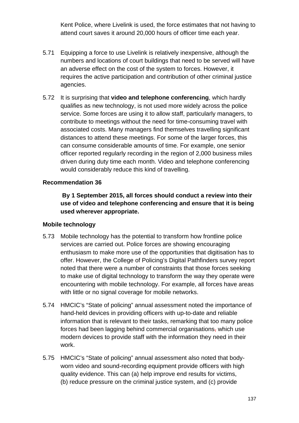Kent Police, where Livelink is used, the force estimates that not having to attend court saves it around 20,000 hours of officer time each year.

- 5.71 Equipping a force to use Livelink is relatively inexpensive, although the numbers and locations of court buildings that need to be served will have an adverse effect on the cost of the system to forces. However, it requires the active participation and contribution of other criminal justice agencies.
- 5.72 It is surprising that **video and telephone conferencing**, which hardly qualifies as new technology, is not used more widely across the police service. Some forces are using it to allow staff, particularly managers, to contribute to meetings without the need for time-consuming travel with associated costs. Many managers find themselves travelling significant distances to attend these meetings. For some of the larger forces, this can consume considerable amounts of time. For example, one senior officer reported regularly recording in the region of 2,000 business miles driven during duty time each month. Video and telephone conferencing would considerably reduce this kind of travelling.

## **Recommendation 36**

**By 1 September 2015, all forces should conduct a review into their use of video and telephone conferencing and ensure that it is being used wherever appropriate.**

#### **Mobile technology**

- 5.73 Mobile technology has the potential to transform how frontline police services are carried out. Police forces are showing encouraging enthusiasm to make more use of the opportunities that digitisation has to offer. However, the College of Policing's Digital Pathfinders survey report noted that there were a number of constraints that those forces seeking to make use of digital technology to transform the way they operate were encountering with mobile technology. For example, all forces have areas with little or no signal coverage for mobile networks.
- 5.74 HMCIC's "State of policing" annual assessment noted the importance of hand-held devices in providing officers with up-to-date and reliable information that is relevant to their tasks, remarking that too many police forces had been lagging behind commercial organisations, which use modern devices to provide staff with the information they need in their work.
- 5.75 HMCIC's "State of policing" annual assessment also noted that bodyworn video and sound-recording equipment provide officers with high quality evidence. This can (a) help improve end results for victims, (b) reduce pressure on the criminal justice system, and (c) provide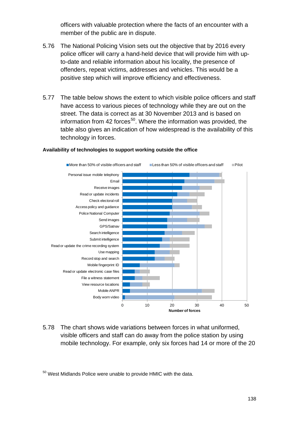officers with valuable protection where the facts of an encounter with a member of the public are in dispute.

- 5.76 The National Policing Vision sets out the objective that by 2016 every police officer will carry a hand-held device that will provide him with upto-date and reliable information about his locality, the presence of offenders, repeat victims, addresses and vehicles. This would be a positive step which will improve efficiency and effectiveness.
- 5.77 The table below shows the extent to which visible police officers and staff have access to various pieces of technology while they are out on the street. The data is correct as at 30 November 2013 and is based on information from 42 forces<sup>[50](#page-137-0)</sup>. Where the information was provided, the table also gives an indication of how widespread is the availability of this technology in forces.



#### **Availability of technologies to support working outside the office**

5.78 The chart shows wide variations between forces in what uniformed, visible officers and staff can do away from the police station by using mobile technology. For example, only six forces had 14 or more of the 20

<span id="page-137-0"></span> $50$  West Midlands Police were unable to provide HMIC with the data.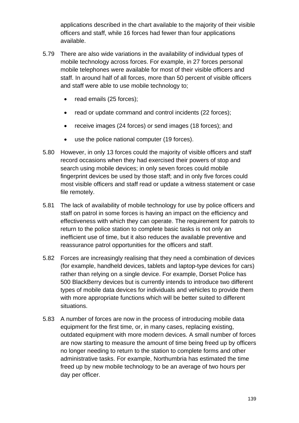applications described in the chart available to the majority of their visible officers and staff, while 16 forces had fewer than four applications available.

- 5.79 There are also wide variations in the availability of individual types of mobile technology across forces. For example, in 27 forces personal mobile telephones were available for most of their visible officers and staff. In around half of all forces, more than 50 percent of visible officers and staff were able to use mobile technology to;
	- read emails (25 forces);
	- read or update command and control incidents (22 forces);
	- receive images (24 forces) or send images (18 forces); and
	- use the police national computer (19 forces).
- 5.80 However, in only 13 forces could the majority of visible officers and staff record occasions when they had exercised their powers of stop and search using mobile devices; in only seven forces could mobile fingerprint devices be used by those staff; and in only five forces could most visible officers and staff read or update a witness statement or case file remotely.
- 5.81 The lack of availability of mobile technology for use by police officers and staff on patrol in some forces is having an impact on the efficiency and effectiveness with which they can operate. The requirement for patrols to return to the police station to complete basic tasks is not only an inefficient use of time, but it also reduces the available preventive and reassurance patrol opportunities for the officers and staff.
- 5.82 Forces are increasingly realising that they need a combination of devices (for example, handheld devices, tablets and laptop-type devices for cars) rather than relying on a single device. For example, Dorset Police has 500 BlackBerry devices but is currently intends to introduce two different types of mobile data devices for individuals and vehicles to provide them with more appropriate functions which will be better suited to different situations.
- 5.83 A number of forces are now in the process of introducing mobile data equipment for the first time, or, in many cases, replacing existing, outdated equipment with more modern devices. A small number of forces are now starting to measure the amount of time being freed up by officers no longer needing to return to the station to complete forms and other administrative tasks. For example, Northumbria has estimated the time freed up by new mobile technology to be an average of two hours per day per officer.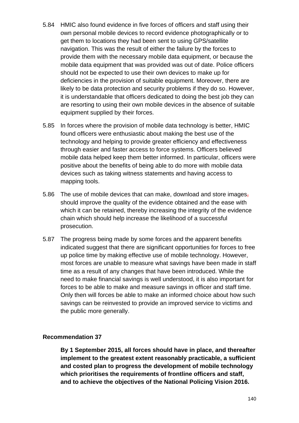- 5.84 HMIC also found evidence in five forces of officers and staff using their own personal mobile devices to record evidence photographically or to get them to locations they had been sent to using GPS/satellite navigation. This was the result of either the failure by the forces to provide them with the necessary mobile data equipment, or because the mobile data equipment that was provided was out of date. Police officers should not be expected to use their own devices to make up for deficiencies in the provision of suitable equipment. Moreover, there are likely to be data protection and security problems if they do so. However, it is understandable that officers dedicated to doing the best job they can are resorting to using their own mobile devices in the absence of suitable equipment supplied by their forces.
- 5.85 In forces where the provision of mobile data technology is better, HMIC found officers were enthusiastic about making the best use of the technology and helping to provide greater efficiency and effectiveness through easier and faster access to force systems. Officers believed mobile data helped keep them better informed. In particular, officers were positive about the benefits of being able to do more with mobile data devices such as taking witness statements and having access to mapping tools.
- 5.86 The use of mobile devices that can make, download and store images $<sub>7</sub>$ </sub> should improve the quality of the evidence obtained and the ease with which it can be retained, thereby increasing the integrity of the evidence chain which should help increase the likelihood of a successful prosecution.
- 5.87 The progress being made by some forces and the apparent benefits indicated suggest that there are significant opportunities for forces to free up police time by making effective use of mobile technology. However, most forces are unable to measure what savings have been made in staff time as a result of any changes that have been introduced. While the need to make financial savings is well understood, it is also important for forces to be able to make and measure savings in officer and staff time. Only then will forces be able to make an informed choice about how such savings can be reinvested to provide an improved service to victims and the public more generally.

**By 1 September 2015, all forces should have in place, and thereafter implement to the greatest extent reasonably practicable, a sufficient and costed plan to progress the development of mobile technology which prioritises the requirements of frontline officers and staff, and to achieve the objectives of the National Policing Vision 2016.**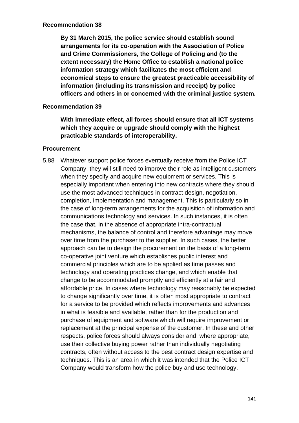**By 31 March 2015, the police service should establish sound arrangements for its co-operation with the Association of Police and Crime Commissioners, the College of Policing and (to the extent necessary) the Home Office to establish a national police information strategy which facilitates the most efficient and economical steps to ensure the greatest practicable accessibility of information (including its transmission and receipt) by police officers and others in or concerned with the criminal justice system.**

#### **Recommendation 39**

**With immediate effect, all forces should ensure that all ICT systems which they acquire or upgrade should comply with the highest practicable standards of interoperability.**

#### **Procurement**

5.88 Whatever support police forces eventually receive from the Police ICT Company, they will still need to improve their role as intelligent customers when they specify and acquire new equipment or services. This is especially important when entering into new contracts where they should use the most advanced techniques in contract design, negotiation, completion, implementation and management. This is particularly so in the case of long-term arrangements for the acquisition of information and communications technology and services. In such instances, it is often the case that, in the absence of appropriate intra-contractual mechanisms, the balance of control and therefore advantage may move over time from the purchaser to the supplier. In such cases, the better approach can be to design the procurement on the basis of a long-term co-operative joint venture which establishes public interest and commercial principles which are to be applied as time passes and technology and operating practices change, and which enable that change to be accommodated promptly and efficiently at a fair and affordable price. In cases where technology may reasonably be expected to change significantly over time, it is often most appropriate to contract for a service to be provided which reflects improvements and advances in what is feasible and available, rather than for the production and purchase of equipment and software which will require improvement or replacement at the principal expense of the customer. In these and other respects, police forces should always consider and, where appropriate, use their collective buying power rather than individually negotiating contracts, often without access to the best contract design expertise and techniques. This is an area in which it was intended that the Police ICT Company would transform how the police buy and use technology.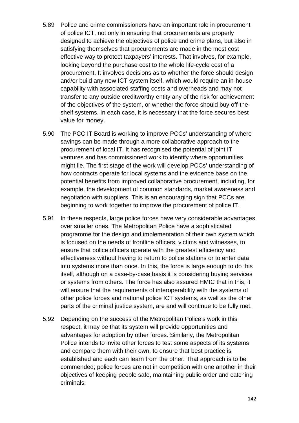- 5.89 Police and crime commissioners have an important role in procurement of police ICT, not only in ensuring that procurements are properly designed to achieve the objectives of police and crime plans, but also in satisfying themselves that procurements are made in the most cost effective way to protect taxpayers' interests. That involves, for example, looking beyond the purchase cost to the whole life-cycle cost of a procurement. It involves decisions as to whether the force should design and/or build any new ICT system itself, which would require an in-house capability with associated staffing costs and overheads and may not transfer to any outside creditworthy entity any of the risk for achievement of the objectives of the system, or whether the force should buy off-theshelf systems. In each case, it is necessary that the force secures best value for money.
- 5.90 The PCC IT Board is working to improve PCCs' understanding of where savings can be made through a more collaborative approach to the procurement of local IT. It has recognised the potential of joint IT ventures and has commissioned work to identify where opportunities might lie. The first stage of the work will develop PCCs' understanding of how contracts operate for local systems and the evidence base on the potential benefits from improved collaborative procurement, including, for example, the development of common standards, market awareness and negotiation with suppliers. This is an encouraging sign that PCCs are beginning to work together to improve the procurement of police IT.
- 5.91 In these respects, large police forces have very considerable advantages over smaller ones. The Metropolitan Police have a sophisticated programme for the design and implementation of their own system which is focused on the needs of frontline officers, victims and witnesses, to ensure that police officers operate with the greatest efficiency and effectiveness without having to return to police stations or to enter data into systems more than once. In this, the force is large enough to do this itself, although on a case-by-case basis it is considering buying services or systems from others. The force has also assured HMIC that in this, it will ensure that the requirements of interoperability with the systems of other police forces and national police ICT systems, as well as the other parts of the criminal justice system, are and will continue to be fully met.
- 5.92 Depending on the success of the Metropolitan Police's work in this respect, it may be that its system will provide opportunities and advantages for adoption by other forces. Similarly, the Metropolitan Police intends to invite other forces to test some aspects of its systems and compare them with their own, to ensure that best practice is established and each can learn from the other. That approach is to be commended; police forces are not in competition with one another in their objectives of keeping people safe, maintaining public order and catching criminals.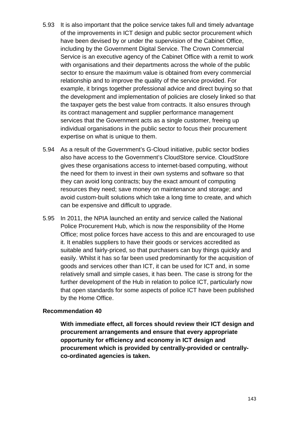- 5.93 It is also important that the police service takes full and timely advantage of the improvements in ICT design and public sector procurement which have been devised by or under the supervision of the Cabinet Office, including by the Government Digital Service. The Crown Commercial Service is an executive agency of the Cabinet Office with a remit to work with organisations and their departments across the whole of the public sector to ensure the maximum value is obtained from every commercial relationship and to improve the quality of the service provided. For example, it brings together professional advice and direct buying so that the development and implementation of policies are closely linked so that the taxpayer gets the best value from contracts. It also ensures through its contract management and supplier performance management services that the Government acts as a single customer, freeing up individual organisations in the public sector to focus their procurement expertise on what is unique to them.
- 5.94 As a result of the Government's G-Cloud initiative, public sector bodies also have access to the Government's CloudStore service. CloudStore gives these organisations access to internet-based computing, without the need for them to invest in their own systems and software so that they can avoid long contracts; buy the exact amount of computing resources they need; save money on maintenance and storage; and avoid custom-built solutions which take a long time to create, and which can be expensive and difficult to upgrade.
- 5.95 In 2011, the NPIA launched an entity and service called the National Police Procurement Hub, which is now the responsibility of the Home Office; most police forces have access to this and are encouraged to use it. It enables suppliers to have their goods or services accredited as suitable and fairly-priced, so that purchasers can buy things quickly and easily. Whilst it has so far been used predominantly for the acquisition of goods and services other than ICT, it can be used for ICT and, in some relatively small and simple cases, it has been. The case is strong for the further development of the Hub in relation to police ICT, particularly now that open standards for some aspects of police ICT have been published by the Home Office.

**With immediate effect, all forces should review their ICT design and procurement arrangements and ensure that every appropriate opportunity for efficiency and economy in ICT design and procurement which is provided by centrally-provided or centrallyco-ordinated agencies is taken.**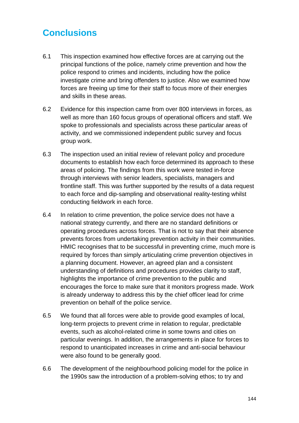# **Conclusions**

- 6.1 This inspection examined how effective forces are at carrying out the principal functions of the police, namely crime prevention and how the police respond to crimes and incidents, including how the police investigate crime and bring offenders to justice. Also we examined how forces are freeing up time for their staff to focus more of their energies and skills in these areas.
- 6.2 Evidence for this inspection came from over 800 interviews in forces, as well as more than 160 focus groups of operational officers and staff. We spoke to professionals and specialists across these particular areas of activity, and we commissioned independent public survey and focus group work.
- 6.3 The inspection used an initial review of relevant policy and procedure documents to establish how each force determined its approach to these areas of policing. The findings from this work were tested in-force through interviews with senior leaders, specialists, managers and frontline staff. This was further supported by the results of a data request to each force and dip-sampling and observational reality-testing whilst conducting fieldwork in each force.
- 6.4 In relation to crime prevention, the police service does not have a national strategy currently, and there are no standard definitions or operating procedures across forces. That is not to say that their absence prevents forces from undertaking prevention activity in their communities. HMIC recognises that to be successful in preventing crime, much more is required by forces than simply articulating crime prevention objectives in a planning document. However, an agreed plan and a consistent understanding of definitions and procedures provides clarity to staff, highlights the importance of crime prevention to the public and encourages the force to make sure that it monitors progress made. Work is already underway to address this by the chief officer lead for crime prevention on behalf of the police service.
- 6.5 We found that all forces were able to provide good examples of local, long-term projects to prevent crime in relation to regular, predictable events, such as alcohol-related crime in some towns and cities on particular evenings. In addition, the arrangements in place for forces to respond to unanticipated increases in crime and anti-social behaviour were also found to be generally good.
- 6.6 The development of the neighbourhood policing model for the police in the 1990s saw the introduction of a problem-solving ethos; to try and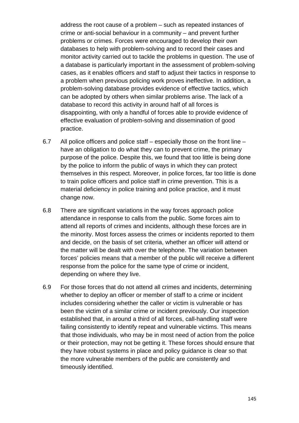address the root cause of a problem – such as repeated instances of crime or anti-social behaviour in a community – and prevent further problems or crimes. Forces were encouraged to develop their own databases to help with problem-solving and to record their cases and monitor activity carried out to tackle the problems in question. The use of a database is particularly important in the assessment of problem-solving cases, as it enables officers and staff to adjust their tactics in response to a problem when previous policing work proves ineffective. In addition, a problem-solving database provides evidence of effective tactics, which can be adopted by others when similar problems arise. The lack of a database to record this activity in around half of all forces is disappointing, with only a handful of forces able to provide evidence of effective evaluation of problem-solving and dissemination of good practice.

- 6.7 All police officers and police staff especially those on the front line have an obligation to do what they can to prevent crime, the primary purpose of the police. Despite this, we found that too little is being done by the police to inform the public of ways in which they can protect themselves in this respect. Moreover, in police forces, far too little is done to train police officers and police staff in crime prevention. This is a material deficiency in police training and police practice, and it must change now.
- 6.8 There are significant variations in the way forces approach police attendance in response to calls from the public. Some forces aim to attend all reports of crimes and incidents, although these forces are in the minority. Most forces assess the crimes or incidents reported to them and decide, on the basis of set criteria, whether an officer will attend or the matter will be dealt with over the telephone. The variation between forces' policies means that a member of the public will receive a different response from the police for the same type of crime or incident, depending on where they live.
- 6.9 For those forces that do not attend all crimes and incidents, determining whether to deploy an officer or member of staff to a crime or incident includes considering whether the caller or victim is vulnerable or has been the victim of a similar crime or incident previously. Our inspection established that, in around a third of all forces, call-handling staff were failing consistently to identify repeat and vulnerable victims. This means that those individuals, who may be in most need of action from the police or their protection, may not be getting it. These forces should ensure that they have robust systems in place and policy guidance is clear so that the more vulnerable members of the public are consistently and timeously identified.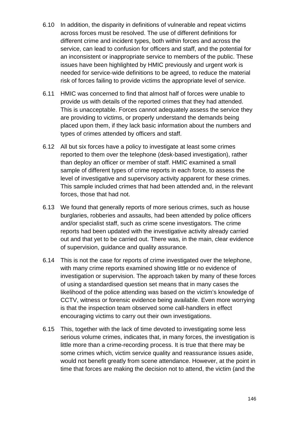- 6.10 In addition, the disparity in definitions of vulnerable and repeat victims across forces must be resolved. The use of different definitions for different crime and incident types, both within forces and across the service, can lead to confusion for officers and staff, and the potential for an inconsistent or inappropriate service to members of the public. These issues have been highlighted by HMIC previously and urgent work is needed for service-wide definitions to be agreed, to reduce the material risk of forces failing to provide victims the appropriate level of service.
- 6.11 HMIC was concerned to find that almost half of forces were unable to provide us with details of the reported crimes that they had attended. This is unacceptable. Forces cannot adequately assess the service they are providing to victims, or properly understand the demands being placed upon them, if they lack basic information about the numbers and types of crimes attended by officers and staff.
- 6.12 All but six forces have a policy to investigate at least some crimes reported to them over the telephone (desk-based investigation), rather than deploy an officer or member of staff. HMIC examined a small sample of different types of crime reports in each force, to assess the level of investigative and supervisory activity apparent for these crimes. This sample included crimes that had been attended and, in the relevant forces, those that had not.
- 6.13 We found that generally reports of more serious crimes, such as house burglaries, robberies and assaults, had been attended by police officers and/or specialist staff, such as crime scene investigators. The crime reports had been updated with the investigative activity already carried out and that yet to be carried out. There was, in the main, clear evidence of supervision, guidance and quality assurance.
- 6.14 This is not the case for reports of crime investigated over the telephone, with many crime reports examined showing little or no evidence of investigation or supervision. The approach taken by many of these forces of using a standardised question set means that in many cases the likelihood of the police attending was based on the victim's knowledge of CCTV, witness or forensic evidence being available. Even more worrying is that the inspection team observed some call-handlers in effect encouraging victims to carry out their own investigations.
- 6.15 This, together with the lack of time devoted to investigating some less serious volume crimes, indicates that, in many forces, the investigation is little more than a crime-recording process. It is true that there may be some crimes which, victim service quality and reassurance issues aside, would not benefit greatly from scene attendance. However, at the point in time that forces are making the decision not to attend, the victim (and the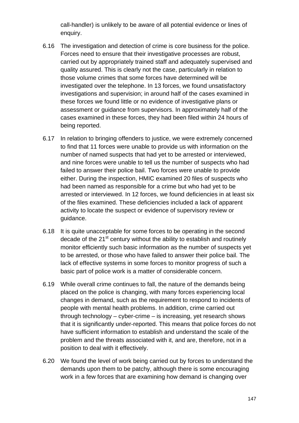call-handler) is unlikely to be aware of all potential evidence or lines of enquiry.

- 6.16 The investigation and detection of crime is core business for the police. Forces need to ensure that their investigative processes are robust, carried out by appropriately trained staff and adequately supervised and quality assured. This is clearly not the case, particularly in relation to those volume crimes that some forces have determined will be investigated over the telephone. In 13 forces, we found unsatisfactory investigations and supervision; in around half of the cases examined in these forces we found little or no evidence of investigative plans or assessment or guidance from supervisors. In approximately half of the cases examined in these forces, they had been filed within 24 hours of being reported.
- 6.17 In relation to bringing offenders to justice, we were extremely concerned to find that 11 forces were unable to provide us with information on the number of named suspects that had yet to be arrested or interviewed, and nine forces were unable to tell us the number of suspects who had failed to answer their police bail. Two forces were unable to provide either. During the inspection, HMIC examined 20 files of suspects who had been named as responsible for a crime but who had yet to be arrested or interviewed. In 12 forces, we found deficiencies in at least six of the files examined. These deficiencies included a lack of apparent activity to locate the suspect or evidence of supervisory review or guidance.
- 6.18 It is quite unacceptable for some forces to be operating in the second decade of the  $21<sup>st</sup>$  century without the ability to establish and routinely monitor efficiently such basic information as the number of suspects yet to be arrested, or those who have failed to answer their police bail. The lack of effective systems in some forces to monitor progress of such a basic part of police work is a matter of considerable concern.
- 6.19 While overall crime continues to fall, the nature of the demands being placed on the police is changing, with many forces experiencing local changes in demand, such as the requirement to respond to incidents of people with mental health problems. In addition, crime carried out through technology – cyber-crime – is increasing, yet research shows that it is significantly under-reported. This means that police forces do not have sufficient information to establish and understand the scale of the problem and the threats associated with it, and are, therefore, not in a position to deal with it effectively.
- 6.20 We found the level of work being carried out by forces to understand the demands upon them to be patchy, although there is some encouraging work in a few forces that are examining how demand is changing over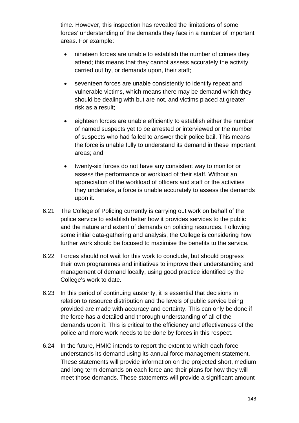time. However, this inspection has revealed the limitations of some forces' understanding of the demands they face in a number of important areas. For example:

- nineteen forces are unable to establish the number of crimes they attend; this means that they cannot assess accurately the activity carried out by, or demands upon, their staff;
- seventeen forces are unable consistently to identify repeat and vulnerable victims, which means there may be demand which they should be dealing with but are not, and victims placed at greater risk as a result;
- eighteen forces are unable efficiently to establish either the number of named suspects yet to be arrested or interviewed or the number of suspects who had failed to answer their police bail. This means the force is unable fully to understand its demand in these important areas; and
- twenty-six forces do not have any consistent way to monitor or assess the performance or workload of their staff. Without an appreciation of the workload of officers and staff or the activities they undertake, a force is unable accurately to assess the demands upon it.
- 6.21 The College of Policing currently is carrying out work on behalf of the police service to establish better how it provides services to the public and the nature and extent of demands on policing resources. Following some initial data-gathering and analysis, the College is considering how further work should be focused to maximise the benefits to the service.
- 6.22 Forces should not wait for this work to conclude, but should progress their own programmes and initiatives to improve their understanding and management of demand locally, using good practice identified by the College's work to date.
- 6.23 In this period of continuing austerity, it is essential that decisions in relation to resource distribution and the levels of public service being provided are made with accuracy and certainty. This can only be done if the force has a detailed and thorough understanding of all of the demands upon it. This is critical to the efficiency and effectiveness of the police and more work needs to be done by forces in this respect.
- 6.24 In the future, HMIC intends to report the extent to which each force understands its demand using its annual force management statement. These statements will provide information on the projected short, medium and long term demands on each force and their plans for how they will meet those demands. These statements will provide a significant amount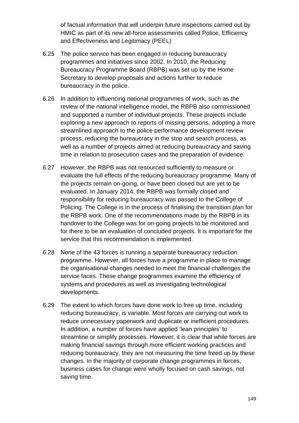of factual information that will underpin future inspections carried out by HMIC as part of its new all-force assessments called Police, Efficiency and Effectiveness and Legitimacy (PEEL)

- 6.25 The police service has been engaged in reducing bureaucracy programmes and initiatives since 2002. In 2010, the Reducing Bureaucracy Programme Board (RBPB) was set up by the Home Secretary to develop proposals and actions further to reduce bureaucracy in the police.
- 6.26 In addition to influencing national programmes of work, such as the review of the national intelligence model, the RBPB also commissioned and supported a number of individual projects. These projects include exploring a new approach to reports of missing persons, adopting a more streamlined approach to the police performance development review process, reducing the bureaucracy in the stop and search process, as well as a number of projects aimed at reducing bureaucracy and saving time in relation to prosecution cases and the preparation of evidence.
- 6.27 However, the RBPB was not resourced sufficiently to measure or evaluate the full effects of the reducing bureaucracy programme. Many of the projects remain on-going, or have been closed but are yet to be evaluated. In January 2014, the RBPB was formally closed and responsibility for reducing bureaucracy was passed to the College of Policing. The College is in the process of finalising the transition plan for the RBPB work. One of the recommendations made by the RBPB in its handover to the College was for on-going projects to be monitored and for there to be an evaluation of concluded projects. It is important for the service that this recommendation is implemented.
- 6.28 None of the 43 forces is running a separate bureaucracy reduction programme. However, all forces have a programme in place to manage the organisational changes needed to meet the financial challenges the service faces. These change programmes examine the efficiency of systems and procedures as well as investigating technological developments.
- 6.29 The extent to which forces have done work to free up time, including reducing bureaucracy, is variable. Most forces are carrying out work to reduce unnecessary paperwork and duplicate or inefficient procedures. In addition, a number of forces have applied 'lean principles' to streamline or simplify processes. However, it is clear that while forces are making financial savings through more efficient working practices and reducing bureaucracy, they are not measuring the time freed up by these changes. In the majority of corporate change programmes in forces, business cases for change were wholly focused on cash savings, not saving time.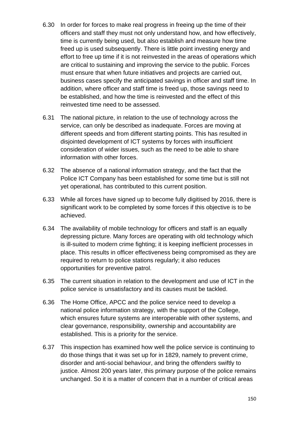- 6.30 In order for forces to make real progress in freeing up the time of their officers and staff they must not only understand how, and how effectively, time is currently being used, but also establish and measure how time freed up is used subsequently. There is little point investing energy and effort to free up time if it is not reinvested in the areas of operations which are critical to sustaining and improving the service to the public. Forces must ensure that when future initiatives and projects are carried out, business cases specify the anticipated savings in officer and staff time. In addition, where officer and staff time is freed up, those savings need to be established, and how the time is reinvested and the effect of this reinvested time need to be assessed.
- 6.31 The national picture, in relation to the use of technology across the service, can only be described as inadequate. Forces are moving at different speeds and from different starting points. This has resulted in disjointed development of ICT systems by forces with insufficient consideration of wider issues, such as the need to be able to share information with other forces.
- 6.32 The absence of a national information strategy, and the fact that the Police ICT Company has been established for some time but is still not yet operational, has contributed to this current position.
- 6.33 While all forces have signed up to become fully digitised by 2016, there is significant work to be completed by some forces if this objective is to be achieved.
- 6.34 The availability of mobile technology for officers and staff is an equally depressing picture. Many forces are operating with old technology which is ill-suited to modern crime fighting; it is keeping inefficient processes in place. This results in officer effectiveness being compromised as they are required to return to police stations regularly; it also reduces opportunities for preventive patrol.
- 6.35 The current situation in relation to the development and use of ICT in the police service is unsatisfactory and its causes must be tackled.
- 6.36 The Home Office, APCC and the police service need to develop a national police information strategy, with the support of the College, which ensures future systems are interoperable with other systems, and clear governance, responsibility, ownership and accountability are established. This is a priority for the service.
- 6.37 This inspection has examined how well the police service is continuing to do those things that it was set up for in 1829, namely to prevent crime, disorder and anti-social behaviour, and bring the offenders swiftly to justice. Almost 200 years later, this primary purpose of the police remains unchanged. So it is a matter of concern that in a number of critical areas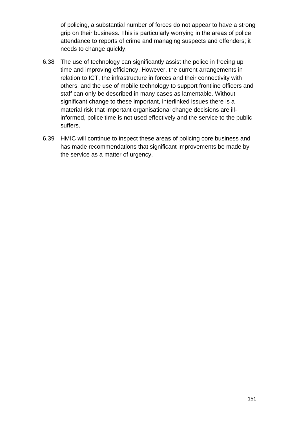of policing, a substantial number of forces do not appear to have a strong grip on their business. This is particularly worrying in the areas of police attendance to reports of crime and managing suspects and offenders; it needs to change quickly.

- 6.38 The use of technology can significantly assist the police in freeing up time and improving efficiency. However, the current arrangements in relation to ICT, the infrastructure in forces and their connectivity with others, and the use of mobile technology to support frontline officers and staff can only be described in many cases as lamentable. Without significant change to these important, interlinked issues there is a material risk that important organisational change decisions are illinformed, police time is not used effectively and the service to the public suffers.
- 6.39 HMIC will continue to inspect these areas of policing core business and has made recommendations that significant improvements be made by the service as a matter of urgency.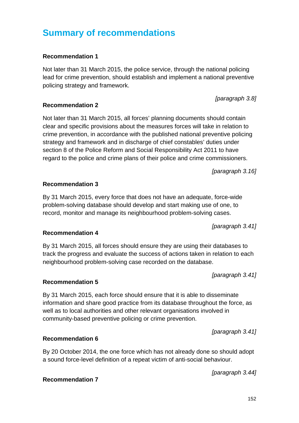# **Summary of recommendations**

# **Recommendation 1**

Not later than 31 March 2015, the police service, through the national policing lead for crime prevention, should establish and implement a national preventive policing strategy and framework.

### **Recommendation 2**

Not later than 31 March 2015, all forces' planning documents should contain clear and specific provisions about the measures forces will take in relation to crime prevention, in accordance with the published national preventive policing strategy and framework and in discharge of chief constables' duties under section 8 of the Police Reform and Social Responsibility Act 2011 to have regard to the police and crime plans of their police and crime commissioners.

*[paragraph [3.16\]](#page-45-0)*

### **Recommendation 3**

By 31 March 2015, every force that does not have an adequate, force-wide problem-solving database should develop and start making use of one, to record, monitor and manage its neighbourhood problem-solving cases.

*[paragraph [3.41\]](#page-53-0)*

### **Recommendation 4**

By 31 March 2015, all forces should ensure they are using their databases to track the progress and evaluate the success of actions taken in relation to each neighbourhood problem-solving case recorded on the database.

*[paragraph [3.41\]](#page-53-0)*

# **Recommendation 5**

By 31 March 2015, each force should ensure that it is able to disseminate information and share good practice from its database throughout the force, as well as to local authorities and other relevant organisations involved in community-based preventive policing or crime prevention.

*[paragraph [3.41\]](#page-53-0)*

### **Recommendation 6**

By 20 October 2014, the one force which has not already done so should adopt a sound force-level definition of a repeat victim of anti-social behaviour.

*[paragraph [3.44\]](#page-54-0)*

**Recommendation 7**

*[paragraph [3.8\]](#page-44-0)*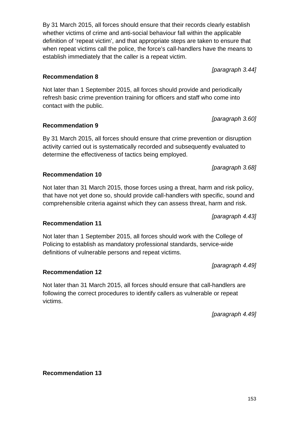By 31 March 2015, all forces should ensure that their records clearly establish whether victims of crime and anti-social behaviour fall within the applicable definition of 'repeat victim', and that appropriate steps are taken to ensure that when repeat victims call the police, the force's call-handlers have the means to establish immediately that the caller is a repeat victim.

**Recommendation 8**

Not later than 1 September 2015, all forces should provide and periodically refresh basic crime prevention training for officers and staff who come into contact with the public.

**Recommendation 9**

By 31 March 2015, all forces should ensure that crime prevention or disruption activity carried out is systematically recorded and subsequently evaluated to determine the effectiveness of tactics being employed.

*[paragraph [3.68\]](#page-61-0)*

Not later than 31 March 2015, those forces using a threat, harm and risk policy, that have not yet done so, should provide call-handlers with specific, sound and comprehensible criteria against which they can assess threat, harm and risk.

*[paragraph [4.43\]](#page-72-0)*

### **Recommendation 11**

**Recommendation 10**

Not later than 1 September 2015, all forces should work with the College of Policing to establish as mandatory professional standards, service-wide definitions of vulnerable persons and repeat victims.

**Recommendation 12**

Not later than 31 March 2015, all forces should ensure that call-handlers are following the correct procedures to identify callers as vulnerable or repeat victims.

*[paragraph [4.49\]](#page-74-0)*

*[paragraph [4.49\]](#page-74-0)*

**Recommendation 13**

*[paragraph [3.44\]](#page-54-0)*

*[paragraph [3.60\]](#page-58-0)*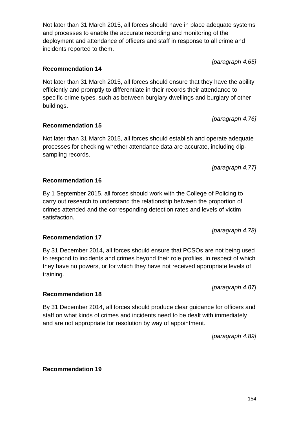Not later than 31 March 2015, all forces should have in place adequate systems and processes to enable the accurate recording and monitoring of the deployment and attendance of officers and staff in response to all crime and incidents reported to them.

**Recommendation 14** 

Not later than 31 March 2015, all forces should ensure that they have the ability efficiently and promptly to differentiate in their records their attendance to specific crime types, such as between burglary dwellings and burglary of other buildings.

# **Recommendation 15**

Not later than 31 March 2015, all forces should establish and operate adequate processes for checking whether attendance data are accurate, including dipsampling records.

*[paragraph [4.77\]](#page-84-0)*

*[paragraph [4.76\]](#page-83-0)*

# **Recommendation 16**

By 1 September 2015, all forces should work with the College of Policing to carry out research to understand the relationship between the proportion of crimes attended and the corresponding detection rates and levels of victim satisfaction.

*[paragraph [4.78\]](#page-84-1)*

By 31 December 2014, all forces should ensure that PCSOs are not being used to respond to incidents and crimes beyond their role profiles, in respect of which they have no powers, or for which they have not received appropriate levels of training.

**Recommendation 18**

By 31 December 2014, all forces should produce clear guidance for officers and staff on what kinds of crimes and incidents need to be dealt with immediately and are not appropriate for resolution by way of appointment.

*[paragraph [4.89\]](#page-87-0)*

*[paragraph [4.87\]](#page-86-0)*

**Recommendation 19**

**Recommendation 17**

*[paragraph [4.65\]](#page-78-0)*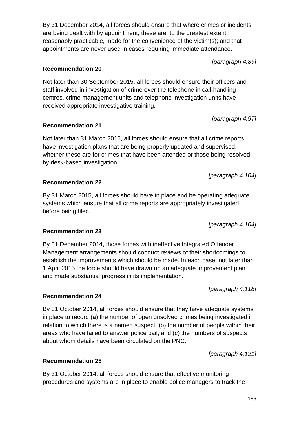By 31 December 2014, all forces should ensure that where crimes or incidents are being dealt with by appointment, these are, to the greatest extent reasonably practicable, made for the convenience of the victim(s); and that appointments are never used in cases requiring immediate attendance.

**Recommendation 20**

Not later than 30 September 2015, all forces should ensure their officers and staff involved in investigation of crime over the telephone in call-handling centres, crime management units and telephone investigation units have received appropriate investigative training.

**Recommendation 21**

Not later than 31 March 2015, all forces should ensure that all crime reports have investigation plans that are being properly updated and supervised, whether these are for crimes that have been attended or those being resolved by desk-based investigation.

*[paragraph [4.104\]](#page-90-0)*

**Recommendation 22**

By 31 March 2015, all forces should have in place and be operating adequate systems which ensure that all crime reports are appropriately investigated before being filed.

*[paragraph [4.104\]](#page-90-0)*

### **Recommendation 23**

By 31 December 2014, those forces with ineffective Integrated Offender Management arrangements should conduct reviews of their shortcomings to establish the improvements which should be made. In each case, not later than 1 April 2015 the force should have drawn up an adequate improvement plan and made substantial progress in its implementation.

*[paragraph [4.118\]](#page-94-0)*

### **Recommendation 24**

By 31 October 2014, all forces should ensure that they have adequate systems in place to record (a) the number of open unsolved crimes being investigated in relation to which there is a named suspect; (b) the number of people within their areas who have failed to answer police bail; and (c) the numbers of suspects about whom details have been circulated on the PNC.

*[paragraph [4.121\]](#page-95-0)*

**Recommendation 25**

By 31 October 2014, all forces should ensure that effective monitoring procedures and systems are in place to enable police managers to track the

*[paragraph [4.89\]](#page-87-0)*

*[paragraph [4.97\]](#page-89-0)*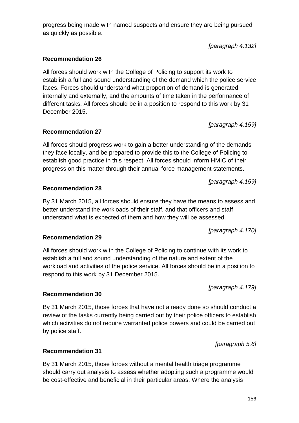# progress being made with named suspects and ensure they are being pursued as quickly as possible.

*[paragraph [4.132\]](#page-97-0)*

# **Recommendation 26**

All forces should work with the College of Policing to support its work to establish a full and sound understanding of the demand which the police service faces. Forces should understand what proportion of demand is generated internally and externally, and the amounts of time taken in the performance of different tasks. All forces should be in a position to respond to this work by 31 December 2015.

**Recommendation 27**

All forces should progress work to gain a better understanding of the demands they face locally, and be prepared to provide this to the College of Policing to establish good practice in this respect. All forces should inform HMIC of their progress on this matter through their annual force management statements.

*[paragraph [4.159\]](#page-106-0)*

*[paragraph [4.159\]](#page-106-0)*

respond to this work by 31 December 2015.

By 31 March 2015, all forces should ensure they have the means to assess and better understand the workloads of their staff, and that officers and staff understand what is expected of them and how they will be assessed.

*[paragraph [4.170\]](#page-109-0)*

*[paragraph [4.179\]](#page-111-0)*

# All forces should work with the College of Policing to continue with its work to establish a full and sound understanding of the nature and extent of the workload and activities of the police service. All forces should be in a position to

**Recommendation 30**

By 31 March 2015, those forces that have not already done so should conduct a review of the tasks currently being carried out by their police officers to establish which activities do not require warranted police powers and could be carried out by police staff.

*[paragraph [5.6\]](#page-114-0)*

# **Recommendation 31**

By 31 March 2015, those forces without a mental health triage programme should carry out analysis to assess whether adopting such a programme would be cost-effective and beneficial in their particular areas. Where the analysis

# **Recommendation 28**

**Recommendation 29**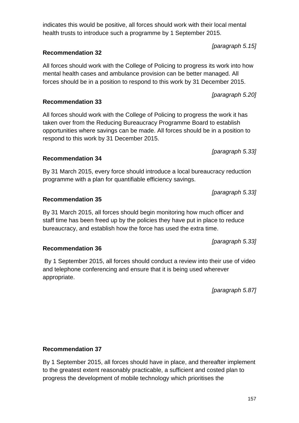# indicates this would be positive, all forces should work with their local mental health trusts to introduce such a programme by 1 September 2015.

# **Recommendation 32**

All forces should work with the College of Policing to progress its work into how mental health cases and ambulance provision can be better managed. All forces should be in a position to respond to this work by 31 December 2015.

# **Recommendation 33**

All forces should work with the College of Policing to progress the work it has taken over from the Reducing Bureaucracy Programme Board to establish opportunities where savings can be made. All forces should be in a position to respond to this work by 31 December 2015.

**Recommendation 34**

By 31 March 2015, every force should introduce a local bureaucracy reduction programme with a plan for quantifiable efficiency savings.

*[paragraph [5.33\]](#page-124-0)*

*[paragraph [5.33\]](#page-124-0)*

By 31 March 2015, all forces should begin monitoring how much officer and staff time has been freed up by the policies they have put in place to reduce bureaucracy, and establish how the force has used the extra time.

By 1 September 2015, all forces should conduct a review into their use of video and telephone conferencing and ensure that it is being used wherever appropriate.

*[paragraph [5.87\]](#page-139-0)*

*[paragraph [5.33\]](#page-124-0)*

# **Recommendation 37**

By 1 September 2015, all forces should have in place, and thereafter implement to the greatest extent reasonably practicable, a sufficient and costed plan to progress the development of mobile technology which prioritises the

# **Recommendation 35**

# **Recommendation 36**

*[paragraph [5.15\]](#page-117-0)*

*[paragraph [5.20\]](#page-118-0)*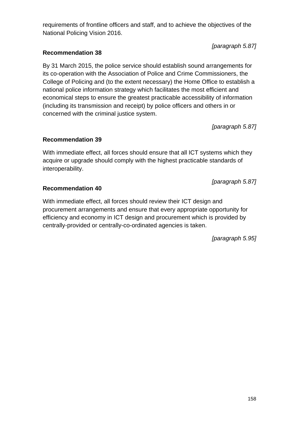requirements of frontline officers and staff, and to achieve the objectives of the National Policing Vision 2016.

*[paragraph [5.87\]](#page-139-0)*

# **Recommendation 38**

By 31 March 2015, the police service should establish sound arrangements for its co-operation with the Association of Police and Crime Commissioners, the College of Policing and (to the extent necessary) the Home Office to establish a national police information strategy which facilitates the most efficient and economical steps to ensure the greatest practicable accessibility of information (including its transmission and receipt) by police officers and others in or concerned with the criminal justice system.

*[paragraph [5.87\]](#page-139-0)*

# **Recommendation 39**

With immediate effect, all forces should ensure that all ICT systems which they acquire or upgrade should comply with the highest practicable standards of interoperability.

*[paragraph [5.87\]](#page-139-0)*

# **Recommendation 40**

With immediate effect, all forces should review their ICT design and procurement arrangements and ensure that every appropriate opportunity for efficiency and economy in ICT design and procurement which is provided by centrally-provided or centrally-co-ordinated agencies is taken.

*[paragraph [5.95\]](#page-142-0)*